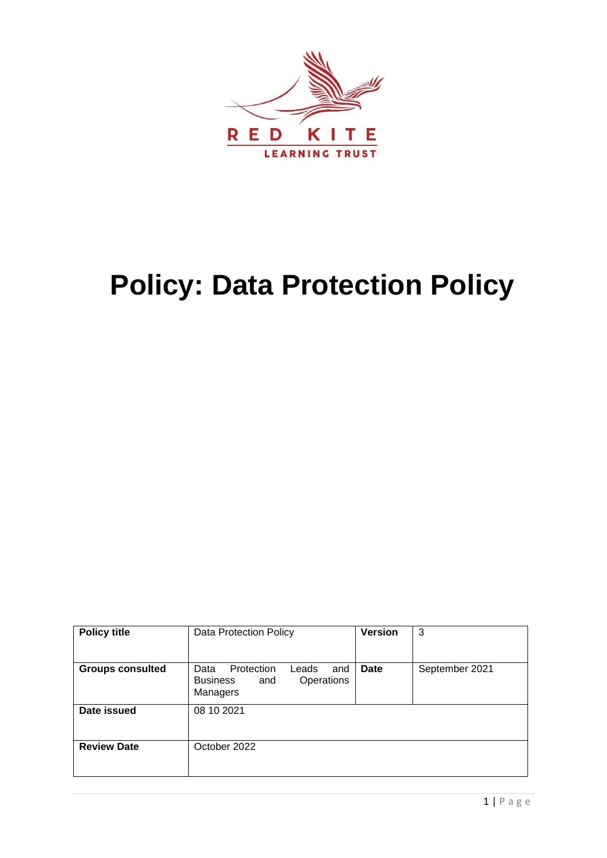

# **Policy: Data Protection Policy**

| <b>Policy title</b>     | Data Protection Policy                                                                 | <b>Version</b> | 3              |
|-------------------------|----------------------------------------------------------------------------------------|----------------|----------------|
| <b>Groups consulted</b> | Protection<br>Leads<br>Data<br>and<br>Operations<br><b>Business</b><br>and<br>Managers | <b>Date</b>    | September 2021 |
| Date issued             | 08 10 2021                                                                             |                |                |
| <b>Review Date</b>      | October 2022                                                                           |                |                |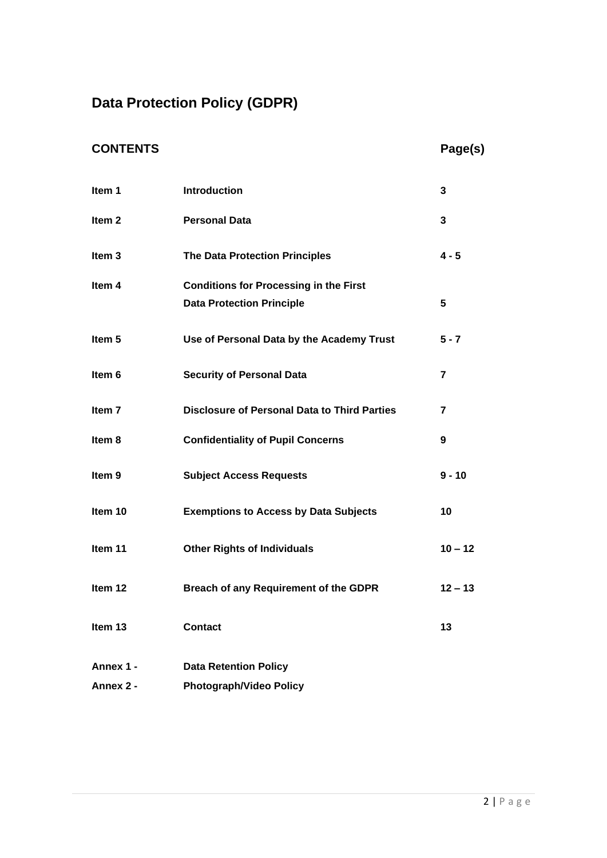## **Data Protection Policy (GDPR)**

### **CONTENTS Page(s)**

| Item 1            | <b>Introduction</b>                                                               | 3                       |
|-------------------|-----------------------------------------------------------------------------------|-------------------------|
| Item <sub>2</sub> | <b>Personal Data</b>                                                              | 3                       |
| Item <sub>3</sub> | <b>The Data Protection Principles</b>                                             | $4 - 5$                 |
| Item 4            | <b>Conditions for Processing in the First</b><br><b>Data Protection Principle</b> | 5                       |
| Item 5            | Use of Personal Data by the Academy Trust                                         | $5 - 7$                 |
| Item 6            | <b>Security of Personal Data</b>                                                  | $\overline{\mathbf{r}}$ |
| Item <sub>7</sub> | <b>Disclosure of Personal Data to Third Parties</b>                               | $\overline{7}$          |
| Item 8            | <b>Confidentiality of Pupil Concerns</b>                                          | 9                       |
| Item <sub>9</sub> | <b>Subject Access Requests</b>                                                    | $9 - 10$                |
| Item 10           | <b>Exemptions to Access by Data Subjects</b>                                      | 10                      |
| Item 11           | <b>Other Rights of Individuals</b>                                                | $10 - 12$               |
| Item 12           | Breach of any Requirement of the GDPR                                             | $12 - 13$               |
| Item 13           | <b>Contact</b>                                                                    | 13                      |
| Annex 1 -         | <b>Data Retention Policy</b>                                                      |                         |
| Annex 2 -         | <b>Photograph/Video Policy</b>                                                    |                         |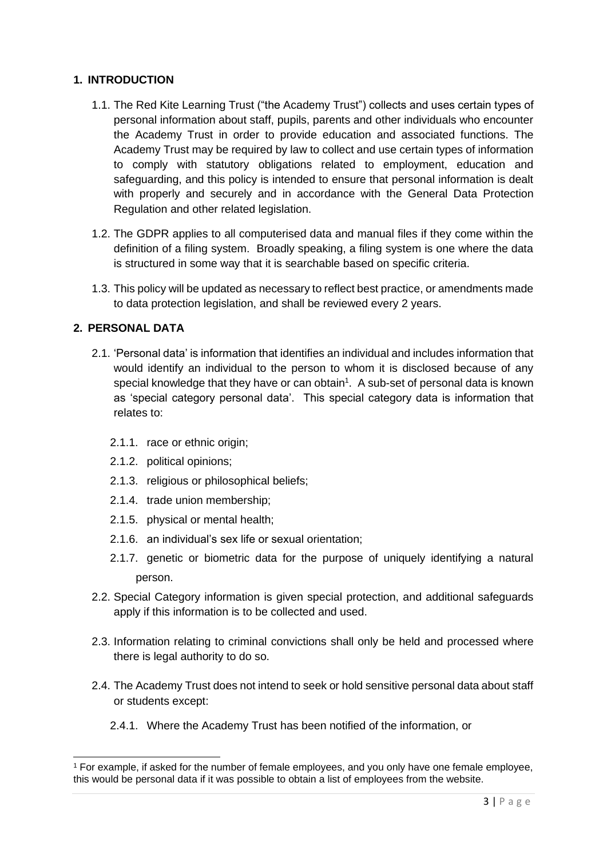#### **1. INTRODUCTION**

- 1.1. The Red Kite Learning Trust ("the Academy Trust") collects and uses certain types of personal information about staff, pupils, parents and other individuals who encounter the Academy Trust in order to provide education and associated functions. The Academy Trust may be required by law to collect and use certain types of information to comply with statutory obligations related to employment, education and safeguarding, and this policy is intended to ensure that personal information is dealt with properly and securely and in accordance with the General Data Protection Regulation and other related legislation.
- 1.2. The GDPR applies to all computerised data and manual files if they come within the definition of a filing system. Broadly speaking, a filing system is one where the data is structured in some way that it is searchable based on specific criteria.
- 1.3. This policy will be updated as necessary to reflect best practice, or amendments made to data protection legislation, and shall be reviewed every 2 years.

#### **2. PERSONAL DATA**

- 2.1. 'Personal data' is information that identifies an individual and includes information that would identify an individual to the person to whom it is disclosed because of any special knowledge that they have or can obtain<sup>1</sup>. A sub-set of personal data is known as 'special category personal data'. This special category data is information that relates to:
	- 2.1.1. race or ethnic origin;
	- 2.1.2. political opinions;
	- 2.1.3. religious or philosophical beliefs;
	- 2.1.4. trade union membership;
	- 2.1.5. physical or mental health;
	- 2.1.6. an individual's sex life or sexual orientation;
	- 2.1.7. genetic or biometric data for the purpose of uniquely identifying a natural person.
- 2.2. Special Category information is given special protection, and additional safeguards apply if this information is to be collected and used.
- 2.3. Information relating to criminal convictions shall only be held and processed where there is legal authority to do so.
- 2.4. The Academy Trust does not intend to seek or hold sensitive personal data about staff or students except:
	- 2.4.1. Where the Academy Trust has been notified of the information, or

<sup>1</sup> For example, if asked for the number of female employees, and you only have one female employee, this would be personal data if it was possible to obtain a list of employees from the website.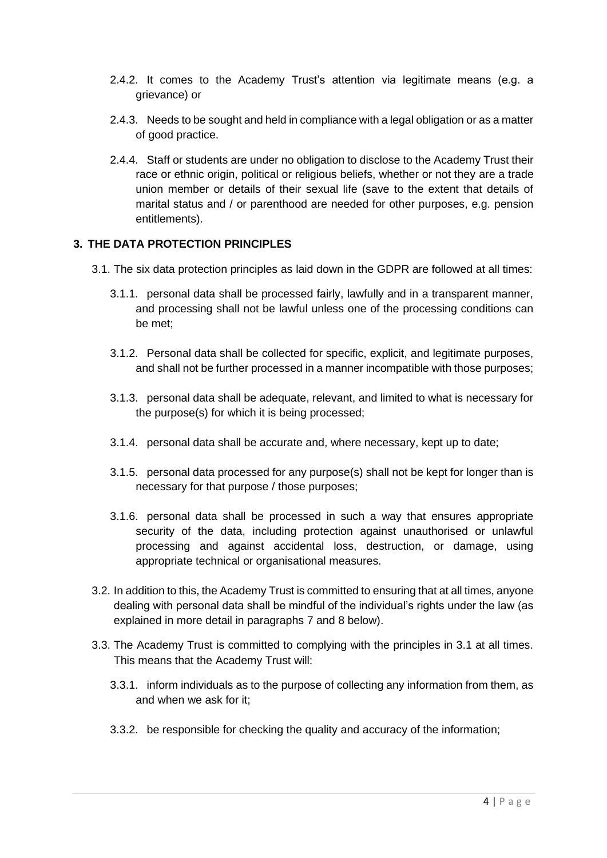- 2.4.2. It comes to the Academy Trust's attention via legitimate means (e.g. a grievance) or
- 2.4.3. Needs to be sought and held in compliance with a legal obligation or as a matter of good practice.
- 2.4.4. Staff or students are under no obligation to disclose to the Academy Trust their race or ethnic origin, political or religious beliefs, whether or not they are a trade union member or details of their sexual life (save to the extent that details of marital status and / or parenthood are needed for other purposes, e.g. pension entitlements).

#### **3. THE DATA PROTECTION PRINCIPLES**

- 3.1. The six data protection principles as laid down in the GDPR are followed at all times:
	- 3.1.1. personal data shall be processed fairly, lawfully and in a transparent manner, and processing shall not be lawful unless one of the processing conditions can be met;
	- 3.1.2. Personal data shall be collected for specific, explicit, and legitimate purposes, and shall not be further processed in a manner incompatible with those purposes;
	- 3.1.3. personal data shall be adequate, relevant, and limited to what is necessary for the purpose(s) for which it is being processed;
	- 3.1.4. personal data shall be accurate and, where necessary, kept up to date;
	- 3.1.5. personal data processed for any purpose(s) shall not be kept for longer than is necessary for that purpose / those purposes;
	- 3.1.6. personal data shall be processed in such a way that ensures appropriate security of the data, including protection against unauthorised or unlawful processing and against accidental loss, destruction, or damage, using appropriate technical or organisational measures.
- 3.2. In addition to this, the Academy Trust is committed to ensuring that at all times, anyone dealing with personal data shall be mindful of the individual's rights under the law (as explained in more detail in paragraphs 7 and 8 below).
- 3.3. The Academy Trust is committed to complying with the principles in 3.1 at all times. This means that the Academy Trust will:
	- 3.3.1. inform individuals as to the purpose of collecting any information from them, as and when we ask for it;
	- 3.3.2. be responsible for checking the quality and accuracy of the information;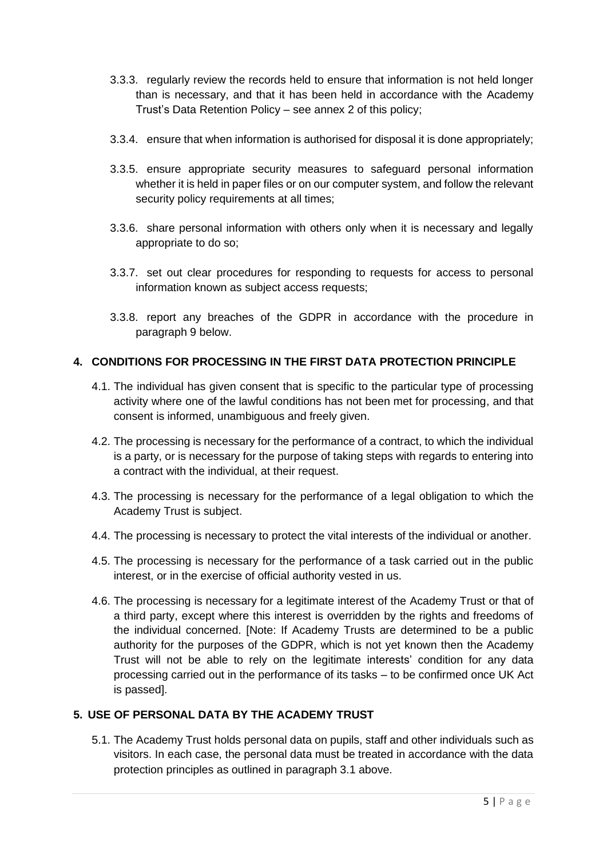- 3.3.3. regularly review the records held to ensure that information is not held longer than is necessary, and that it has been held in accordance with the Academy Trust's Data Retention Policy – see annex 2 of this policy;
- 3.3.4. ensure that when information is authorised for disposal it is done appropriately;
- 3.3.5. ensure appropriate security measures to safeguard personal information whether it is held in paper files or on our computer system, and follow the relevant security policy requirements at all times;
- 3.3.6. share personal information with others only when it is necessary and legally appropriate to do so;
- 3.3.7. set out clear procedures for responding to requests for access to personal information known as subject access requests;
- 3.3.8. report any breaches of the GDPR in accordance with the procedure in paragraph 9 below.

#### **4. CONDITIONS FOR PROCESSING IN THE FIRST DATA PROTECTION PRINCIPLE**

- 4.1. The individual has given consent that is specific to the particular type of processing activity where one of the lawful conditions has not been met for processing, and that consent is informed, unambiguous and freely given.
- 4.2. The processing is necessary for the performance of a contract, to which the individual is a party, or is necessary for the purpose of taking steps with regards to entering into a contract with the individual, at their request.
- 4.3. The processing is necessary for the performance of a legal obligation to which the Academy Trust is subject.
- 4.4. The processing is necessary to protect the vital interests of the individual or another.
- 4.5. The processing is necessary for the performance of a task carried out in the public interest, or in the exercise of official authority vested in us.
- 4.6. The processing is necessary for a legitimate interest of the Academy Trust or that of a third party, except where this interest is overridden by the rights and freedoms of the individual concerned. [Note: If Academy Trusts are determined to be a public authority for the purposes of the GDPR, which is not yet known then the Academy Trust will not be able to rely on the legitimate interests' condition for any data processing carried out in the performance of its tasks – to be confirmed once UK Act is passed].

#### **5. USE OF PERSONAL DATA BY THE ACADEMY TRUST**

5.1. The Academy Trust holds personal data on pupils, staff and other individuals such as visitors. In each case, the personal data must be treated in accordance with the data protection principles as outlined in paragraph 3.1 above.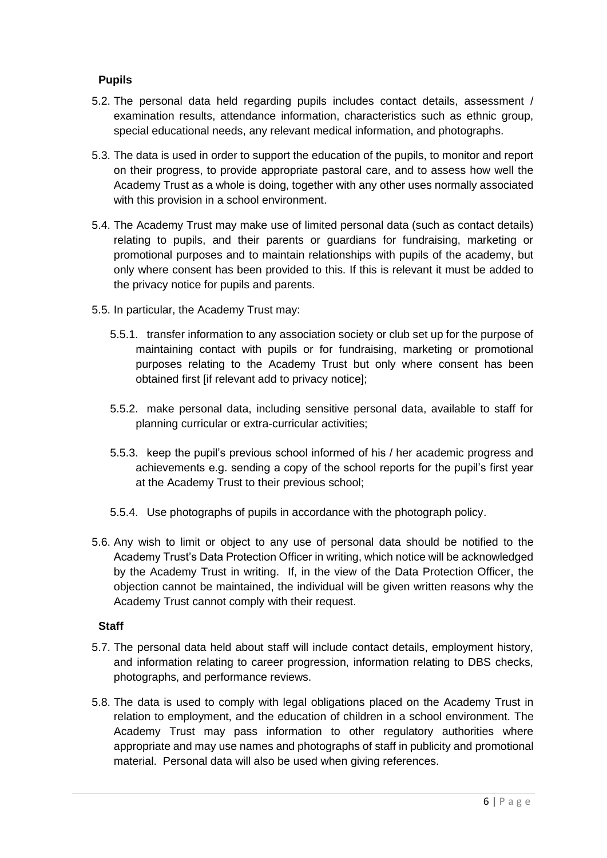#### **Pupils**

- 5.2. The personal data held regarding pupils includes contact details, assessment / examination results, attendance information, characteristics such as ethnic group, special educational needs, any relevant medical information, and photographs.
- 5.3. The data is used in order to support the education of the pupils, to monitor and report on their progress, to provide appropriate pastoral care, and to assess how well the Academy Trust as a whole is doing, together with any other uses normally associated with this provision in a school environment.
- 5.4. The Academy Trust may make use of limited personal data (such as contact details) relating to pupils, and their parents or guardians for fundraising, marketing or promotional purposes and to maintain relationships with pupils of the academy, but only where consent has been provided to this. If this is relevant it must be added to the privacy notice for pupils and parents.
- 5.5. In particular, the Academy Trust may:
	- 5.5.1. transfer information to any association society or club set up for the purpose of maintaining contact with pupils or for fundraising, marketing or promotional purposes relating to the Academy Trust but only where consent has been obtained first [if relevant add to privacy notice];
	- 5.5.2. make personal data, including sensitive personal data, available to staff for planning curricular or extra-curricular activities;
	- 5.5.3. keep the pupil's previous school informed of his / her academic progress and achievements e.g. sending a copy of the school reports for the pupil's first year at the Academy Trust to their previous school;
	- 5.5.4. Use photographs of pupils in accordance with the photograph policy.
- 5.6. Any wish to limit or object to any use of personal data should be notified to the Academy Trust's Data Protection Officer in writing, which notice will be acknowledged by the Academy Trust in writing. If, in the view of the Data Protection Officer, the objection cannot be maintained, the individual will be given written reasons why the Academy Trust cannot comply with their request.

#### **Staff**

- 5.7. The personal data held about staff will include contact details, employment history, and information relating to career progression, information relating to DBS checks, photographs, and performance reviews.
- 5.8. The data is used to comply with legal obligations placed on the Academy Trust in relation to employment, and the education of children in a school environment. The Academy Trust may pass information to other regulatory authorities where appropriate and may use names and photographs of staff in publicity and promotional material. Personal data will also be used when giving references.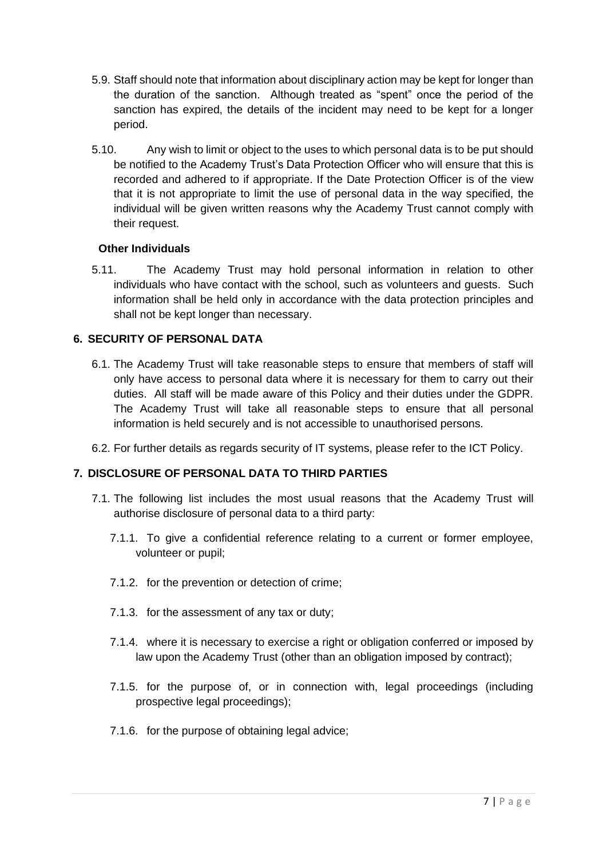- 5.9. Staff should note that information about disciplinary action may be kept for longer than the duration of the sanction. Although treated as "spent" once the period of the sanction has expired, the details of the incident may need to be kept for a longer period.
- 5.10. Any wish to limit or object to the uses to which personal data is to be put should be notified to the Academy Trust's Data Protection Officer who will ensure that this is recorded and adhered to if appropriate. If the Date Protection Officer is of the view that it is not appropriate to limit the use of personal data in the way specified, the individual will be given written reasons why the Academy Trust cannot comply with their request.

#### **Other Individuals**

5.11. The Academy Trust may hold personal information in relation to other individuals who have contact with the school, such as volunteers and guests. Such information shall be held only in accordance with the data protection principles and shall not be kept longer than necessary.

#### **6. SECURITY OF PERSONAL DATA**

- 6.1. The Academy Trust will take reasonable steps to ensure that members of staff will only have access to personal data where it is necessary for them to carry out their duties. All staff will be made aware of this Policy and their duties under the GDPR. The Academy Trust will take all reasonable steps to ensure that all personal information is held securely and is not accessible to unauthorised persons.
- 6.2. For further details as regards security of IT systems, please refer to the ICT Policy.

#### **7. DISCLOSURE OF PERSONAL DATA TO THIRD PARTIES**

- 7.1. The following list includes the most usual reasons that the Academy Trust will authorise disclosure of personal data to a third party:
	- 7.1.1. To give a confidential reference relating to a current or former employee, volunteer or pupil;
	- 7.1.2. for the prevention or detection of crime;
	- 7.1.3. for the assessment of any tax or duty;
	- 7.1.4. where it is necessary to exercise a right or obligation conferred or imposed by law upon the Academy Trust (other than an obligation imposed by contract);
	- 7.1.5. for the purpose of, or in connection with, legal proceedings (including prospective legal proceedings);
	- 7.1.6. for the purpose of obtaining legal advice;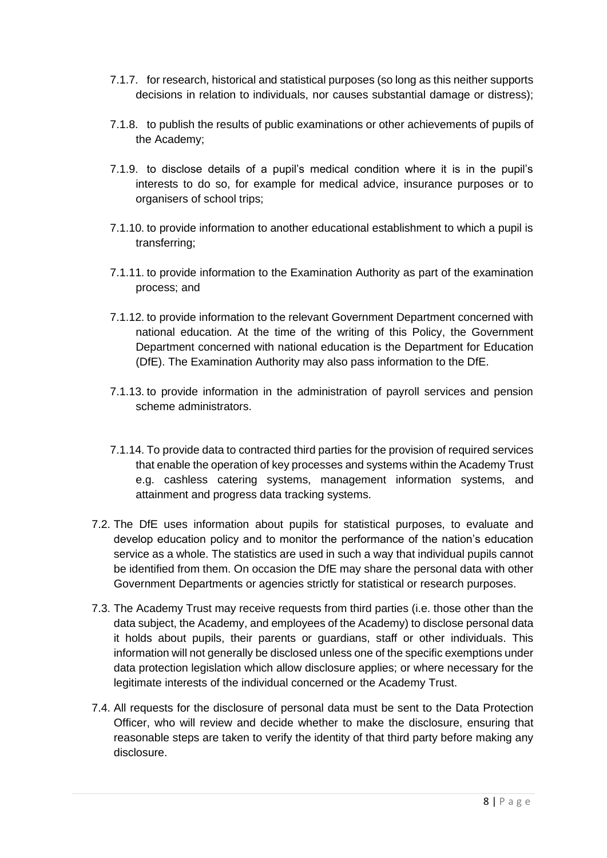- 7.1.7. for research, historical and statistical purposes (so long as this neither supports decisions in relation to individuals, nor causes substantial damage or distress);
- 7.1.8. to publish the results of public examinations or other achievements of pupils of the Academy;
- 7.1.9. to disclose details of a pupil's medical condition where it is in the pupil's interests to do so, for example for medical advice, insurance purposes or to organisers of school trips;
- 7.1.10. to provide information to another educational establishment to which a pupil is transferring;
- 7.1.11. to provide information to the Examination Authority as part of the examination process; and
- 7.1.12. to provide information to the relevant Government Department concerned with national education. At the time of the writing of this Policy, the Government Department concerned with national education is the Department for Education (DfE). The Examination Authority may also pass information to the DfE.
- 7.1.13. to provide information in the administration of payroll services and pension scheme administrators.
- 7.1.14. To provide data to contracted third parties for the provision of required services that enable the operation of key processes and systems within the Academy Trust e.g. cashless catering systems, management information systems, and attainment and progress data tracking systems.
- 7.2. The DfE uses information about pupils for statistical purposes, to evaluate and develop education policy and to monitor the performance of the nation's education service as a whole. The statistics are used in such a way that individual pupils cannot be identified from them. On occasion the DfE may share the personal data with other Government Departments or agencies strictly for statistical or research purposes.
- 7.3. The Academy Trust may receive requests from third parties (i.e. those other than the data subject, the Academy, and employees of the Academy) to disclose personal data it holds about pupils, their parents or guardians, staff or other individuals. This information will not generally be disclosed unless one of the specific exemptions under data protection legislation which allow disclosure applies; or where necessary for the legitimate interests of the individual concerned or the Academy Trust.
- 7.4. All requests for the disclosure of personal data must be sent to the Data Protection Officer, who will review and decide whether to make the disclosure, ensuring that reasonable steps are taken to verify the identity of that third party before making any disclosure.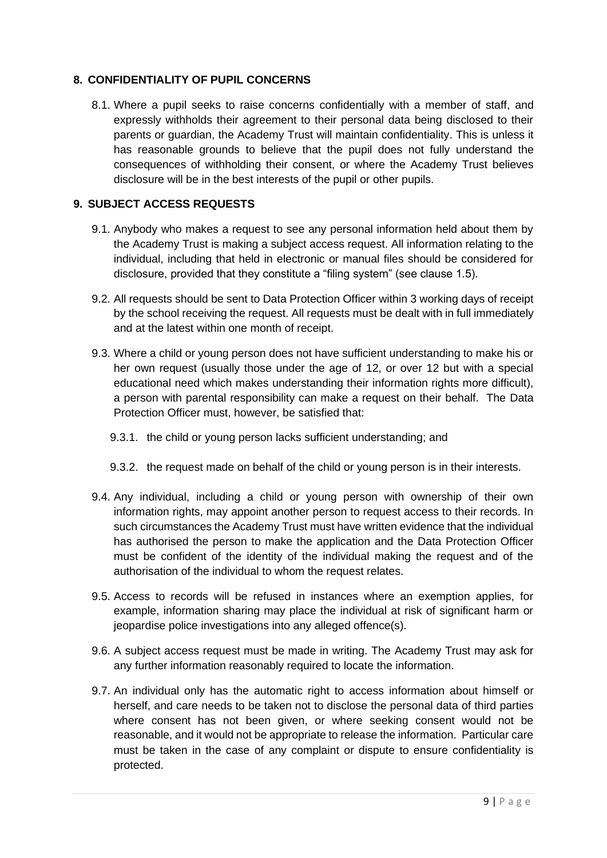#### **8. CONFIDENTIALITY OF PUPIL CONCERNS**

8.1. Where a pupil seeks to raise concerns confidentially with a member of staff, and expressly withholds their agreement to their personal data being disclosed to their parents or guardian, the Academy Trust will maintain confidentiality. This is unless it has reasonable grounds to believe that the pupil does not fully understand the consequences of withholding their consent, or where the Academy Trust believes disclosure will be in the best interests of the pupil or other pupils.

#### **9. SUBJECT ACCESS REQUESTS**

- 9.1. Anybody who makes a request to see any personal information held about them by the Academy Trust is making a subject access request. All information relating to the individual, including that held in electronic or manual files should be considered for disclosure, provided that they constitute a "filing system" (see clause 1.5).
- 9.2. All requests should be sent to Data Protection Officer within 3 working days of receipt by the school receiving the request. All requests must be dealt with in full immediately and at the latest within one month of receipt.
- 9.3. Where a child or young person does not have sufficient understanding to make his or her own request (usually those under the age of 12, or over 12 but with a special educational need which makes understanding their information rights more difficult), a person with parental responsibility can make a request on their behalf. The Data Protection Officer must, however, be satisfied that:
	- 9.3.1. the child or young person lacks sufficient understanding; and
	- 9.3.2. the request made on behalf of the child or young person is in their interests.
- 9.4. Any individual, including a child or young person with ownership of their own information rights, may appoint another person to request access to their records. In such circumstances the Academy Trust must have written evidence that the individual has authorised the person to make the application and the Data Protection Officer must be confident of the identity of the individual making the request and of the authorisation of the individual to whom the request relates.
- 9.5. Access to records will be refused in instances where an exemption applies, for example, information sharing may place the individual at risk of significant harm or jeopardise police investigations into any alleged offence(s).
- 9.6. A subject access request must be made in writing. The Academy Trust may ask for any further information reasonably required to locate the information.
- 9.7. An individual only has the automatic right to access information about himself or herself, and care needs to be taken not to disclose the personal data of third parties where consent has not been given, or where seeking consent would not be reasonable, and it would not be appropriate to release the information. Particular care must be taken in the case of any complaint or dispute to ensure confidentiality is protected.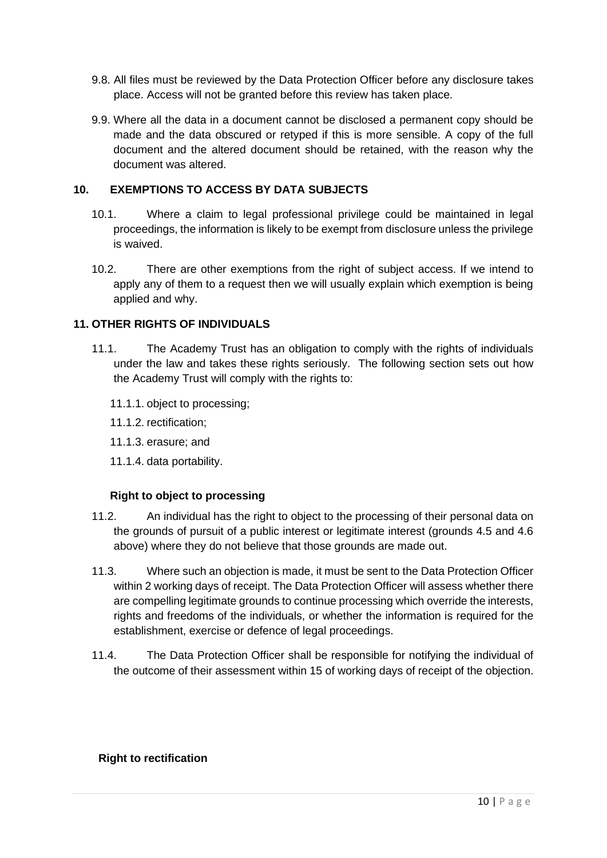- 9.8. All files must be reviewed by the Data Protection Officer before any disclosure takes place. Access will not be granted before this review has taken place.
- 9.9. Where all the data in a document cannot be disclosed a permanent copy should be made and the data obscured or retyped if this is more sensible. A copy of the full document and the altered document should be retained, with the reason why the document was altered.

#### **10. EXEMPTIONS TO ACCESS BY DATA SUBJECTS**

- 10.1. Where a claim to legal professional privilege could be maintained in legal proceedings, the information is likely to be exempt from disclosure unless the privilege is waived.
- 10.2. There are other exemptions from the right of subject access. If we intend to apply any of them to a request then we will usually explain which exemption is being applied and why.

#### **11. OTHER RIGHTS OF INDIVIDUALS**

- 11.1. The Academy Trust has an obligation to comply with the rights of individuals under the law and takes these rights seriously. The following section sets out how the Academy Trust will comply with the rights to:
	- 11.1.1. object to processing;
	- 11.1.2. rectification;
	- 11.1.3. erasure; and
	- 11.1.4. data portability.

#### **Right to object to processing**

- 11.2. An individual has the right to object to the processing of their personal data on the grounds of pursuit of a public interest or legitimate interest (grounds 4.5 and 4.6 above) where they do not believe that those grounds are made out.
- 11.3. Where such an objection is made, it must be sent to the Data Protection Officer within 2 working days of receipt. The Data Protection Officer will assess whether there are compelling legitimate grounds to continue processing which override the interests, rights and freedoms of the individuals, or whether the information is required for the establishment, exercise or defence of legal proceedings.
- 11.4. The Data Protection Officer shall be responsible for notifying the individual of the outcome of their assessment within 15 of working days of receipt of the objection.

#### **Right to rectification**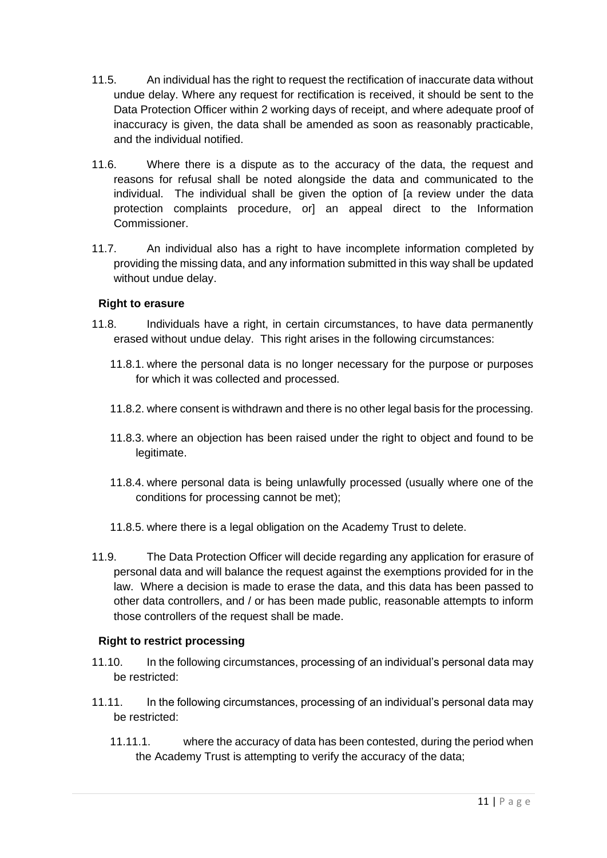- 11.5. An individual has the right to request the rectification of inaccurate data without undue delay. Where any request for rectification is received, it should be sent to the Data Protection Officer within 2 working days of receipt, and where adequate proof of inaccuracy is given, the data shall be amended as soon as reasonably practicable, and the individual notified.
- 11.6. Where there is a dispute as to the accuracy of the data, the request and reasons for refusal shall be noted alongside the data and communicated to the individual. The individual shall be given the option of [a review under the data protection complaints procedure, or] an appeal direct to the Information Commissioner.
- 11.7. An individual also has a right to have incomplete information completed by providing the missing data, and any information submitted in this way shall be updated without undue delay.

#### **Right to erasure**

- 11.8. Individuals have a right, in certain circumstances, to have data permanently erased without undue delay. This right arises in the following circumstances:
	- 11.8.1. where the personal data is no longer necessary for the purpose or purposes for which it was collected and processed.
	- 11.8.2. where consent is withdrawn and there is no other legal basis for the processing.
	- 11.8.3. where an objection has been raised under the right to object and found to be legitimate.
	- 11.8.4. where personal data is being unlawfully processed (usually where one of the conditions for processing cannot be met);
	- 11.8.5. where there is a legal obligation on the Academy Trust to delete.
- 11.9. The Data Protection Officer will decide regarding any application for erasure of personal data and will balance the request against the exemptions provided for in the law. Where a decision is made to erase the data, and this data has been passed to other data controllers, and / or has been made public, reasonable attempts to inform those controllers of the request shall be made.

#### **Right to restrict processing**

- 11.10. In the following circumstances, processing of an individual's personal data may be restricted:
- 11.11. In the following circumstances, processing of an individual's personal data may be restricted:
	- 11.11.1. where the accuracy of data has been contested, during the period when the Academy Trust is attempting to verify the accuracy of the data;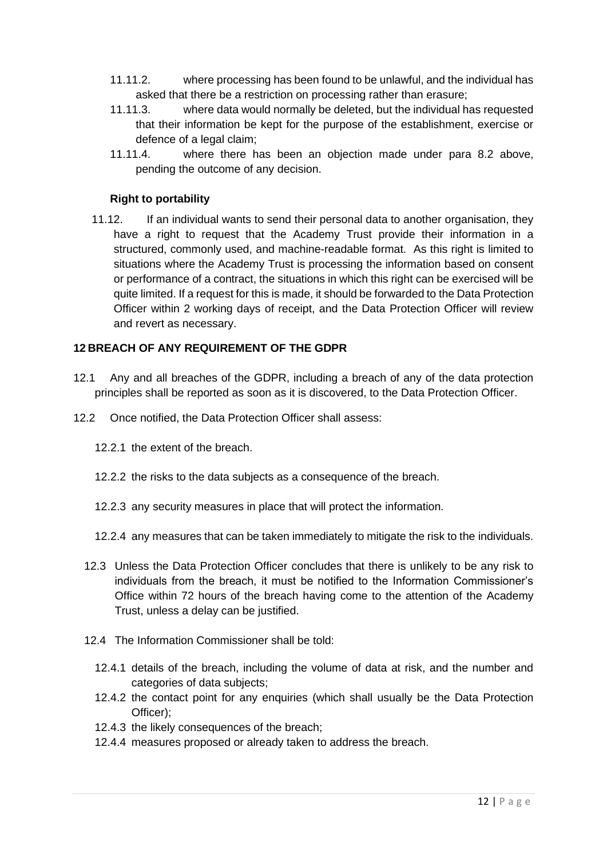- 11.11.2. where processing has been found to be unlawful, and the individual has asked that there be a restriction on processing rather than erasure;
- 11.11.3. where data would normally be deleted, but the individual has requested that their information be kept for the purpose of the establishment, exercise or defence of a legal claim;
- 11.11.4. where there has been an objection made under para 8.2 above, pending the outcome of any decision.

#### **Right to portability**

11.12. If an individual wants to send their personal data to another organisation, they have a right to request that the Academy Trust provide their information in a structured, commonly used, and machine-readable format. As this right is limited to situations where the Academy Trust is processing the information based on consent or performance of a contract, the situations in which this right can be exercised will be quite limited. If a request for this is made, it should be forwarded to the Data Protection Officer within 2 working days of receipt, and the Data Protection Officer will review and revert as necessary.

#### **12 BREACH OF ANY REQUIREMENT OF THE GDPR**

- 12.1 Any and all breaches of the GDPR, including a breach of any of the data protection principles shall be reported as soon as it is discovered, to the Data Protection Officer.
- 12.2 Once notified, the Data Protection Officer shall assess:
	- 12.2.1 the extent of the breach.
	- 12.2.2 the risks to the data subjects as a consequence of the breach.
	- 12.2.3 any security measures in place that will protect the information.
	- 12.2.4 any measures that can be taken immediately to mitigate the risk to the individuals.
	- 12.3 Unless the Data Protection Officer concludes that there is unlikely to be any risk to individuals from the breach, it must be notified to the Information Commissioner's Office within 72 hours of the breach having come to the attention of the Academy Trust, unless a delay can be justified.
	- 12.4 The Information Commissioner shall be told:
		- 12.4.1 details of the breach, including the volume of data at risk, and the number and categories of data subjects;
		- 12.4.2 the contact point for any enquiries (which shall usually be the Data Protection Officer);
		- 12.4.3 the likely consequences of the breach;
		- 12.4.4 measures proposed or already taken to address the breach.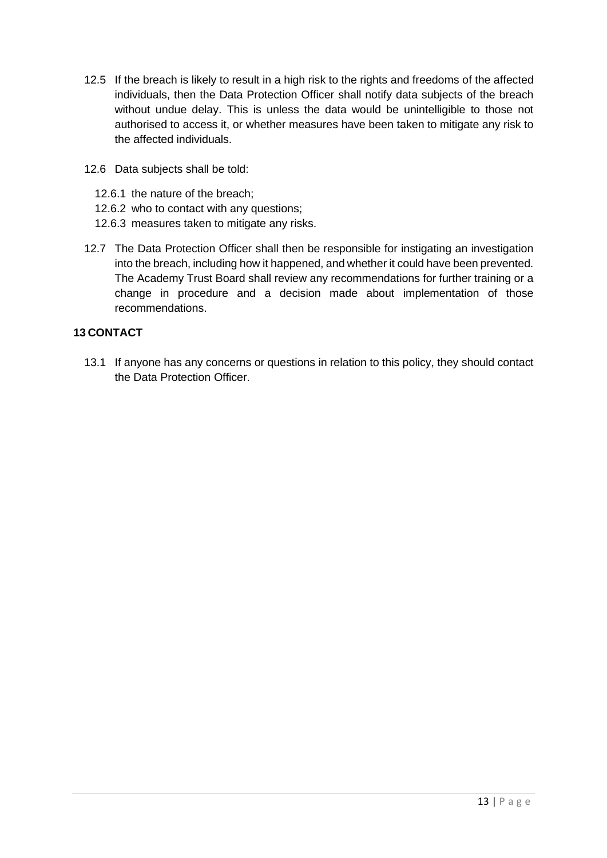- 12.5 If the breach is likely to result in a high risk to the rights and freedoms of the affected individuals, then the Data Protection Officer shall notify data subjects of the breach without undue delay. This is unless the data would be unintelligible to those not authorised to access it, or whether measures have been taken to mitigate any risk to the affected individuals.
- 12.6 Data subjects shall be told:
	- 12.6.1 the nature of the breach;
	- 12.6.2 who to contact with any questions;
	- 12.6.3 measures taken to mitigate any risks.
- 12.7 The Data Protection Officer shall then be responsible for instigating an investigation into the breach, including how it happened, and whether it could have been prevented. The Academy Trust Board shall review any recommendations for further training or a change in procedure and a decision made about implementation of those recommendations.

#### **13 CONTACT**

13.1 If anyone has any concerns or questions in relation to this policy, they should contact the Data Protection Officer.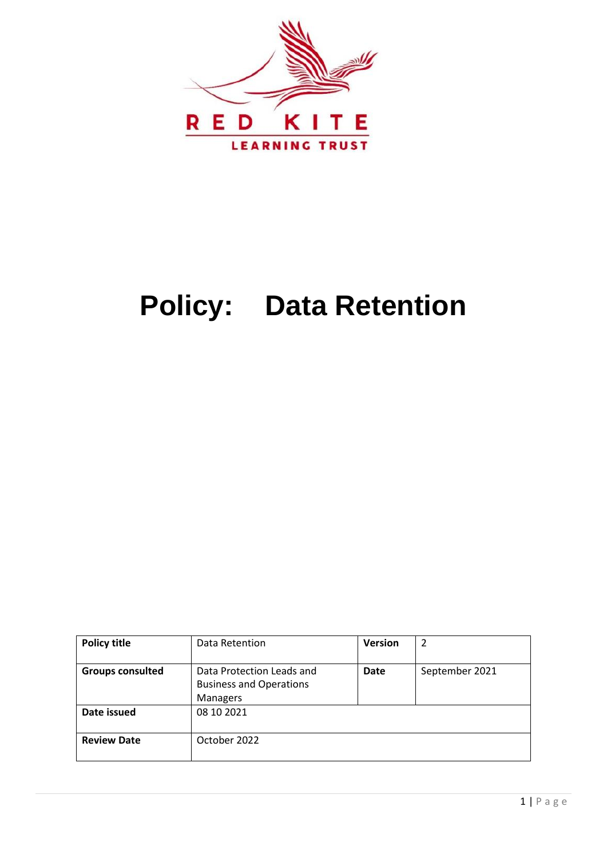

## **Policy: Data Retention**

| <b>Policy title</b>     | Data Retention                                                                 | <b>Version</b> | 2              |
|-------------------------|--------------------------------------------------------------------------------|----------------|----------------|
| <b>Groups consulted</b> | Data Protection Leads and<br><b>Business and Operations</b><br><b>Managers</b> | <b>Date</b>    | September 2021 |
| Date issued             | 08 10 2021                                                                     |                |                |
| <b>Review Date</b>      | October 2022                                                                   |                |                |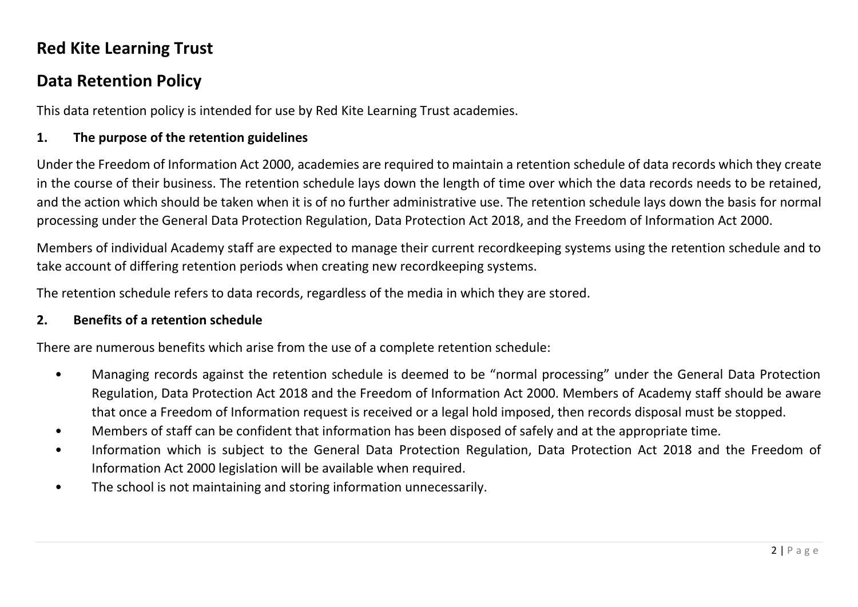## **Red Kite Learning Trust**

## **Data Retention Policy**

This data retention policy is intended for use by Red Kite Learning Trust academies.

#### **1. The purpose of the retention guidelines**

Under the Freedom of Information Act 2000, academies are required to maintain a retention schedule of data records which they create in the course of their business. The retention schedule lays down the length of time over which the data records needs to be retained, and the action which should be taken when it is of no further administrative use. The retention schedule lays down the basis for normal processing under the General Data Protection Regulation, Data Protection Act 2018, and the Freedom of Information Act 2000.

Members of individual Academy staff are expected to manage their current recordkeeping systems using the retention schedule and to take account of differing retention periods when creating new recordkeeping systems.

The retention schedule refers to data records, regardless of the media in which they are stored.

#### **2. Benefits of a retention schedule**

There are numerous benefits which arise from the use of a complete retention schedule:

- Managing records against the retention schedule is deemed to be "normal processing" under the General Data Protection Regulation, Data Protection Act 2018 and the Freedom of Information Act 2000. Members of Academy staff should be aware that once a Freedom of Information request is received or a legal hold imposed, then records disposal must be stopped.
- Members of staff can be confident that information has been disposed of safely and at the appropriate time.
- Information which is subject to the General Data Protection Regulation, Data Protection Act 2018 and the Freedom of Information Act 2000 legislation will be available when required.
- The school is not maintaining and storing information unnecessarily.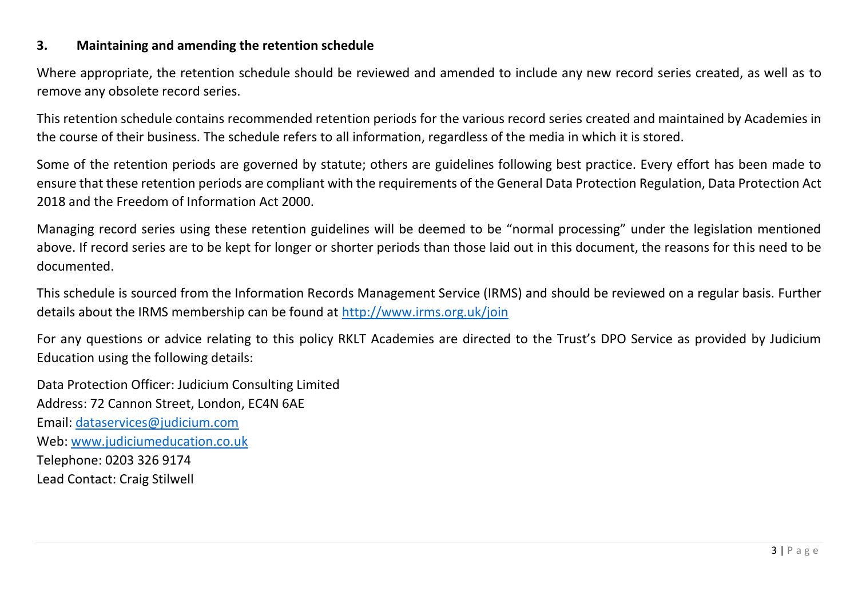#### **3. Maintaining and amending the retention schedule**

Where appropriate, the retention schedule should be reviewed and amended to include any new record series created, as well as to remove any obsolete record series.

This retention schedule contains recommended retention periods for the various record series created and maintained by Academies in the course of their business. The schedule refers to all information, regardless of the media in which it is stored.

Some of the retention periods are governed by statute; others are guidelines following best practice. Every effort has been made to ensure that these retention periods are compliant with the requirements of the General Data Protection Regulation, Data Protection Act 2018 and the Freedom of Information Act 2000.

Managing record series using these retention guidelines will be deemed to be "normal processing" under the legislation mentioned above. If record series are to be kept for longer or shorter periods than those laid out in this document, the reasons for this need to be documented.

This schedule is sourced from the Information Records Management Service (IRMS) and should be reviewed on a regular basis. Further details about the IRMS membership can be found at <http://www.irms.org.uk/join>

For any questions or advice relating to this policy RKLT Academies are directed to the Trust's DPO Service as provided by Judicium Education using the following details:

Data Protection Officer: Judicium Consulting Limited Address: 72 Cannon Street, London, EC4N 6AE Email: [dataservices@judicium.com](mailto:dataservices@judicium.com) Web: [www.judiciumeducation.co.uk](http://www.judiciumeducation.co.uk/) Telephone: 0203 326 9174 Lead Contact: Craig Stilwell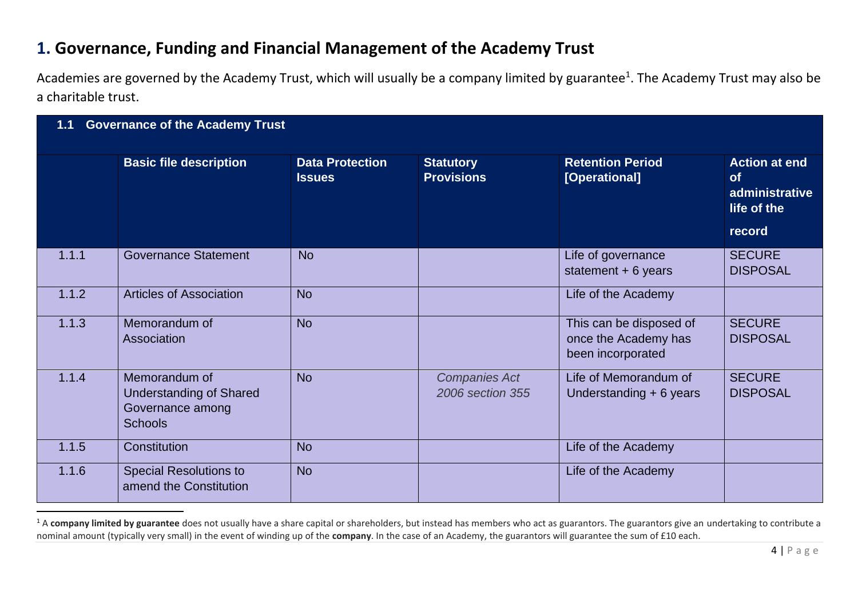## **1. Governance, Funding and Financial Management of the Academy Trust**

Academies are governed by the Academy Trust, which will usually be a company limited by guarantee<sup>1</sup>. The Academy Trust may also be a charitable trust.

| <b>Governance of the Academy Trust</b><br>1.1 |                                                                                       |                                         |                                          |                                                                      |                                                                    |  |
|-----------------------------------------------|---------------------------------------------------------------------------------------|-----------------------------------------|------------------------------------------|----------------------------------------------------------------------|--------------------------------------------------------------------|--|
|                                               | <b>Basic file description</b>                                                         | <b>Data Protection</b><br><b>Issues</b> | <b>Statutory</b><br><b>Provisions</b>    | <b>Retention Period</b><br>[Operational]                             | <b>Action at end</b><br><b>of</b><br>administrative<br>life of the |  |
|                                               |                                                                                       |                                         |                                          |                                                                      | record                                                             |  |
| 1.1.1                                         | <b>Governance Statement</b>                                                           | <b>No</b>                               |                                          | Life of governance<br>statement $+ 6$ years                          | <b>SECURE</b><br><b>DISPOSAL</b>                                   |  |
| 1.1.2                                         | <b>Articles of Association</b>                                                        | <b>No</b>                               |                                          | Life of the Academy                                                  |                                                                    |  |
| 1.1.3                                         | Memorandum of<br>Association                                                          | <b>No</b>                               |                                          | This can be disposed of<br>once the Academy has<br>been incorporated | <b>SECURE</b><br><b>DISPOSAL</b>                                   |  |
| 1.1.4                                         | Memorandum of<br><b>Understanding of Shared</b><br>Governance among<br><b>Schools</b> | <b>No</b>                               | <b>Companies Act</b><br>2006 section 355 | Life of Memorandum of<br>Understanding $+6$ years                    | <b>SECURE</b><br><b>DISPOSAL</b>                                   |  |
| 1.1.5                                         | Constitution                                                                          | <b>No</b>                               |                                          | Life of the Academy                                                  |                                                                    |  |
| 1.1.6                                         | <b>Special Resolutions to</b><br>amend the Constitution                               | <b>No</b>                               |                                          | Life of the Academy                                                  |                                                                    |  |

<sup>&</sup>lt;sup>1</sup> A company limited by guarantee does not usually have a share capital or shareholders, but instead has members who act as guarantors. The guarantors give an undertaking to contribute a nominal amount (typically very small) in the event of winding up of the **company**. In the case of an Academy, the guarantors will guarantee the sum of £10 each.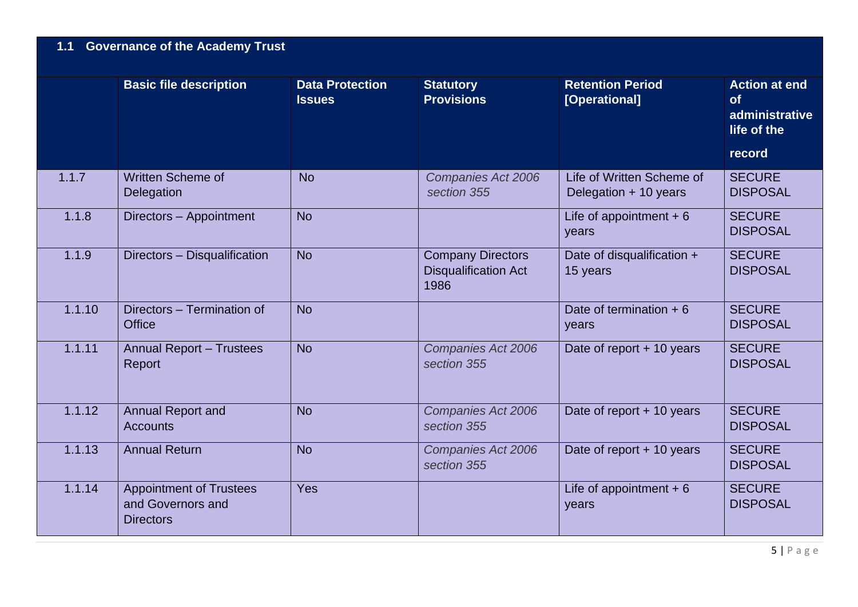## **1.1 Governance of the Academy Trust**

|        | <b>Basic file description</b>                                           | <b>Data Protection</b><br><b>Issues</b> | <b>Statutory</b><br><b>Provisions</b>                           | <b>Retention Period</b><br>[Operational]           | <b>Action at end</b><br>of<br>administrative<br>life of the<br>record |
|--------|-------------------------------------------------------------------------|-----------------------------------------|-----------------------------------------------------------------|----------------------------------------------------|-----------------------------------------------------------------------|
| 1.1.7  | <b>Written Scheme of</b><br>Delegation                                  | <b>No</b>                               | <b>Companies Act 2006</b><br>section 355                        | Life of Written Scheme of<br>Delegation + 10 years | <b>SECURE</b><br><b>DISPOSAL</b>                                      |
| 1.1.8  | Directors - Appointment                                                 | <b>No</b>                               |                                                                 | Life of appointment $+6$<br>years                  | <b>SECURE</b><br><b>DISPOSAL</b>                                      |
| 1.1.9  | Directors - Disqualification                                            | <b>No</b>                               | <b>Company Directors</b><br><b>Disqualification Act</b><br>1986 | Date of disqualification +<br>15 years             | <b>SECURE</b><br><b>DISPOSAL</b>                                      |
| 1.1.10 | Directors - Termination of<br><b>Office</b>                             | <b>No</b>                               |                                                                 | Date of termination $+6$<br>years                  | <b>SECURE</b><br><b>DISPOSAL</b>                                      |
| 1.1.11 | <b>Annual Report - Trustees</b><br>Report                               | <b>No</b>                               | Companies Act 2006<br>section 355                               | Date of report + 10 years                          | <b>SECURE</b><br><b>DISPOSAL</b>                                      |
| 1.1.12 | <b>Annual Report and</b><br><b>Accounts</b>                             | <b>No</b>                               | Companies Act 2006<br>section 355                               | Date of report + 10 years                          | <b>SECURE</b><br><b>DISPOSAL</b>                                      |
| 1.1.13 | <b>Annual Return</b>                                                    | <b>No</b>                               | Companies Act 2006<br>section 355                               | Date of report $+$ 10 years                        | <b>SECURE</b><br><b>DISPOSAL</b>                                      |
| 1.1.14 | <b>Appointment of Trustees</b><br>and Governors and<br><b>Directors</b> | Yes                                     |                                                                 | Life of appointment $+6$<br>years                  | <b>SECURE</b><br><b>DISPOSAL</b>                                      |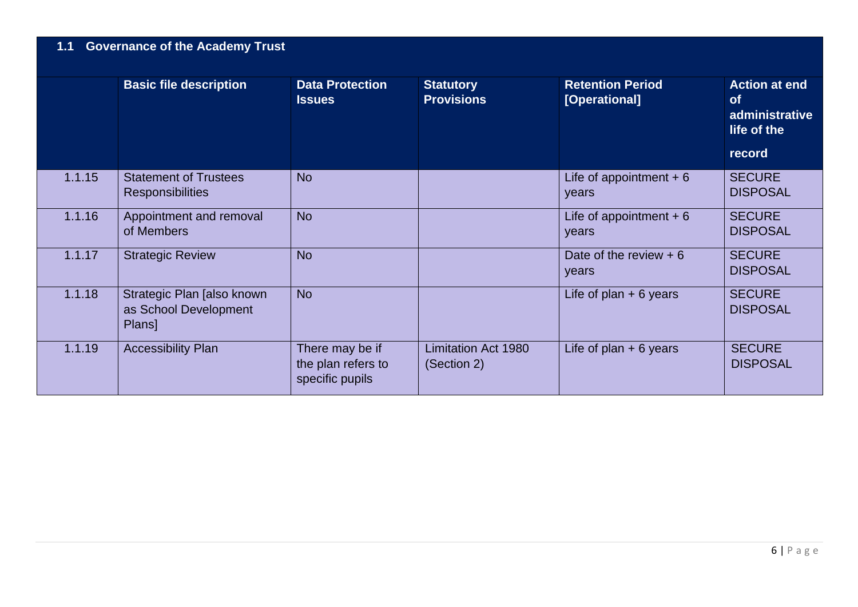## **1.1 Governance of the Academy Trust**

|        | <b>Basic file description</b>                                 | <b>Data Protection</b><br><b>Issues</b>                  | <b>Statutory</b><br><b>Provisions</b>     | <b>Retention Period</b><br>[Operational] | <b>Action at end</b><br><b>of</b><br>administrative<br>life of the<br>record |
|--------|---------------------------------------------------------------|----------------------------------------------------------|-------------------------------------------|------------------------------------------|------------------------------------------------------------------------------|
| 1.1.15 | <b>Statement of Trustees</b><br><b>Responsibilities</b>       | <b>No</b>                                                |                                           | Life of appointment $+6$<br>years        | <b>SECURE</b><br><b>DISPOSAL</b>                                             |
| 1.1.16 | Appointment and removal<br>of Members                         | <b>No</b>                                                |                                           | Life of appointment $+6$<br>years        | <b>SECURE</b><br><b>DISPOSAL</b>                                             |
| 1.1.17 | <b>Strategic Review</b>                                       | <b>No</b>                                                |                                           | Date of the review $+6$<br>years         | <b>SECURE</b><br><b>DISPOSAL</b>                                             |
| 1.1.18 | Strategic Plan [also known<br>as School Development<br>Plans] | <b>No</b>                                                |                                           | Life of plan $+6$ years                  | <b>SECURE</b><br><b>DISPOSAL</b>                                             |
| 1.1.19 | <b>Accessibility Plan</b>                                     | There may be if<br>the plan refers to<br>specific pupils | <b>Limitation Act 1980</b><br>(Section 2) | Life of plan $+ 6$ years                 | <b>SECURE</b><br><b>DISPOSAL</b>                                             |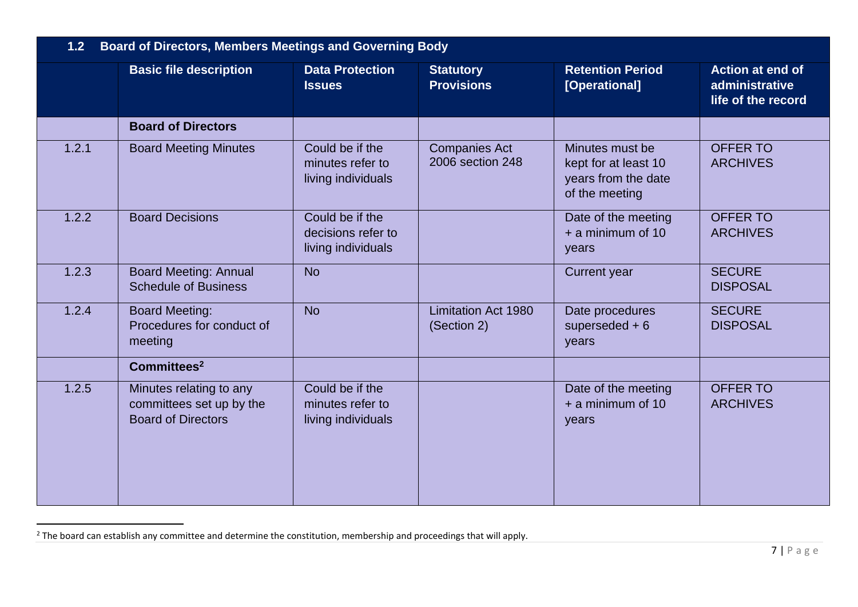| <b>Board of Directors, Members Meetings and Governing Body</b><br>1.2 |                                                                                  |                                                             |                                           |                                                                                  |                                                                 |
|-----------------------------------------------------------------------|----------------------------------------------------------------------------------|-------------------------------------------------------------|-------------------------------------------|----------------------------------------------------------------------------------|-----------------------------------------------------------------|
|                                                                       | <b>Basic file description</b>                                                    | <b>Data Protection</b><br><b>Issues</b>                     | <b>Statutory</b><br><b>Provisions</b>     | <b>Retention Period</b><br>[Operational]                                         | <b>Action at end of</b><br>administrative<br>life of the record |
|                                                                       | <b>Board of Directors</b>                                                        |                                                             |                                           |                                                                                  |                                                                 |
| 1.2.1                                                                 | <b>Board Meeting Minutes</b>                                                     | Could be if the<br>minutes refer to<br>living individuals   | <b>Companies Act</b><br>2006 section 248  | Minutes must be<br>kept for at least 10<br>years from the date<br>of the meeting | <b>OFFER TO</b><br><b>ARCHIVES</b>                              |
| 1.2.2                                                                 | <b>Board Decisions</b>                                                           | Could be if the<br>decisions refer to<br>living individuals |                                           | Date of the meeting<br>$+$ a minimum of 10<br>years                              | <b>OFFER TO</b><br><b>ARCHIVES</b>                              |
| 1.2.3                                                                 | <b>Board Meeting: Annual</b><br><b>Schedule of Business</b>                      | <b>No</b>                                                   |                                           | <b>Current year</b>                                                              | <b>SECURE</b><br><b>DISPOSAL</b>                                |
| 1.2.4                                                                 | <b>Board Meeting:</b><br>Procedures for conduct of<br>meeting                    | <b>No</b>                                                   | <b>Limitation Act 1980</b><br>(Section 2) | Date procedures<br>superseded $+6$<br>years                                      | <b>SECURE</b><br><b>DISPOSAL</b>                                |
|                                                                       | Committees <sup>2</sup>                                                          |                                                             |                                           |                                                                                  |                                                                 |
| 1.2.5                                                                 | Minutes relating to any<br>committees set up by the<br><b>Board of Directors</b> | Could be if the<br>minutes refer to<br>living individuals   |                                           | Date of the meeting<br>$+$ a minimum of 10<br>years                              | <b>OFFER TO</b><br><b>ARCHIVES</b>                              |

 $2$  The board can establish any committee and determine the constitution, membership and proceedings that will apply.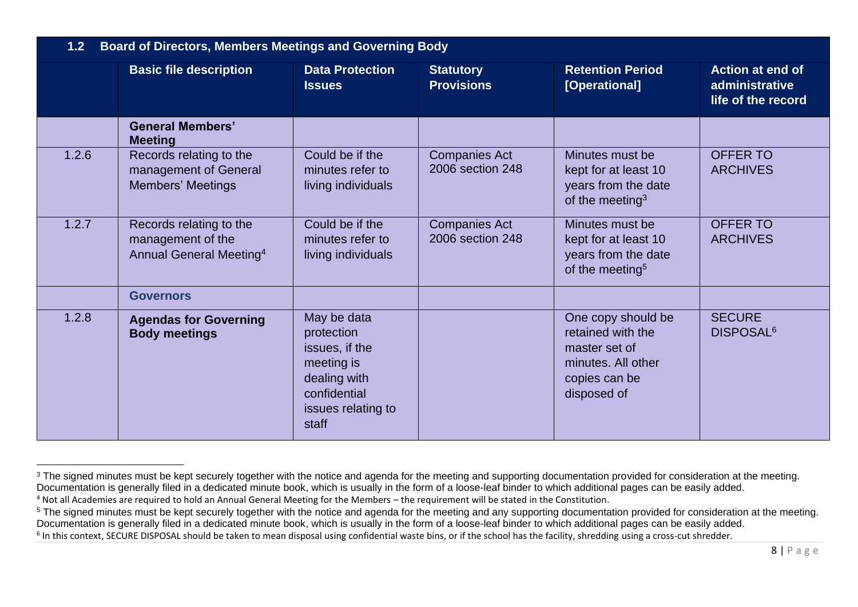| 1.2 Board of Directors, Members Meetings and Governing Body |                                                                                     |                                                                                                                          |                                          |                                                                                                                |                                                          |
|-------------------------------------------------------------|-------------------------------------------------------------------------------------|--------------------------------------------------------------------------------------------------------------------------|------------------------------------------|----------------------------------------------------------------------------------------------------------------|----------------------------------------------------------|
|                                                             | <b>Basic file description</b>                                                       | <b>Data Protection</b><br><b>Issues</b>                                                                                  | <b>Statutory</b><br><b>Provisions</b>    | <b>Retention Period</b><br>[Operational]                                                                       | Action at end of<br>administrative<br>life of the record |
|                                                             | <b>General Members'</b><br><b>Meeting</b>                                           |                                                                                                                          |                                          |                                                                                                                |                                                          |
| 1.2.6                                                       | Records relating to the<br>management of General<br><b>Members' Meetings</b>        | Could be if the<br>minutes refer to<br>living individuals                                                                | <b>Companies Act</b><br>2006 section 248 | Minutes must be<br>kept for at least 10<br>years from the date<br>of the meeting $3$                           | <b>OFFER TO</b><br><b>ARCHIVES</b>                       |
| 1.2.7                                                       | Records relating to the<br>management of the<br>Annual General Meeting <sup>4</sup> | Could be if the<br>minutes refer to<br>living individuals                                                                | <b>Companies Act</b><br>2006 section 248 | Minutes must be<br>kept for at least 10<br>years from the date<br>of the meeting <sup>5</sup>                  | <b>OFFER TO</b><br><b>ARCHIVES</b>                       |
|                                                             | <b>Governors</b>                                                                    |                                                                                                                          |                                          |                                                                                                                |                                                          |
| 1.2.8                                                       | <b>Agendas for Governing</b><br><b>Body meetings</b>                                | May be data<br>protection<br>issues, if the<br>meeting is<br>dealing with<br>confidential<br>issues relating to<br>staff |                                          | One copy should be<br>retained with the<br>master set of<br>minutes. All other<br>copies can be<br>disposed of | <b>SECURE</b><br>DISPOSAL <sup>6</sup>                   |

<sup>&</sup>lt;sup>3</sup> The signed minutes must be kept securely together with the notice and agenda for the meeting and supporting documentation provided for consideration at the meeting. Documentation is generally filed in a dedicated minute book, which is usually in the form of a loose-leaf binder to which additional pages can be easily added.

<sup>4</sup> Not all Academies are required to hold an Annual General Meeting for the Members – the requirement will be stated in the Constitution.

<sup>&</sup>lt;sup>5</sup> The signed minutes must be kept securely together with the notice and agenda for the meeting and any supporting documentation provided for consideration at the meeting. Documentation is generally filed in a dedicated minute book, which is usually in the form of a loose-leaf binder to which additional pages can be easily added.

 $^6$  In this context, SECURE DISPOSAL should be taken to mean disposal using confidential waste bins, or if the school has the facility, shredding using a cross-cut shredder.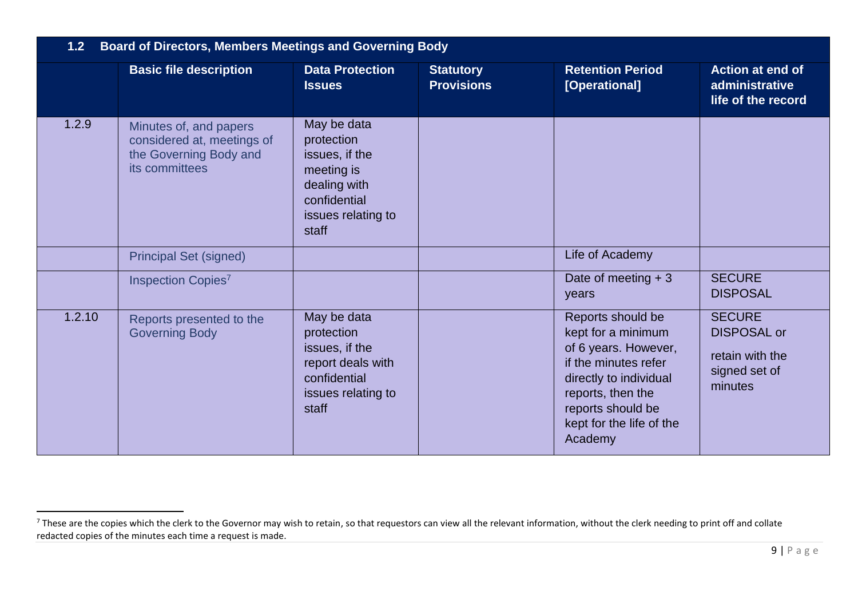| 1.2 <sub>2</sub> | <b>Board of Directors, Members Meetings and Governing Body</b>                                   |                                                                                                                          |                                       |                                                                                                                                                                                                    |                                                                                    |  |
|------------------|--------------------------------------------------------------------------------------------------|--------------------------------------------------------------------------------------------------------------------------|---------------------------------------|----------------------------------------------------------------------------------------------------------------------------------------------------------------------------------------------------|------------------------------------------------------------------------------------|--|
|                  | <b>Basic file description</b>                                                                    | <b>Data Protection</b><br><b>Issues</b>                                                                                  | <b>Statutory</b><br><b>Provisions</b> | <b>Retention Period</b><br>[Operational]                                                                                                                                                           | Action at end of<br>administrative<br>life of the record                           |  |
| 1.2.9            | Minutes of, and papers<br>considered at, meetings of<br>the Governing Body and<br>its committees | May be data<br>protection<br>issues, if the<br>meeting is<br>dealing with<br>confidential<br>issues relating to<br>staff |                                       |                                                                                                                                                                                                    |                                                                                    |  |
|                  | <b>Principal Set (signed)</b>                                                                    |                                                                                                                          |                                       | Life of Academy                                                                                                                                                                                    |                                                                                    |  |
|                  | Inspection Copies <sup>7</sup>                                                                   |                                                                                                                          |                                       | Date of meeting $+3$<br>years                                                                                                                                                                      | <b>SECURE</b><br><b>DISPOSAL</b>                                                   |  |
| 1.2.10           | Reports presented to the<br><b>Governing Body</b>                                                | May be data<br>protection<br>issues, if the<br>report deals with<br>confidential<br>issues relating to<br>staff          |                                       | Reports should be<br>kept for a minimum<br>of 6 years. However,<br>if the minutes refer<br>directly to individual<br>reports, then the<br>reports should be<br>kept for the life of the<br>Academy | <b>SECURE</b><br><b>DISPOSAL or</b><br>retain with the<br>signed set of<br>minutes |  |

 $^7$  These are the copies which the clerk to the Governor may wish to retain, so that requestors can view all the relevant information, without the clerk needing to print off and collate redacted copies of the minutes each time a request is made.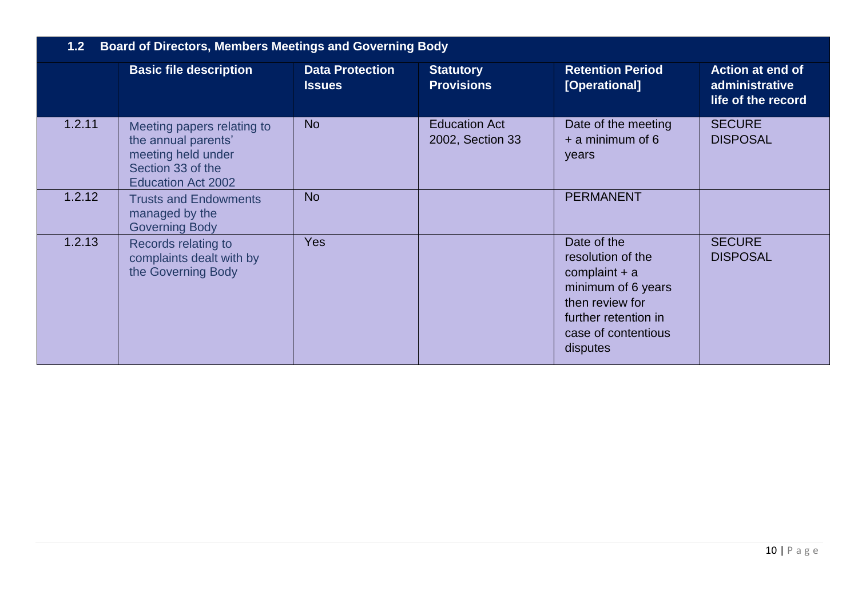| 1.2 Board of Directors, Members Meetings and Governing Body |                                                                                                                           |                                         |                                          |                                                                                                                                                         |                                                                 |
|-------------------------------------------------------------|---------------------------------------------------------------------------------------------------------------------------|-----------------------------------------|------------------------------------------|---------------------------------------------------------------------------------------------------------------------------------------------------------|-----------------------------------------------------------------|
|                                                             | <b>Basic file description</b>                                                                                             | <b>Data Protection</b><br><b>Issues</b> | <b>Statutory</b><br><b>Provisions</b>    | <b>Retention Period</b><br>[Operational]                                                                                                                | <b>Action at end of</b><br>administrative<br>life of the record |
| 1.2.11                                                      | Meeting papers relating to<br>the annual parents'<br>meeting held under<br>Section 33 of the<br><b>Education Act 2002</b> | <b>No</b>                               | <b>Education Act</b><br>2002, Section 33 | Date of the meeting<br>$+$ a minimum of 6<br>years                                                                                                      | <b>SECURE</b><br><b>DISPOSAL</b>                                |
| 1.2.12                                                      | <b>Trusts and Endowments</b><br>managed by the<br><b>Governing Body</b>                                                   | <b>No</b>                               |                                          | <b>PERMANENT</b>                                                                                                                                        |                                                                 |
| 1.2.13                                                      | Records relating to<br>complaints dealt with by<br>the Governing Body                                                     | <b>Yes</b>                              |                                          | Date of the<br>resolution of the<br>complaint $+$ a<br>minimum of 6 years<br>then review for<br>further retention in<br>case of contentious<br>disputes | <b>SECURE</b><br><b>DISPOSAL</b>                                |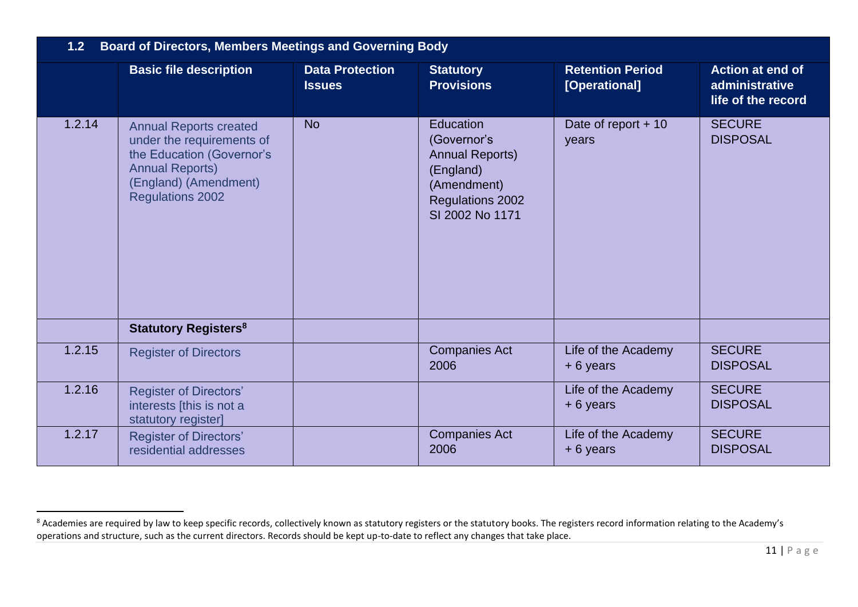| 1.2 <sub>2</sub> | <b>Board of Directors, Members Meetings and Governing Body</b>                                                                                                        |                                         |                                                                                                                              |                                          |                                                                 |  |
|------------------|-----------------------------------------------------------------------------------------------------------------------------------------------------------------------|-----------------------------------------|------------------------------------------------------------------------------------------------------------------------------|------------------------------------------|-----------------------------------------------------------------|--|
|                  | <b>Basic file description</b>                                                                                                                                         | <b>Data Protection</b><br><b>Issues</b> | <b>Statutory</b><br><b>Provisions</b>                                                                                        | <b>Retention Period</b><br>[Operational] | <b>Action at end of</b><br>administrative<br>life of the record |  |
| 1.2.14           | <b>Annual Reports created</b><br>under the requirements of<br>the Education (Governor's<br><b>Annual Reports)</b><br>(England) (Amendment)<br><b>Regulations 2002</b> | <b>No</b>                               | Education<br>(Governor's<br><b>Annual Reports)</b><br>(England)<br>(Amendment)<br><b>Regulations 2002</b><br>SI 2002 No 1171 | Date of report $+10$<br>years            | <b>SECURE</b><br><b>DISPOSAL</b>                                |  |
|                  | <b>Statutory Registers<sup>8</sup></b>                                                                                                                                |                                         |                                                                                                                              |                                          |                                                                 |  |
| 1.2.15           | <b>Register of Directors</b>                                                                                                                                          |                                         | <b>Companies Act</b><br>2006                                                                                                 | Life of the Academy<br>$+6$ years        | <b>SECURE</b><br><b>DISPOSAL</b>                                |  |
| 1.2.16           | <b>Register of Directors'</b><br>interests [this is not a<br>statutory register]                                                                                      |                                         |                                                                                                                              | Life of the Academy<br>$+6$ years        | <b>SECURE</b><br><b>DISPOSAL</b>                                |  |
| 1.2.17           | <b>Register of Directors'</b><br>residential addresses                                                                                                                |                                         | <b>Companies Act</b><br>2006                                                                                                 | Life of the Academy<br>$+6$ years        | <b>SECURE</b><br><b>DISPOSAL</b>                                |  |

<sup>&</sup>lt;sup>8</sup> Academies are required by law to keep specific records, collectively known as statutory registers or the statutory books. The registers record information relating to the Academy's operations and structure, such as the current directors. Records should be kept up-to-date to reflect any changes that take place.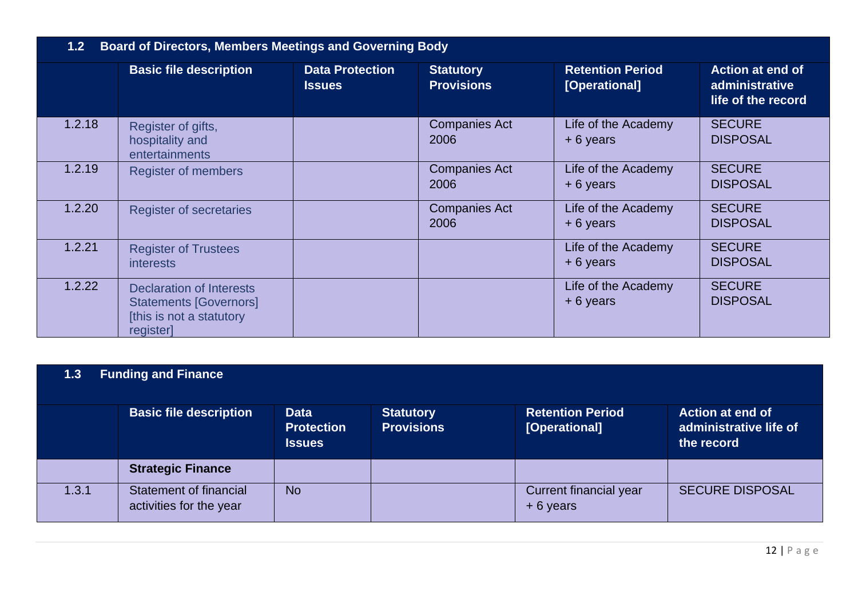| <b>Board of Directors, Members Meetings and Governing Body</b><br>1.2 <sub>2</sub> |                                                                                                           |                                         |                                       |                                          |                                                                 |
|------------------------------------------------------------------------------------|-----------------------------------------------------------------------------------------------------------|-----------------------------------------|---------------------------------------|------------------------------------------|-----------------------------------------------------------------|
|                                                                                    | <b>Basic file description</b>                                                                             | <b>Data Protection</b><br><b>Issues</b> | <b>Statutory</b><br><b>Provisions</b> | <b>Retention Period</b><br>[Operational] | <b>Action at end of</b><br>administrative<br>life of the record |
| 1.2.18                                                                             | Register of gifts,<br>hospitality and<br>entertainments                                                   |                                         | <b>Companies Act</b><br>2006          | Life of the Academy<br>$+6$ years        | <b>SECURE</b><br><b>DISPOSAL</b>                                |
| 1.2.19                                                                             | <b>Register of members</b>                                                                                |                                         | <b>Companies Act</b><br>2006          | Life of the Academy<br>$+6$ years        | <b>SECURE</b><br><b>DISPOSAL</b>                                |
| 1.2.20                                                                             | <b>Register of secretaries</b>                                                                            |                                         | <b>Companies Act</b><br>2006          | Life of the Academy<br>$+6$ years        | <b>SECURE</b><br><b>DISPOSAL</b>                                |
| 1.2.21                                                                             | <b>Register of Trustees</b><br><b>interests</b>                                                           |                                         |                                       | Life of the Academy<br>+ 6 years         | <b>SECURE</b><br><b>DISPOSAL</b>                                |
| 1.2.22                                                                             | <b>Declaration of Interests</b><br><b>Statements [Governors]</b><br>[this is not a statutory<br>register] |                                         |                                       | Life of the Academy<br>$+6$ years        | <b>SECURE</b><br><b>DISPOSAL</b>                                |

| 1.3 | <b>Funding and Finance</b> |  |
|-----|----------------------------|--|
|-----|----------------------------|--|

|       | <b>Basic file description</b>                     | <b>Data</b><br><b>Protection</b><br><b>Issues</b> | <b>Statutory</b><br><b>Provisions</b> | <b>Retention Period</b><br>[Operational] | <b>Action at end of</b><br>administrative life of<br>the record |
|-------|---------------------------------------------------|---------------------------------------------------|---------------------------------------|------------------------------------------|-----------------------------------------------------------------|
|       | <b>Strategic Finance</b>                          |                                                   |                                       |                                          |                                                                 |
| 1.3.1 | Statement of financial<br>activities for the year | <b>No</b>                                         |                                       | Current financial year<br>$+6$ years     | <b>SECURE DISPOSAL</b>                                          |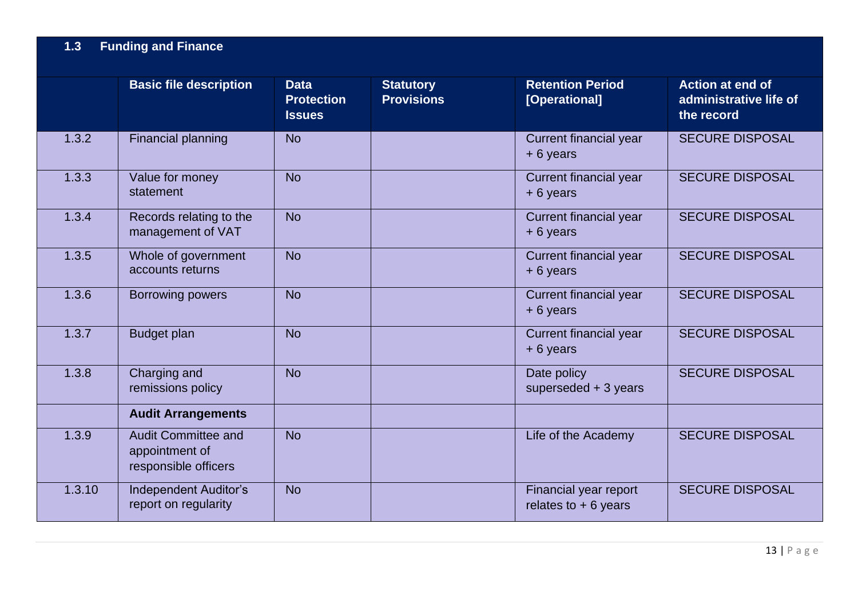|        | <b>Basic file description</b>                                        | <b>Data</b><br><b>Protection</b><br><b>Issues</b> | <b>Statutory</b><br><b>Provisions</b> | <b>Retention Period</b><br>[Operational]       | <b>Action at end of</b><br>administrative life of<br>the record |
|--------|----------------------------------------------------------------------|---------------------------------------------------|---------------------------------------|------------------------------------------------|-----------------------------------------------------------------|
| 1.3.2  | Financial planning                                                   | <b>No</b>                                         |                                       | <b>Current financial year</b><br>$+6$ years    | <b>SECURE DISPOSAL</b>                                          |
| 1.3.3  | Value for money<br>statement                                         | <b>No</b>                                         |                                       | Current financial year<br>$+6$ years           | <b>SECURE DISPOSAL</b>                                          |
| 1.3.4  | Records relating to the<br>management of VAT                         | <b>No</b>                                         |                                       | Current financial year<br>$+6$ years           | <b>SECURE DISPOSAL</b>                                          |
| 1.3.5  | Whole of government<br>accounts returns                              | <b>No</b>                                         |                                       | <b>Current financial year</b><br>$+6$ years    | <b>SECURE DISPOSAL</b>                                          |
| 1.3.6  | Borrowing powers                                                     | <b>No</b>                                         |                                       | Current financial year<br>+6 years             | <b>SECURE DISPOSAL</b>                                          |
| 1.3.7  | <b>Budget plan</b>                                                   | <b>No</b>                                         |                                       | Current financial year<br>$+6$ years           | <b>SECURE DISPOSAL</b>                                          |
| 1.3.8  | Charging and<br>remissions policy                                    | <b>No</b>                                         |                                       | Date policy<br>superseded $+3$ years           | <b>SECURE DISPOSAL</b>                                          |
|        | <b>Audit Arrangements</b>                                            |                                                   |                                       |                                                |                                                                 |
| 1.3.9  | <b>Audit Committee and</b><br>appointment of<br>responsible officers | <b>No</b>                                         |                                       | Life of the Academy                            | <b>SECURE DISPOSAL</b>                                          |
| 1.3.10 | <b>Independent Auditor's</b><br>report on regularity                 | <b>No</b>                                         |                                       | Financial year report<br>relates to $+6$ years | <b>SECURE DISPOSAL</b>                                          |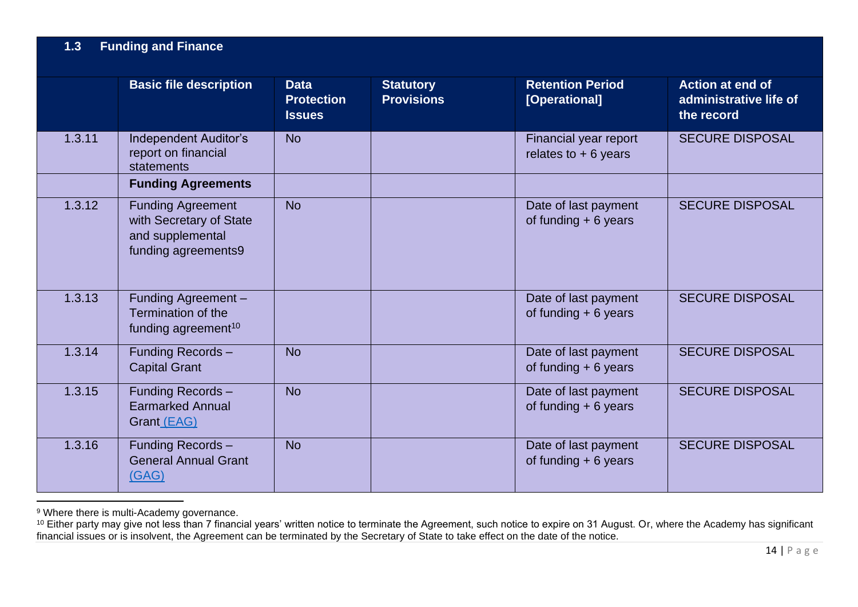|        | <b>Basic file description</b>                                                                  | <b>Data</b><br><b>Protection</b><br><b>Issues</b> | <b>Statutory</b><br><b>Provisions</b> | <b>Retention Period</b><br>[Operational]       | <b>Action at end of</b><br>administrative life of<br>the record |
|--------|------------------------------------------------------------------------------------------------|---------------------------------------------------|---------------------------------------|------------------------------------------------|-----------------------------------------------------------------|
| 1.3.11 | <b>Independent Auditor's</b><br>report on financial<br>statements                              | <b>No</b>                                         |                                       | Financial year report<br>relates to $+6$ years | <b>SECURE DISPOSAL</b>                                          |
|        | <b>Funding Agreements</b>                                                                      |                                                   |                                       |                                                |                                                                 |
| 1.3.12 | <b>Funding Agreement</b><br>with Secretary of State<br>and supplemental<br>funding agreements9 | <b>No</b>                                         |                                       | Date of last payment<br>of funding $+6$ years  | <b>SECURE DISPOSAL</b>                                          |
| 1.3.13 | Funding Agreement -<br>Termination of the<br>funding agreement <sup>10</sup>                   |                                                   |                                       | Date of last payment<br>of funding $+6$ years  | <b>SECURE DISPOSAL</b>                                          |
| 1.3.14 | Funding Records-<br><b>Capital Grant</b>                                                       | <b>No</b>                                         |                                       | Date of last payment<br>of funding $+6$ years  | <b>SECURE DISPOSAL</b>                                          |
| 1.3.15 | Funding Records-<br><b>Earmarked Annual</b><br>Grant (EAG)                                     | <b>No</b>                                         |                                       | Date of last payment<br>of funding $+6$ years  | <b>SECURE DISPOSAL</b>                                          |
| 1.3.16 | Funding Records-<br><b>General Annual Grant</b><br>(GAG)                                       | <b>No</b>                                         |                                       | Date of last payment<br>of funding $+6$ years  | <b>SECURE DISPOSAL</b>                                          |

<sup>&</sup>lt;sup>9</sup> Where there is multi-Academy governance.

 $^{10}$  Either party may give not less than 7 financial years' written notice to terminate the Agreement, such notice to expire on 31 August. Or, where the Academy has significant financial issues or is insolvent, the Agreement can be terminated by the Secretary of State to take effect on the date of the notice.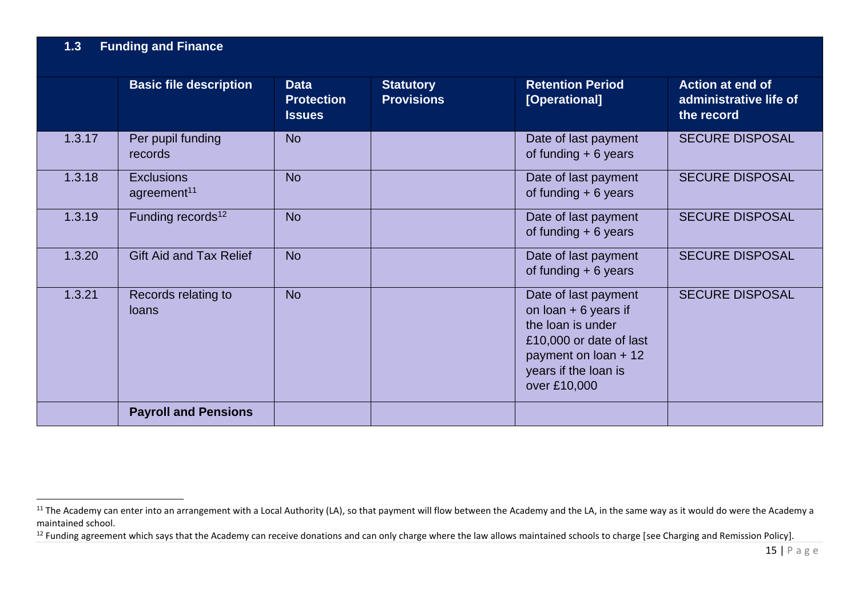|        | <b>Basic file description</b>                | <b>Data</b><br><b>Protection</b><br><b>Issues</b> | <b>Statutory</b><br><b>Provisions</b> | <b>Retention Period</b><br>[Operational]                                                                                                                              | <b>Action at end of</b><br>administrative life of<br>the record |
|--------|----------------------------------------------|---------------------------------------------------|---------------------------------------|-----------------------------------------------------------------------------------------------------------------------------------------------------------------------|-----------------------------------------------------------------|
| 1.3.17 | Per pupil funding<br>records                 | <b>No</b>                                         |                                       | Date of last payment<br>of funding $+ 6$ years                                                                                                                        | <b>SECURE DISPOSAL</b>                                          |
| 1.3.18 | <b>Exclusions</b><br>agreement <sup>11</sup> | <b>No</b>                                         |                                       | Date of last payment<br>of funding $+6$ years                                                                                                                         | <b>SECURE DISPOSAL</b>                                          |
| 1.3.19 | Funding records <sup>12</sup>                | <b>No</b>                                         |                                       | Date of last payment<br>of funding $+6$ years                                                                                                                         | <b>SECURE DISPOSAL</b>                                          |
| 1.3.20 | <b>Gift Aid and Tax Relief</b>               | <b>No</b>                                         |                                       | Date of last payment<br>of funding $+6$ years                                                                                                                         | <b>SECURE DISPOSAL</b>                                          |
| 1.3.21 | Records relating to<br><b>loans</b>          | <b>No</b>                                         |                                       | Date of last payment<br>on $\text{loan} + 6$ years if<br>the loan is under<br>£10,000 or date of last<br>payment on loan + 12<br>years if the loan is<br>over £10,000 | <b>SECURE DISPOSAL</b>                                          |
|        | <b>Payroll and Pensions</b>                  |                                                   |                                       |                                                                                                                                                                       |                                                                 |

<sup>&</sup>lt;sup>11</sup> The Academy can enter into an arrangement with a Local Authority (LA), so that payment will flow between the Academy and the LA, in the same way as it would do were the Academy a maintained school.

<sup>&</sup>lt;sup>12</sup> Funding agreement which says that the Academy can receive donations and can only charge where the law allows maintained schools to charge [see Charging and Remission Policy].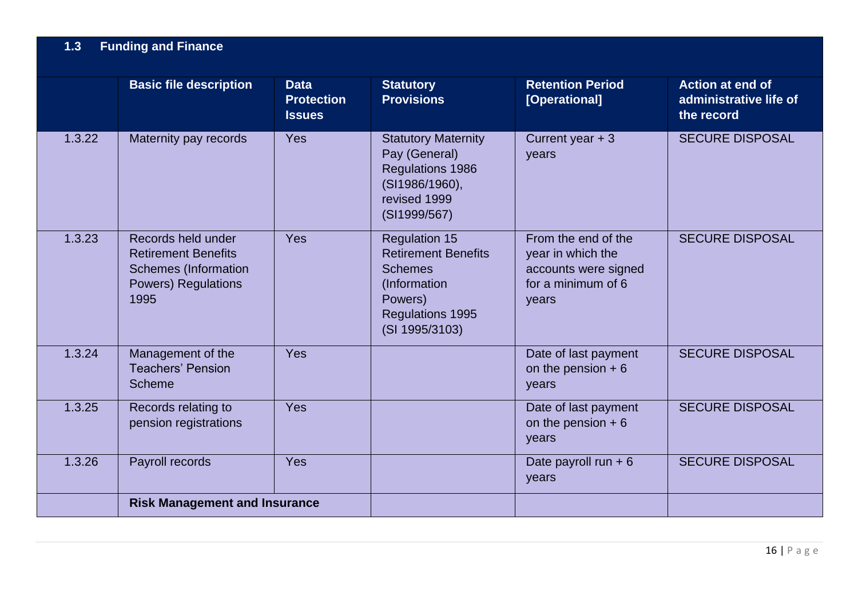|        | <b>Basic file description</b>                                                                                         | <b>Data</b><br><b>Protection</b><br><b>Issues</b> | <b>Statutory</b><br><b>Provisions</b>                                                                                                        | <b>Retention Period</b><br>[Operational]                                                        | <b>Action at end of</b><br>administrative life of<br>the record |
|--------|-----------------------------------------------------------------------------------------------------------------------|---------------------------------------------------|----------------------------------------------------------------------------------------------------------------------------------------------|-------------------------------------------------------------------------------------------------|-----------------------------------------------------------------|
| 1.3.22 | Maternity pay records                                                                                                 | <b>Yes</b>                                        | <b>Statutory Maternity</b><br>Pay (General)<br>Regulations 1986<br>(SI1986/1960),<br>revised 1999<br>(SI1999/567)                            | Current year $+3$<br>years                                                                      | <b>SECURE DISPOSAL</b>                                          |
| 1.3.23 | Records held under<br><b>Retirement Benefits</b><br><b>Schemes (Information</b><br><b>Powers) Regulations</b><br>1995 | Yes                                               | <b>Regulation 15</b><br><b>Retirement Benefits</b><br><b>Schemes</b><br>(Information<br>Powers)<br><b>Regulations 1995</b><br>(SI 1995/3103) | From the end of the<br>year in which the<br>accounts were signed<br>for a minimum of 6<br>years | <b>SECURE DISPOSAL</b>                                          |
| 1.3.24 | Management of the<br><b>Teachers' Pension</b><br><b>Scheme</b>                                                        | <b>Yes</b>                                        |                                                                                                                                              | Date of last payment<br>on the pension $+6$<br>years                                            | <b>SECURE DISPOSAL</b>                                          |
| 1.3.25 | Records relating to<br>pension registrations                                                                          | <b>Yes</b>                                        |                                                                                                                                              | Date of last payment<br>on the pension $+6$<br>years                                            | <b>SECURE DISPOSAL</b>                                          |
| 1.3.26 | Payroll records                                                                                                       | <b>Yes</b>                                        |                                                                                                                                              | Date payroll run $+6$<br>years                                                                  | <b>SECURE DISPOSAL</b>                                          |
|        | <b>Risk Management and Insurance</b>                                                                                  |                                                   |                                                                                                                                              |                                                                                                 |                                                                 |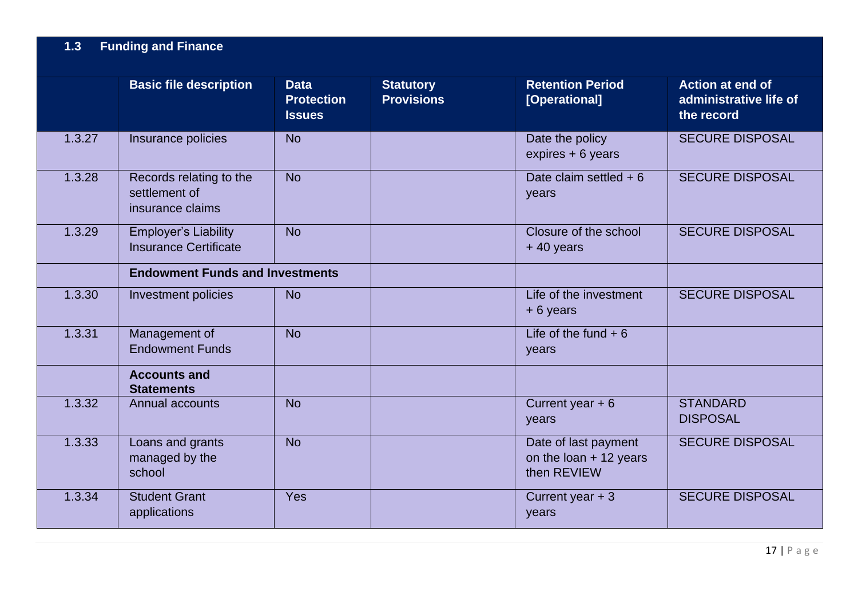|        | <b>Basic file description</b>                                | <b>Data</b><br><b>Protection</b><br><b>Issues</b> | <b>Statutory</b><br><b>Provisions</b> | <b>Retention Period</b><br>[Operational]                        | <b>Action at end of</b><br>administrative life of<br>the record |
|--------|--------------------------------------------------------------|---------------------------------------------------|---------------------------------------|-----------------------------------------------------------------|-----------------------------------------------------------------|
| 1.3.27 | Insurance policies                                           | <b>No</b>                                         |                                       | Date the policy<br>expires + 6 years                            | <b>SECURE DISPOSAL</b>                                          |
| 1.3.28 | Records relating to the<br>settlement of<br>insurance claims | <b>No</b>                                         |                                       | Date claim settled $+6$<br>years                                | <b>SECURE DISPOSAL</b>                                          |
| 1.3.29 | <b>Employer's Liability</b><br><b>Insurance Certificate</b>  | <b>No</b>                                         |                                       | Closure of the school<br>$+40$ years                            | <b>SECURE DISPOSAL</b>                                          |
|        | <b>Endowment Funds and Investments</b>                       |                                                   |                                       |                                                                 |                                                                 |
| 1.3.30 | <b>Investment policies</b>                                   | <b>No</b>                                         |                                       | Life of the investment<br>$+6$ years                            | <b>SECURE DISPOSAL</b>                                          |
| 1.3.31 | Management of<br><b>Endowment Funds</b>                      | <b>No</b>                                         |                                       | Life of the fund $+6$<br>years                                  |                                                                 |
|        | <b>Accounts and</b><br><b>Statements</b>                     |                                                   |                                       |                                                                 |                                                                 |
| 1.3.32 | <b>Annual accounts</b>                                       | <b>No</b>                                         |                                       | Current year $+6$<br>years                                      | <b>STANDARD</b><br><b>DISPOSAL</b>                              |
| 1.3.33 | Loans and grants<br>managed by the<br>school                 | <b>No</b>                                         |                                       | Date of last payment<br>on the loan $+$ 12 years<br>then REVIEW | <b>SECURE DISPOSAL</b>                                          |
| 1.3.34 | <b>Student Grant</b><br>applications                         | <b>Yes</b>                                        |                                       | Current year $+3$<br>years                                      | <b>SECURE DISPOSAL</b>                                          |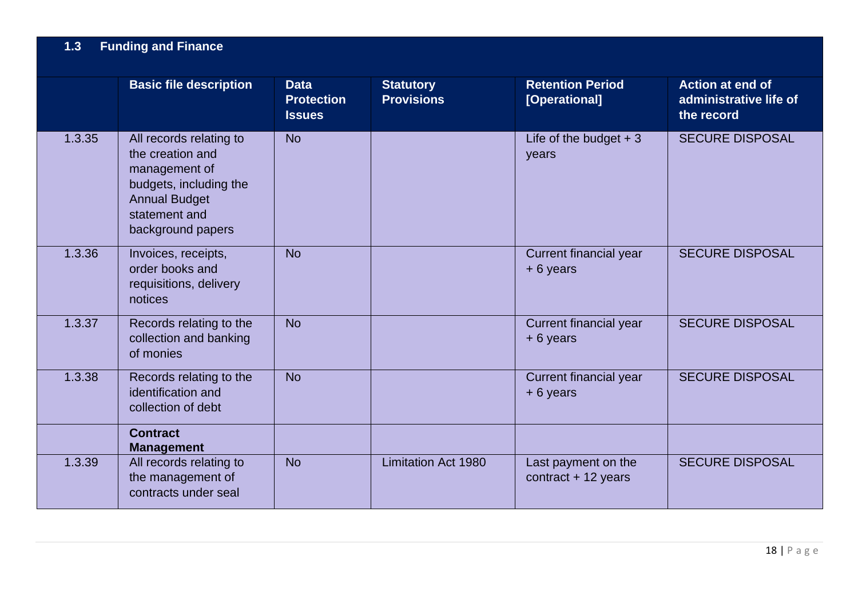|        | <b>Basic file description</b>                                                                                                                        | <b>Data</b><br><b>Protection</b><br><b>Issues</b> | <b>Statutory</b><br><b>Provisions</b> | <b>Retention Period</b><br>[Operational]     | <b>Action at end of</b><br>administrative life of<br>the record |
|--------|------------------------------------------------------------------------------------------------------------------------------------------------------|---------------------------------------------------|---------------------------------------|----------------------------------------------|-----------------------------------------------------------------|
| 1.3.35 | All records relating to<br>the creation and<br>management of<br>budgets, including the<br><b>Annual Budget</b><br>statement and<br>background papers | <b>No</b>                                         |                                       | Life of the budget $+3$<br>years             | <b>SECURE DISPOSAL</b>                                          |
| 1.3.36 | Invoices, receipts,<br>order books and<br>requisitions, delivery<br>notices                                                                          | <b>No</b>                                         |                                       | Current financial year<br>+6 years           | <b>SECURE DISPOSAL</b>                                          |
| 1.3.37 | Records relating to the<br>collection and banking<br>of monies                                                                                       | <b>No</b>                                         |                                       | Current financial year<br>$+6$ years         | <b>SECURE DISPOSAL</b>                                          |
| 1.3.38 | Records relating to the<br>identification and<br>collection of debt                                                                                  | <b>No</b>                                         |                                       | <b>Current financial year</b><br>+6 years    | <b>SECURE DISPOSAL</b>                                          |
|        | <b>Contract</b><br><b>Management</b>                                                                                                                 |                                                   |                                       |                                              |                                                                 |
| 1.3.39 | All records relating to<br>the management of<br>contracts under seal                                                                                 | <b>No</b>                                         | <b>Limitation Act 1980</b>            | Last payment on the<br>$contract + 12 years$ | <b>SECURE DISPOSAL</b>                                          |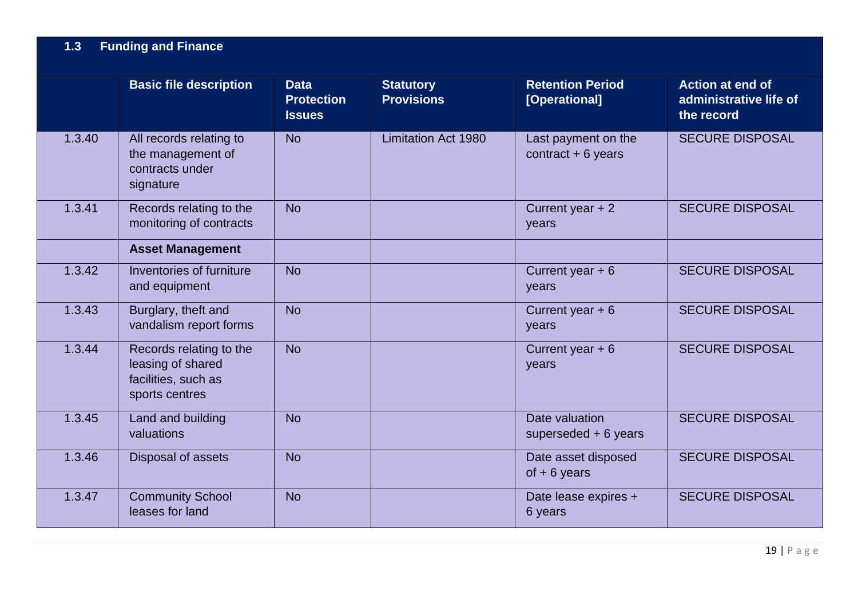|        | <b>Basic file description</b>                                                         | <b>Data</b><br><b>Protection</b><br><b>Issues</b> | <b>Statutory</b><br><b>Provisions</b> | <b>Retention Period</b><br>[Operational]   | <b>Action at end of</b><br>administrative life of<br>the record |
|--------|---------------------------------------------------------------------------------------|---------------------------------------------------|---------------------------------------|--------------------------------------------|-----------------------------------------------------------------|
| 1.3.40 | All records relating to<br>the management of<br>contracts under<br>signature          | <b>No</b>                                         | <b>Limitation Act 1980</b>            | Last payment on the<br>contract $+6$ years | <b>SECURE DISPOSAL</b>                                          |
| 1.3.41 | Records relating to the<br>monitoring of contracts                                    | <b>No</b>                                         |                                       | Current year $+2$<br>years                 | <b>SECURE DISPOSAL</b>                                          |
|        | <b>Asset Management</b>                                                               |                                                   |                                       |                                            |                                                                 |
| 1.3.42 | Inventories of furniture<br>and equipment                                             | <b>No</b>                                         |                                       | Current year $+6$<br>years                 | <b>SECURE DISPOSAL</b>                                          |
| 1.3.43 | Burglary, theft and<br>vandalism report forms                                         | <b>No</b>                                         |                                       | Current year $+6$<br>years                 | <b>SECURE DISPOSAL</b>                                          |
| 1.3.44 | Records relating to the<br>leasing of shared<br>facilities, such as<br>sports centres | <b>No</b>                                         |                                       | Current year $+6$<br>years                 | <b>SECURE DISPOSAL</b>                                          |
| 1.3.45 | Land and building<br>valuations                                                       | <b>No</b>                                         |                                       | Date valuation<br>superseded $+6$ years    | <b>SECURE DISPOSAL</b>                                          |
| 1.3.46 | Disposal of assets                                                                    | <b>No</b>                                         |                                       | Date asset disposed<br>of $+6$ years       | <b>SECURE DISPOSAL</b>                                          |
| 1.3.47 | <b>Community School</b><br>leases for land                                            | <b>No</b>                                         |                                       | Date lease expires +<br>6 years            | <b>SECURE DISPOSAL</b>                                          |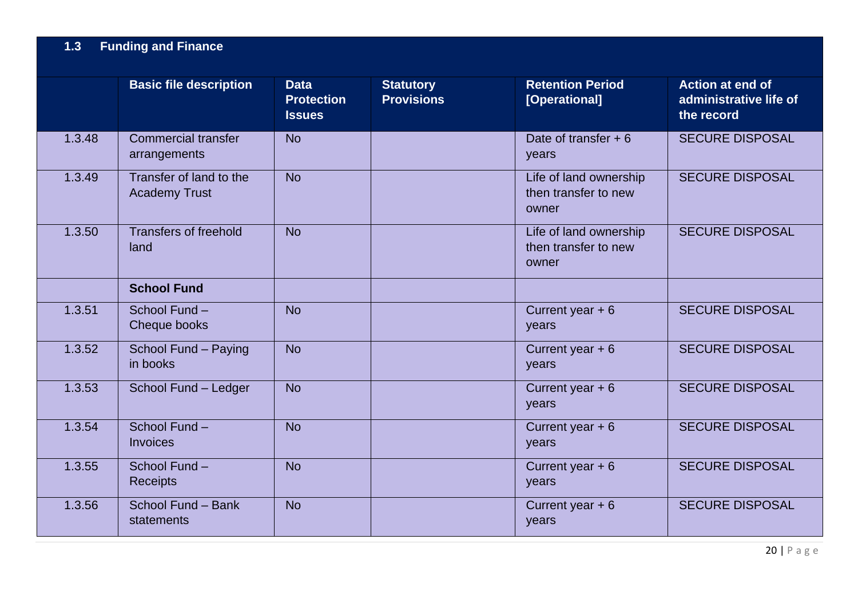|        | <b>Basic file description</b>                   | <b>Data</b><br><b>Protection</b><br><b>Issues</b> | <b>Statutory</b><br><b>Provisions</b> | <b>Retention Period</b><br>[Operational]                | <b>Action at end of</b><br>administrative life of<br>the record |
|--------|-------------------------------------------------|---------------------------------------------------|---------------------------------------|---------------------------------------------------------|-----------------------------------------------------------------|
| 1.3.48 | <b>Commercial transfer</b><br>arrangements      | <b>No</b>                                         |                                       | Date of transfer $+6$<br>years                          | <b>SECURE DISPOSAL</b>                                          |
| 1.3.49 | Transfer of land to the<br><b>Academy Trust</b> | <b>No</b>                                         |                                       | Life of land ownership<br>then transfer to new<br>owner | <b>SECURE DISPOSAL</b>                                          |
| 1.3.50 | <b>Transfers of freehold</b><br>land            | <b>No</b>                                         |                                       | Life of land ownership<br>then transfer to new<br>owner | <b>SECURE DISPOSAL</b>                                          |
|        | <b>School Fund</b>                              |                                                   |                                       |                                                         |                                                                 |
| 1.3.51 | School Fund-<br>Cheque books                    | <b>No</b>                                         |                                       | Current year $+6$<br>years                              | <b>SECURE DISPOSAL</b>                                          |
| 1.3.52 | School Fund - Paying<br>in books                | <b>No</b>                                         |                                       | Current year $+6$<br>years                              | <b>SECURE DISPOSAL</b>                                          |
| 1.3.53 | School Fund - Ledger                            | <b>No</b>                                         |                                       | Current year $+6$<br>years                              | <b>SECURE DISPOSAL</b>                                          |
| 1.3.54 | School Fund-<br><b>Invoices</b>                 | <b>No</b>                                         |                                       | Current year $+6$<br>years                              | <b>SECURE DISPOSAL</b>                                          |
| 1.3.55 | School Fund-<br><b>Receipts</b>                 | <b>No</b>                                         |                                       | Current year $+6$<br>years                              | <b>SECURE DISPOSAL</b>                                          |
| 1.3.56 | School Fund - Bank<br>statements                | <b>No</b>                                         |                                       | Current year $+6$<br>years                              | <b>SECURE DISPOSAL</b>                                          |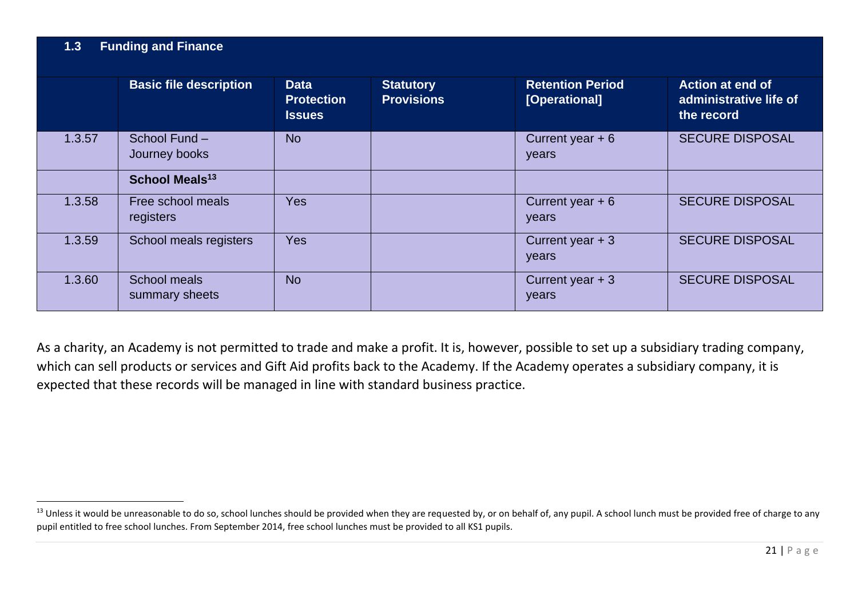|        | <b>Basic file description</b>  | <b>Data</b><br><b>Protection</b><br><b>Issues</b> | <b>Statutory</b><br><b>Provisions</b> | <b>Retention Period</b><br>[Operational] | <b>Action at end of</b><br>administrative life of<br>the record |
|--------|--------------------------------|---------------------------------------------------|---------------------------------------|------------------------------------------|-----------------------------------------------------------------|
| 1.3.57 | School Fund -<br>Journey books | <b>No</b>                                         |                                       | Current year $+6$<br>years               | <b>SECURE DISPOSAL</b>                                          |
|        | School Meals <sup>13</sup>     |                                                   |                                       |                                          |                                                                 |
| 1.3.58 | Free school meals<br>registers | <b>Yes</b>                                        |                                       | Current year $+6$<br>years               | <b>SECURE DISPOSAL</b>                                          |
| 1.3.59 | School meals registers         | <b>Yes</b>                                        |                                       | Current year $+3$<br>years               | <b>SECURE DISPOSAL</b>                                          |
| 1.3.60 | School meals<br>summary sheets | <b>No</b>                                         |                                       | Current year $+3$<br>years               | <b>SECURE DISPOSAL</b>                                          |

As a charity, an Academy is not permitted to trade and make a profit. It is, however, possible to set up a subsidiary trading company, which can sell products or services and Gift Aid profits back to the Academy. If the Academy operates a subsidiary company, it is expected that these records will be managed in line with standard business practice.

<sup>&</sup>lt;sup>13</sup> Unless it would be unreasonable to do so, school lunches should be provided when they are requested by, or on behalf of, any pupil. A school lunch must be provided free of charge to any pupil entitled to free school lunches. From September 2014, free school lunches must be provided to all KS1 pupils.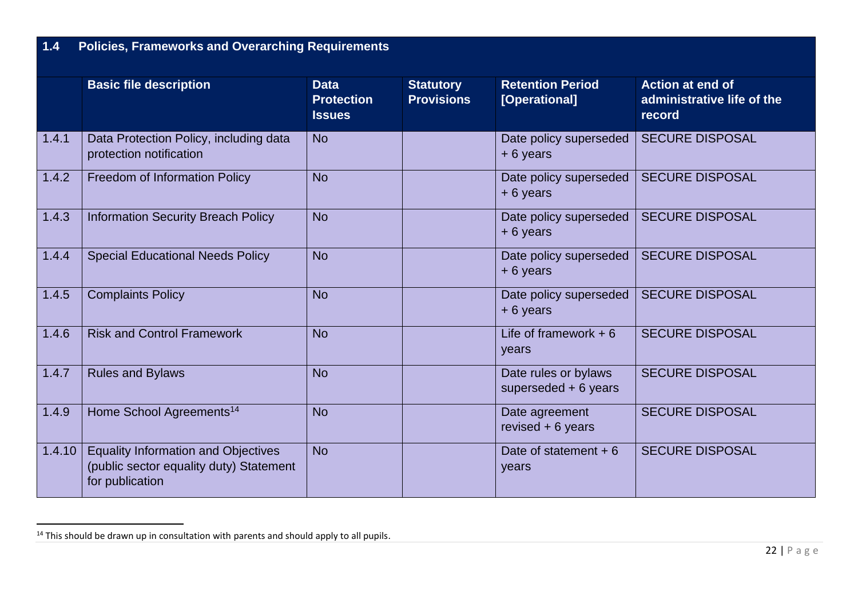## **1.4 Policies, Frameworks and Overarching Requirements**

|        | <b>Basic file description</b>                                                                            | <b>Data</b><br><b>Protection</b><br><b>Issues</b> | <b>Statutory</b><br><b>Provisions</b> | <b>Retention Period</b><br>[Operational]      | <b>Action at end of</b><br>administrative life of the<br>record |
|--------|----------------------------------------------------------------------------------------------------------|---------------------------------------------------|---------------------------------------|-----------------------------------------------|-----------------------------------------------------------------|
| 1.4.1  | Data Protection Policy, including data<br>protection notification                                        | <b>No</b>                                         |                                       | Date policy superseded<br>$+6$ years          | <b>SECURE DISPOSAL</b>                                          |
| 1.4.2  | <b>Freedom of Information Policy</b>                                                                     | <b>No</b>                                         |                                       | Date policy superseded<br>+6 years            | <b>SECURE DISPOSAL</b>                                          |
| 1.4.3  | <b>Information Security Breach Policy</b>                                                                | <b>No</b>                                         |                                       | Date policy superseded<br>$+6$ years          | <b>SECURE DISPOSAL</b>                                          |
| 1.4.4  | <b>Special Educational Needs Policy</b>                                                                  | <b>No</b>                                         |                                       | Date policy superseded<br>$+6$ years          | <b>SECURE DISPOSAL</b>                                          |
| 1.4.5  | <b>Complaints Policy</b>                                                                                 | <b>No</b>                                         |                                       | Date policy superseded<br>$+6$ years          | <b>SECURE DISPOSAL</b>                                          |
| 1.4.6  | <b>Risk and Control Framework</b>                                                                        | <b>No</b>                                         |                                       | Life of framework $+6$<br>years               | <b>SECURE DISPOSAL</b>                                          |
| 1.4.7  | <b>Rules and Bylaws</b>                                                                                  | <b>No</b>                                         |                                       | Date rules or bylaws<br>superseded $+6$ years | <b>SECURE DISPOSAL</b>                                          |
| 1.4.9  | Home School Agreements <sup>14</sup>                                                                     | <b>No</b>                                         |                                       | Date agreement<br>revised $+6$ years          | <b>SECURE DISPOSAL</b>                                          |
| 1.4.10 | <b>Equality Information and Objectives</b><br>(public sector equality duty) Statement<br>for publication | <b>No</b>                                         |                                       | Date of statement $+6$<br>years               | <b>SECURE DISPOSAL</b>                                          |

 $14$  This should be drawn up in consultation with parents and should apply to all pupils.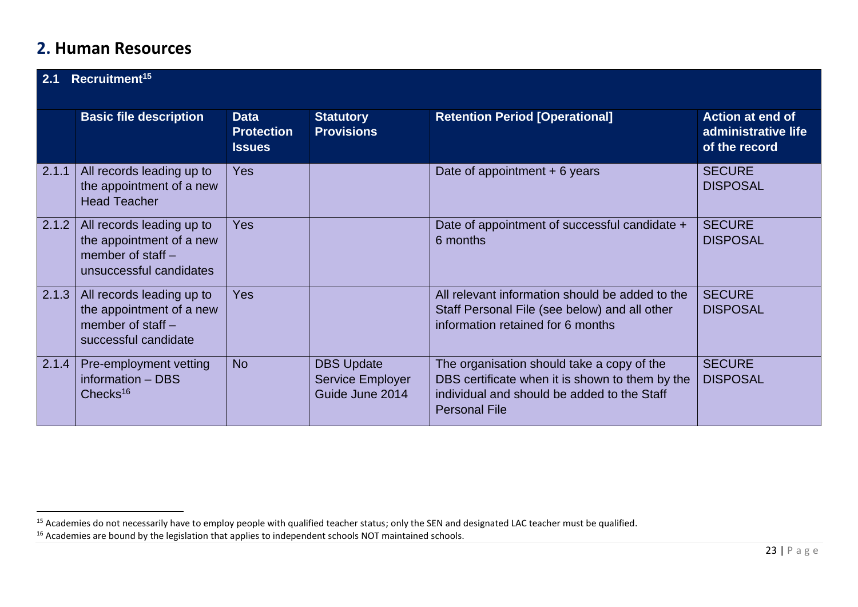## **2. Human Resources**

| Recruitment <sup>15</sup><br>2.1 |                                                                                                         |                                                   |                                                                 |                                                                                                                                                                      |                                                                 |
|----------------------------------|---------------------------------------------------------------------------------------------------------|---------------------------------------------------|-----------------------------------------------------------------|----------------------------------------------------------------------------------------------------------------------------------------------------------------------|-----------------------------------------------------------------|
|                                  | <b>Basic file description</b>                                                                           | <b>Data</b><br><b>Protection</b><br><b>Issues</b> | <b>Statutory</b><br><b>Provisions</b>                           | <b>Retention Period [Operational]</b>                                                                                                                                | <b>Action at end of</b><br>administrative life<br>of the record |
| 2.1.1                            | All records leading up to<br>the appointment of a new<br><b>Head Teacher</b>                            | <b>Yes</b>                                        |                                                                 | Date of appointment $+6$ years                                                                                                                                       | <b>SECURE</b><br><b>DISPOSAL</b>                                |
| 2.1.2                            | All records leading up to<br>the appointment of a new<br>member of staff $-$<br>unsuccessful candidates | <b>Yes</b>                                        |                                                                 | Date of appointment of successful candidate +<br>6 months                                                                                                            | <b>SECURE</b><br><b>DISPOSAL</b>                                |
| 2.1.3                            | All records leading up to<br>the appointment of a new<br>member of staff $-$<br>successful candidate    | <b>Yes</b>                                        |                                                                 | All relevant information should be added to the<br>Staff Personal File (see below) and all other<br>information retained for 6 months                                | <b>SECURE</b><br><b>DISPOSAL</b>                                |
| 2.1.4                            | Pre-employment vetting<br>information - DBS<br>Checks $16$                                              | <b>No</b>                                         | <b>DBS Update</b><br><b>Service Employer</b><br>Guide June 2014 | The organisation should take a copy of the<br>DBS certificate when it is shown to them by the<br>individual and should be added to the Staff<br><b>Personal File</b> | <b>SECURE</b><br><b>DISPOSAL</b>                                |

<sup>&</sup>lt;sup>15</sup> Academies do not necessarily have to employ people with qualified teacher status; only the SEN and designated LAC teacher must be qualified.

<sup>&</sup>lt;sup>16</sup> Academies are bound by the legislation that applies to independent schools NOT maintained schools.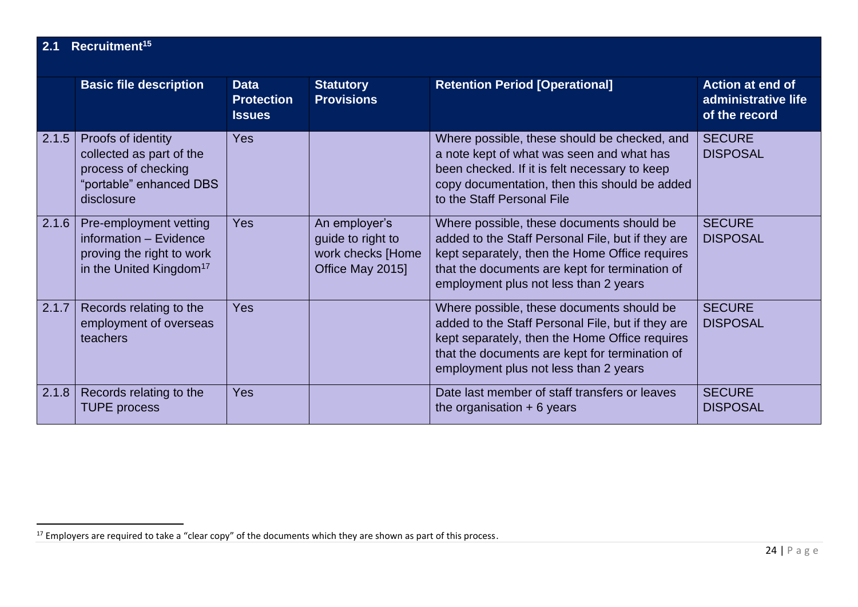| 2.1   | Recruitment <sup>15</sup>                                                                                            |                                                   |                                                                             |                                                                                                                                                                                                                                             |                                                          |  |  |
|-------|----------------------------------------------------------------------------------------------------------------------|---------------------------------------------------|-----------------------------------------------------------------------------|---------------------------------------------------------------------------------------------------------------------------------------------------------------------------------------------------------------------------------------------|----------------------------------------------------------|--|--|
|       | <b>Basic file description</b>                                                                                        | <b>Data</b><br><b>Protection</b><br><b>Issues</b> | <b>Statutory</b><br><b>Provisions</b>                                       | <b>Retention Period [Operational]</b>                                                                                                                                                                                                       | Action at end of<br>administrative life<br>of the record |  |  |
| 2.1.5 | Proofs of identity<br>collected as part of the<br>process of checking<br>"portable" enhanced DBS<br>disclosure       | <b>Yes</b>                                        |                                                                             | Where possible, these should be checked, and<br>a note kept of what was seen and what has<br>been checked. If it is felt necessary to keep<br>copy documentation, then this should be added<br>to the Staff Personal File                   | <b>SECURE</b><br><b>DISPOSAL</b>                         |  |  |
| 2.1.6 | Pre-employment vetting<br>information - Evidence<br>proving the right to work<br>in the United Kingdom <sup>17</sup> | <b>Yes</b>                                        | An employer's<br>guide to right to<br>work checks [Home<br>Office May 2015] | Where possible, these documents should be<br>added to the Staff Personal File, but if they are<br>kept separately, then the Home Office requires<br>that the documents are kept for termination of<br>employment plus not less than 2 years | <b>SECURE</b><br><b>DISPOSAL</b>                         |  |  |
| 2.1.7 | Records relating to the<br>employment of overseas<br>teachers                                                        | <b>Yes</b>                                        |                                                                             | Where possible, these documents should be<br>added to the Staff Personal File, but if they are<br>kept separately, then the Home Office requires<br>that the documents are kept for termination of<br>employment plus not less than 2 years | <b>SECURE</b><br><b>DISPOSAL</b>                         |  |  |
| 2.1.8 | Records relating to the<br><b>TUPE process</b>                                                                       | Yes                                               |                                                                             | Date last member of staff transfers or leaves<br>the organisation $+ 6$ years                                                                                                                                                               | <b>SECURE</b><br><b>DISPOSAL</b>                         |  |  |

<sup>&</sup>lt;sup>17</sup> Employers are required to take a "clear copy" of the documents which they are shown as part of this process.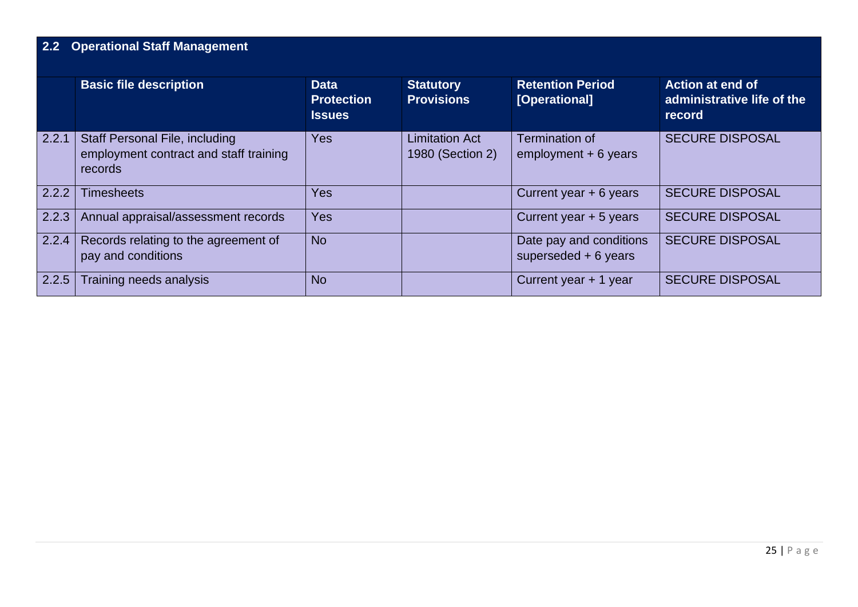# **2.2 Operational Staff Management**

|       | <b>Basic file description</b>                                                              | <b>Data</b><br><b>Protection</b><br><b>Issues</b> | <b>Statutory</b><br><b>Provisions</b>     | <b>Retention Period</b><br>[Operational]         | <b>Action at end of</b><br>administrative life of the<br>record |
|-------|--------------------------------------------------------------------------------------------|---------------------------------------------------|-------------------------------------------|--------------------------------------------------|-----------------------------------------------------------------|
| 2.2.1 | <b>Staff Personal File, including</b><br>employment contract and staff training<br>records | <b>Yes</b>                                        | <b>Limitation Act</b><br>1980 (Section 2) | Termination of<br>$employment + 6 years$         | <b>SECURE DISPOSAL</b>                                          |
| 2.2.2 | <b>Timesheets</b>                                                                          | <b>Yes</b>                                        |                                           | Current year + 6 years                           | <b>SECURE DISPOSAL</b>                                          |
| 2.2.3 | Annual appraisal/assessment records                                                        | <b>Yes</b>                                        |                                           | Current year + 5 years                           | <b>SECURE DISPOSAL</b>                                          |
| 2.2.4 | Records relating to the agreement of<br>pay and conditions                                 | <b>No</b>                                         |                                           | Date pay and conditions<br>superseded $+6$ years | <b>SECURE DISPOSAL</b>                                          |
| 2.2.5 | Training needs analysis                                                                    | <b>No</b>                                         |                                           | Current year $+1$ year                           | <b>SECURE DISPOSAL</b>                                          |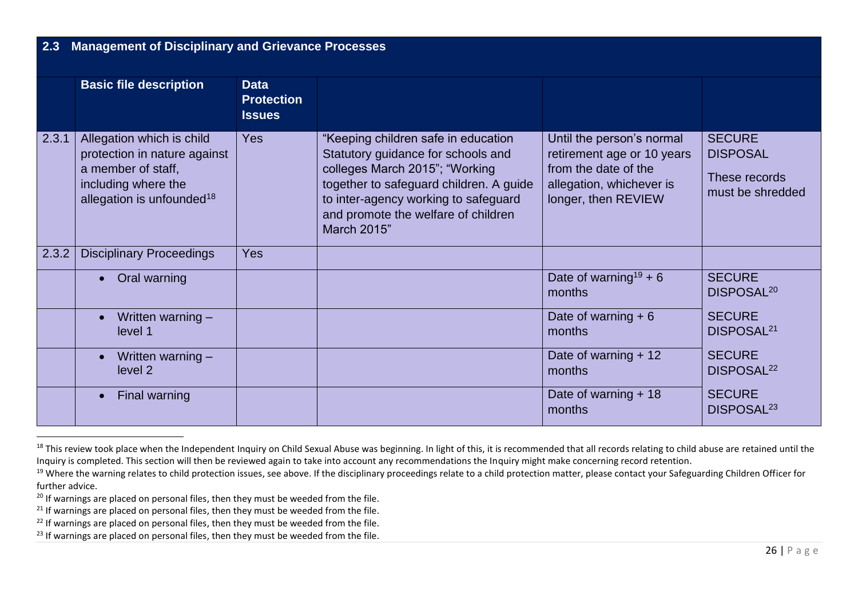| 2.3   | <b>Management of Disciplinary and Grievance Processes</b><br><b>Basic file description</b>                                                      | <b>Data</b>                        |                                                                                                                                                                                                                                                      |                                                                                                                                    |                                                                       |
|-------|-------------------------------------------------------------------------------------------------------------------------------------------------|------------------------------------|------------------------------------------------------------------------------------------------------------------------------------------------------------------------------------------------------------------------------------------------------|------------------------------------------------------------------------------------------------------------------------------------|-----------------------------------------------------------------------|
|       |                                                                                                                                                 | <b>Protection</b><br><b>Issues</b> |                                                                                                                                                                                                                                                      |                                                                                                                                    |                                                                       |
| 2.3.1 | Allegation which is child<br>protection in nature against<br>a member of staff,<br>including where the<br>allegation is unfounded <sup>18</sup> | Yes                                | "Keeping children safe in education<br>Statutory guidance for schools and<br>colleges March 2015"; "Working<br>together to safeguard children. A guide<br>to inter-agency working to safeguard<br>and promote the welfare of children<br>March 2015" | Until the person's normal<br>retirement age or 10 years<br>from the date of the<br>allegation, whichever is<br>longer, then REVIEW | <b>SECURE</b><br><b>DISPOSAL</b><br>These records<br>must be shredded |
| 2.3.2 | <b>Disciplinary Proceedings</b>                                                                                                                 | Yes                                |                                                                                                                                                                                                                                                      |                                                                                                                                    |                                                                       |
|       | Oral warning<br>$\bullet$                                                                                                                       |                                    |                                                                                                                                                                                                                                                      | Date of warning <sup>19</sup> + 6<br>months                                                                                        | <b>SECURE</b><br>DISPOSAL <sup>20</sup>                               |
|       | Written warning -<br>$\bullet$<br>level 1                                                                                                       |                                    |                                                                                                                                                                                                                                                      | Date of warning $+6$<br>months                                                                                                     | <b>SECURE</b><br>DISPOSAL <sup>21</sup>                               |
|       | Written warning $-$<br>$\bullet$<br>level 2                                                                                                     |                                    |                                                                                                                                                                                                                                                      | Date of warning + 12<br>months                                                                                                     | <b>SECURE</b><br>DISPOSAL <sup>22</sup>                               |
|       | Final warning                                                                                                                                   |                                    |                                                                                                                                                                                                                                                      | Date of warning + 18<br>months                                                                                                     | <b>SECURE</b><br>DISPOSAL <sup>23</sup>                               |

<sup>&</sup>lt;sup>18</sup> This review took place when the Independent Inquiry on Child Sexual Abuse was beginning. In light of this, it is recommended that all records relating to child abuse are retained until the Inquiry is completed. This section will then be reviewed again to take into account any recommendations the Inquiry might make concerning record retention.

<sup>&</sup>lt;sup>19</sup> Where the warning relates to child protection issues, see above. If the disciplinary proceedings relate to a child protection matter, please contact your Safeguarding Children Officer for further advice.

<sup>&</sup>lt;sup>20</sup> If warnings are placed on personal files, then they must be weeded from the file.

 $21$  If warnings are placed on personal files, then they must be weeded from the file.

 $22$  If warnings are placed on personal files, then they must be weeded from the file.

 $23$  If warnings are placed on personal files, then they must be weeded from the file.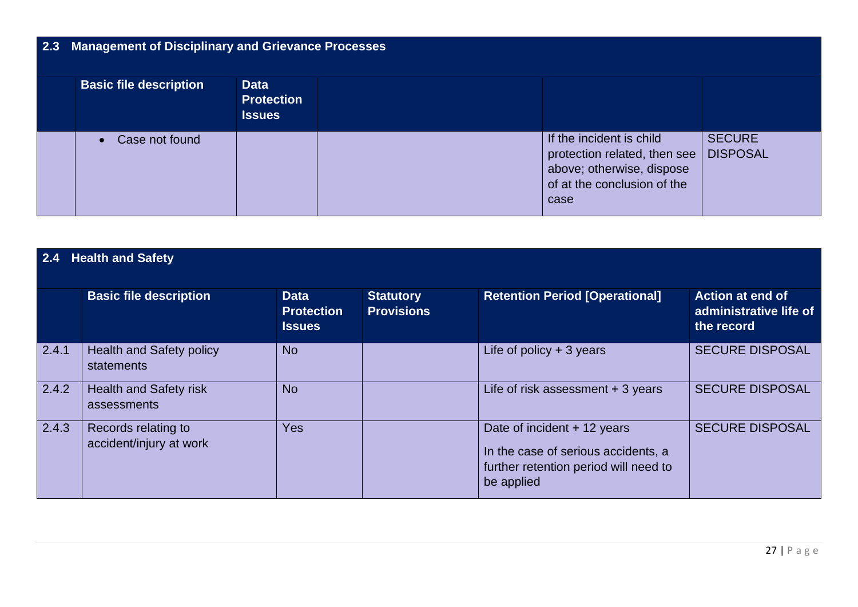# **2.3 Management of Disciplinary and Grievance Processes**

| <b>Basic file description</b> | <b>Data</b><br><b>Protection</b><br><b>Issues</b> |                                                                                                                                      |                                  |
|-------------------------------|---------------------------------------------------|--------------------------------------------------------------------------------------------------------------------------------------|----------------------------------|
| Case not found                |                                                   | If the incident is child<br>protection related, then see $\vert$<br>above; otherwise, dispose<br>of at the conclusion of the<br>case | <b>SECURE</b><br><b>DISPOSAL</b> |

| 2.4   | <b>Health and Safety</b>                       |                                                   |                                       |                                                                                                                           |                                                                 |  |  |  |
|-------|------------------------------------------------|---------------------------------------------------|---------------------------------------|---------------------------------------------------------------------------------------------------------------------------|-----------------------------------------------------------------|--|--|--|
|       | <b>Basic file description</b>                  | <b>Data</b><br><b>Protection</b><br><b>Issues</b> | <b>Statutory</b><br><b>Provisions</b> | <b>Retention Period [Operational]</b>                                                                                     | <b>Action at end of</b><br>administrative life of<br>the record |  |  |  |
| 2.4.1 | <b>Health and Safety policy</b><br>statements  | <b>No</b>                                         |                                       | Life of policy $+3$ years                                                                                                 | <b>SECURE DISPOSAL</b>                                          |  |  |  |
| 2.4.2 | <b>Health and Safety risk</b><br>assessments   | <b>No</b>                                         |                                       | Life of risk assessment $+3$ years                                                                                        | <b>SECURE DISPOSAL</b>                                          |  |  |  |
| 2.4.3 | Records relating to<br>accident/injury at work | Yes                                               |                                       | Date of incident + 12 years<br>In the case of serious accidents, a<br>further retention period will need to<br>be applied | <b>SECURE DISPOSAL</b>                                          |  |  |  |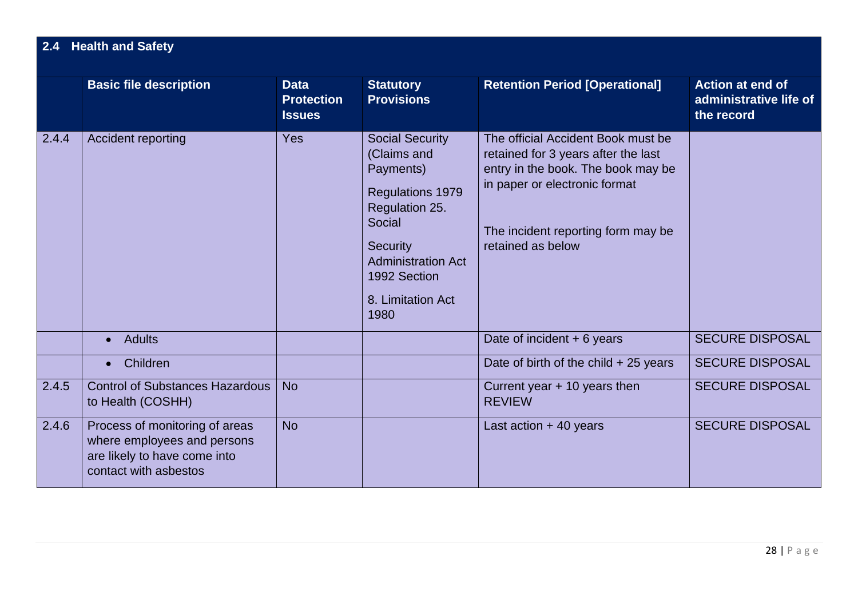## **2.4 Health and Safety**

|       | <b>Basic file description</b>                                                                                          | <b>Data</b><br><b>Protection</b><br><b>Issues</b> | <b>Statutory</b><br><b>Provisions</b>                                                                                                                                                           | <b>Retention Period [Operational]</b>                                                                                                                                                                       | Action at end of<br>administrative life of<br>the record |
|-------|------------------------------------------------------------------------------------------------------------------------|---------------------------------------------------|-------------------------------------------------------------------------------------------------------------------------------------------------------------------------------------------------|-------------------------------------------------------------------------------------------------------------------------------------------------------------------------------------------------------------|----------------------------------------------------------|
| 2.4.4 | Accident reporting                                                                                                     | <b>Yes</b>                                        | <b>Social Security</b><br>(Claims and<br>Payments)<br>Regulations 1979<br>Regulation 25.<br>Social<br><b>Security</b><br><b>Administration Act</b><br>1992 Section<br>8. Limitation Act<br>1980 | The official Accident Book must be<br>retained for 3 years after the last<br>entry in the book. The book may be<br>in paper or electronic format<br>The incident reporting form may be<br>retained as below |                                                          |
|       | <b>Adults</b>                                                                                                          |                                                   |                                                                                                                                                                                                 | Date of incident $+6$ years                                                                                                                                                                                 | <b>SECURE DISPOSAL</b>                                   |
|       | Children<br>$\bullet$                                                                                                  |                                                   |                                                                                                                                                                                                 | Date of birth of the child $+25$ years                                                                                                                                                                      | <b>SECURE DISPOSAL</b>                                   |
| 2.4.5 | <b>Control of Substances Hazardous</b><br>to Health (COSHH)                                                            | <b>No</b>                                         |                                                                                                                                                                                                 | Current year $+$ 10 years then<br><b>REVIEW</b>                                                                                                                                                             | <b>SECURE DISPOSAL</b>                                   |
| 2.4.6 | Process of monitoring of areas<br>where employees and persons<br>are likely to have come into<br>contact with asbestos | <b>No</b>                                         |                                                                                                                                                                                                 | Last action $+40$ years                                                                                                                                                                                     | <b>SECURE DISPOSAL</b>                                   |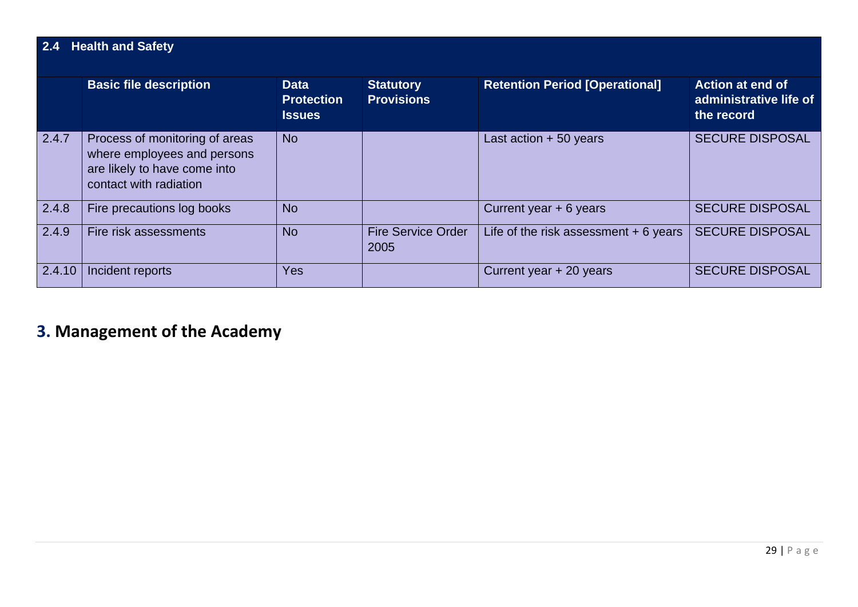| 2.4    | <b>Health and Safety</b>                                                                                                |                                                   |                                       |                                        |                                                                 |  |  |  |
|--------|-------------------------------------------------------------------------------------------------------------------------|---------------------------------------------------|---------------------------------------|----------------------------------------|-----------------------------------------------------------------|--|--|--|
|        | <b>Basic file description</b>                                                                                           | <b>Data</b><br><b>Protection</b><br><b>Issues</b> | <b>Statutory</b><br><b>Provisions</b> | <b>Retention Period [Operational]</b>  | <b>Action at end of</b><br>administrative life of<br>the record |  |  |  |
| 2.4.7  | Process of monitoring of areas<br>where employees and persons<br>are likely to have come into<br>contact with radiation | <b>No</b>                                         |                                       | Last action $+50$ years                | <b>SECURE DISPOSAL</b>                                          |  |  |  |
| 2.4.8  | Fire precautions log books                                                                                              | <b>No</b>                                         |                                       | Current year + 6 years                 | <b>SECURE DISPOSAL</b>                                          |  |  |  |
| 2.4.9  | Fire risk assessments                                                                                                   | <b>No</b>                                         | <b>Fire Service Order</b><br>2005     | Life of the risk assessment $+6$ years | <b>SECURE DISPOSAL</b>                                          |  |  |  |
| 2.4.10 | Incident reports                                                                                                        | Yes                                               |                                       | Current year + 20 years                | <b>SECURE DISPOSAL</b>                                          |  |  |  |

# **3. Management of the Academy**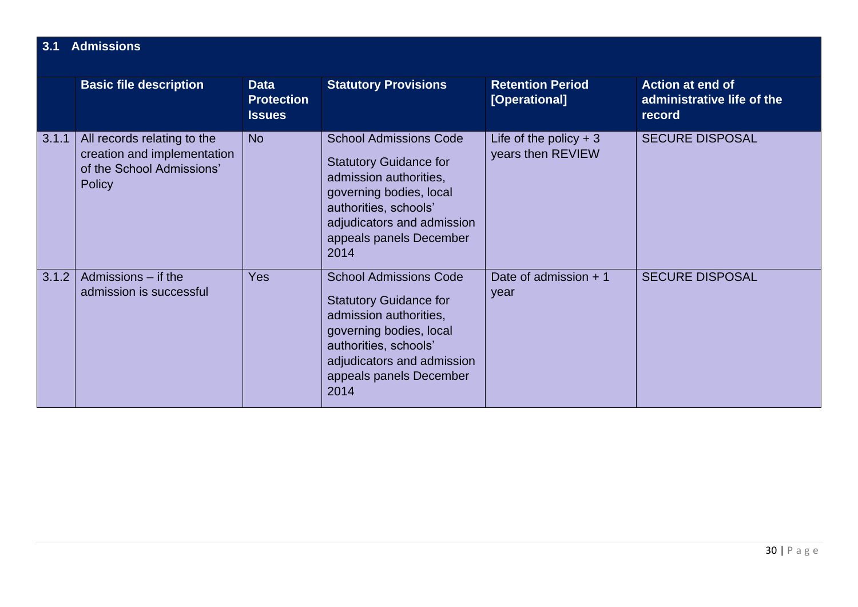| 3.1   | <b>Admissions</b>                                                                                        |                                                   |                                                                                                                                                                                                               |                                              |                                                                 |  |  |  |
|-------|----------------------------------------------------------------------------------------------------------|---------------------------------------------------|---------------------------------------------------------------------------------------------------------------------------------------------------------------------------------------------------------------|----------------------------------------------|-----------------------------------------------------------------|--|--|--|
|       | <b>Basic file description</b>                                                                            | <b>Data</b><br><b>Protection</b><br><b>Issues</b> | <b>Statutory Provisions</b>                                                                                                                                                                                   | <b>Retention Period</b><br>[Operational]     | <b>Action at end of</b><br>administrative life of the<br>record |  |  |  |
| 3.1.1 | All records relating to the<br>creation and implementation<br>of the School Admissions'<br><b>Policy</b> | <b>No</b>                                         | <b>School Admissions Code</b><br><b>Statutory Guidance for</b><br>admission authorities,<br>governing bodies, local<br>authorities, schools'<br>adjudicators and admission<br>appeals panels December<br>2014 | Life of the policy $+3$<br>years then REVIEW | <b>SECURE DISPOSAL</b>                                          |  |  |  |
| 3.1.2 | Admissions – if the<br>admission is successful                                                           | <b>Yes</b>                                        | <b>School Admissions Code</b><br><b>Statutory Guidance for</b><br>admission authorities,<br>governing bodies, local<br>authorities, schools'<br>adjudicators and admission<br>appeals panels December<br>2014 | Date of admission $+1$<br>year               | <b>SECURE DISPOSAL</b>                                          |  |  |  |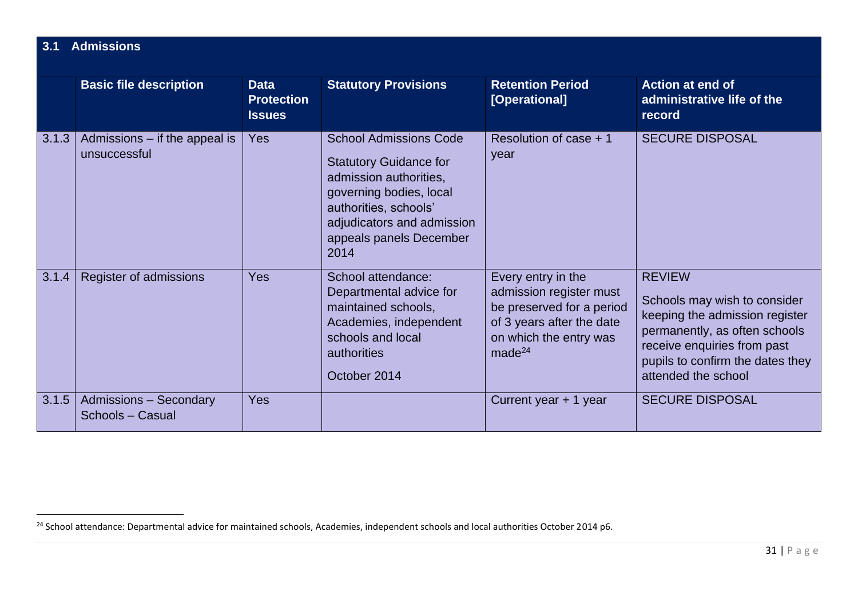| 3.1   | <b>Admissions</b>                                 |                                                   |                                                                                                                                                                                                               |                                                                                                                                                         |                                                                                                                                                                                                            |  |  |  |  |
|-------|---------------------------------------------------|---------------------------------------------------|---------------------------------------------------------------------------------------------------------------------------------------------------------------------------------------------------------------|---------------------------------------------------------------------------------------------------------------------------------------------------------|------------------------------------------------------------------------------------------------------------------------------------------------------------------------------------------------------------|--|--|--|--|
|       | <b>Basic file description</b>                     | <b>Data</b><br><b>Protection</b><br><b>Issues</b> | <b>Statutory Provisions</b>                                                                                                                                                                                   | <b>Retention Period</b><br>[Operational]                                                                                                                | <b>Action at end of</b><br>administrative life of the<br>record                                                                                                                                            |  |  |  |  |
| 3.1.3 | Admissions $-$ if the appeal is<br>unsuccessful   | <b>Yes</b>                                        | <b>School Admissions Code</b><br><b>Statutory Guidance for</b><br>admission authorities,<br>governing bodies, local<br>authorities, schools'<br>adjudicators and admission<br>appeals panels December<br>2014 | Resolution of case $+1$<br>year                                                                                                                         | <b>SECURE DISPOSAL</b>                                                                                                                                                                                     |  |  |  |  |
| 3.1.4 | Register of admissions                            | Yes                                               | School attendance:<br>Departmental advice for<br>maintained schools,<br>Academies, independent<br>schools and local<br>authorities<br>October 2014                                                            | Every entry in the<br>admission register must<br>be preserved for a period<br>of 3 years after the date<br>on which the entry was<br>made <sup>24</sup> | <b>REVIEW</b><br>Schools may wish to consider<br>keeping the admission register<br>permanently, as often schools<br>receive enquiries from past<br>pupils to confirm the dates they<br>attended the school |  |  |  |  |
| 3.1.5 | <b>Admissions - Secondary</b><br>Schools - Casual | <b>Yes</b>                                        |                                                                                                                                                                                                               | Current year + 1 year                                                                                                                                   | <b>SECURE DISPOSAL</b>                                                                                                                                                                                     |  |  |  |  |

<sup>&</sup>lt;sup>24</sup> School attendance: Departmental advice for maintained schools, Academies, independent schools and local authorities October 2014 p6.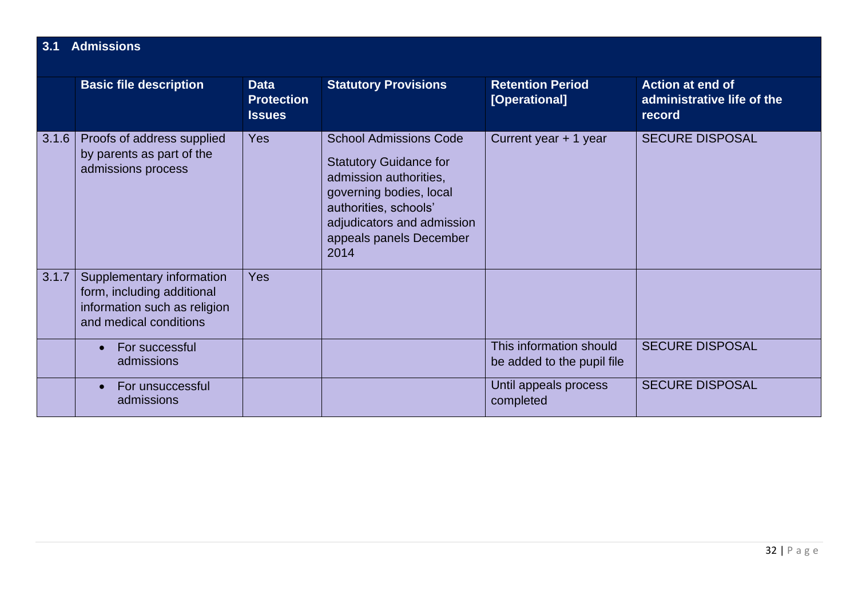| 3.1   | <b>Admissions</b>                                                                                                 |                                                   |                                                                                                                                                                                                               |                                                       |                                                          |  |  |  |  |
|-------|-------------------------------------------------------------------------------------------------------------------|---------------------------------------------------|---------------------------------------------------------------------------------------------------------------------------------------------------------------------------------------------------------------|-------------------------------------------------------|----------------------------------------------------------|--|--|--|--|
|       | <b>Basic file description</b>                                                                                     | <b>Data</b><br><b>Protection</b><br><b>Issues</b> | <b>Statutory Provisions</b>                                                                                                                                                                                   | <b>Retention Period</b><br>[Operational]              | Action at end of<br>administrative life of the<br>record |  |  |  |  |
| 3.1.6 | Proofs of address supplied<br>by parents as part of the<br>admissions process                                     | <b>Yes</b>                                        | <b>School Admissions Code</b><br><b>Statutory Guidance for</b><br>admission authorities,<br>governing bodies, local<br>authorities, schools'<br>adjudicators and admission<br>appeals panels December<br>2014 | Current year + 1 year                                 | <b>SECURE DISPOSAL</b>                                   |  |  |  |  |
| 3.1.7 | Supplementary information<br>form, including additional<br>information such as religion<br>and medical conditions | <b>Yes</b>                                        |                                                                                                                                                                                                               |                                                       |                                                          |  |  |  |  |
|       | For successful<br>$\bullet$<br>admissions                                                                         |                                                   |                                                                                                                                                                                                               | This information should<br>be added to the pupil file | <b>SECURE DISPOSAL</b>                                   |  |  |  |  |
|       | For unsuccessful<br>$\bullet$<br>admissions                                                                       |                                                   |                                                                                                                                                                                                               | Until appeals process<br>completed                    | <b>SECURE DISPOSAL</b>                                   |  |  |  |  |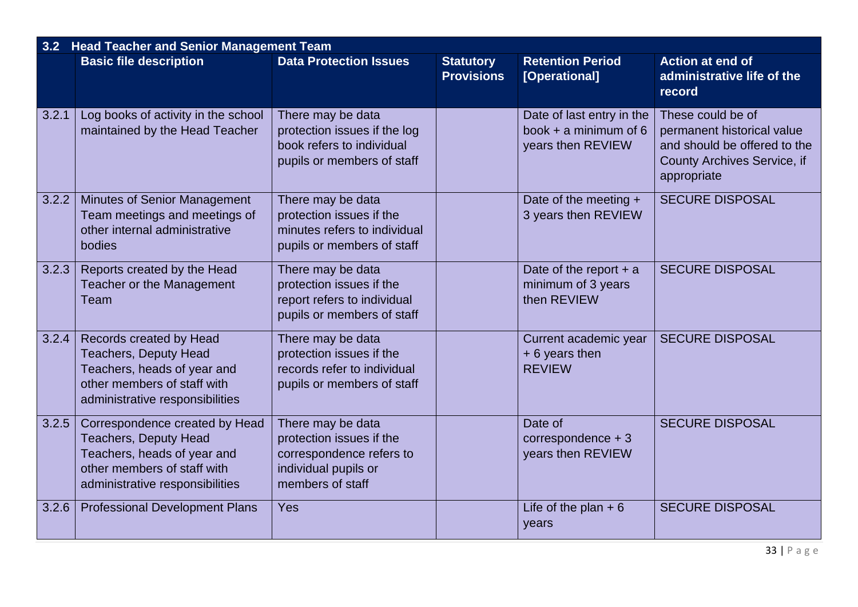| 3.2   | <b>Head Teacher and Senior Management Team</b>                                                                                                                  |                                                                                                                       |                                       |                                                                           |                                                                                                                               |  |  |  |  |
|-------|-----------------------------------------------------------------------------------------------------------------------------------------------------------------|-----------------------------------------------------------------------------------------------------------------------|---------------------------------------|---------------------------------------------------------------------------|-------------------------------------------------------------------------------------------------------------------------------|--|--|--|--|
|       | <b>Basic file description</b>                                                                                                                                   | <b>Data Protection Issues</b>                                                                                         | <b>Statutory</b><br><b>Provisions</b> | <b>Retention Period</b><br>[Operational]                                  | Action at end of<br>administrative life of the<br>record                                                                      |  |  |  |  |
| 3.2.1 | Log books of activity in the school<br>maintained by the Head Teacher                                                                                           | There may be data<br>protection issues if the log<br>book refers to individual<br>pupils or members of staff          |                                       | Date of last entry in the<br>book $+$ a minimum of 6<br>years then REVIEW | These could be of<br>permanent historical value<br>and should be offered to the<br>County Archives Service, if<br>appropriate |  |  |  |  |
| 3.2.2 | <b>Minutes of Senior Management</b><br>Team meetings and meetings of<br>other internal administrative<br>bodies                                                 | There may be data<br>protection issues if the<br>minutes refers to individual<br>pupils or members of staff           |                                       | Date of the meeting +<br>3 years then REVIEW                              | <b>SECURE DISPOSAL</b>                                                                                                        |  |  |  |  |
| 3.2.3 | Reports created by the Head<br>Teacher or the Management<br>Team                                                                                                | There may be data<br>protection issues if the<br>report refers to individual<br>pupils or members of staff            |                                       | Date of the report $+$ a<br>minimum of 3 years<br>then REVIEW             | <b>SECURE DISPOSAL</b>                                                                                                        |  |  |  |  |
| 3.2.4 | Records created by Head<br><b>Teachers, Deputy Head</b><br>Teachers, heads of year and<br>other members of staff with<br>administrative responsibilities        | There may be data<br>protection issues if the<br>records refer to individual<br>pupils or members of staff            |                                       | Current academic year<br>$+6$ years then<br><b>REVIEW</b>                 | <b>SECURE DISPOSAL</b>                                                                                                        |  |  |  |  |
| 3.2.5 | Correspondence created by Head<br><b>Teachers, Deputy Head</b><br>Teachers, heads of year and<br>other members of staff with<br>administrative responsibilities | There may be data<br>protection issues if the<br>correspondence refers to<br>individual pupils or<br>members of staff |                                       | Date of<br>correspondence $+3$<br>years then REVIEW                       | <b>SECURE DISPOSAL</b>                                                                                                        |  |  |  |  |
| 3.2.6 | <b>Professional Development Plans</b>                                                                                                                           | Yes                                                                                                                   |                                       | Life of the plan $+6$<br>years                                            | <b>SECURE DISPOSAL</b>                                                                                                        |  |  |  |  |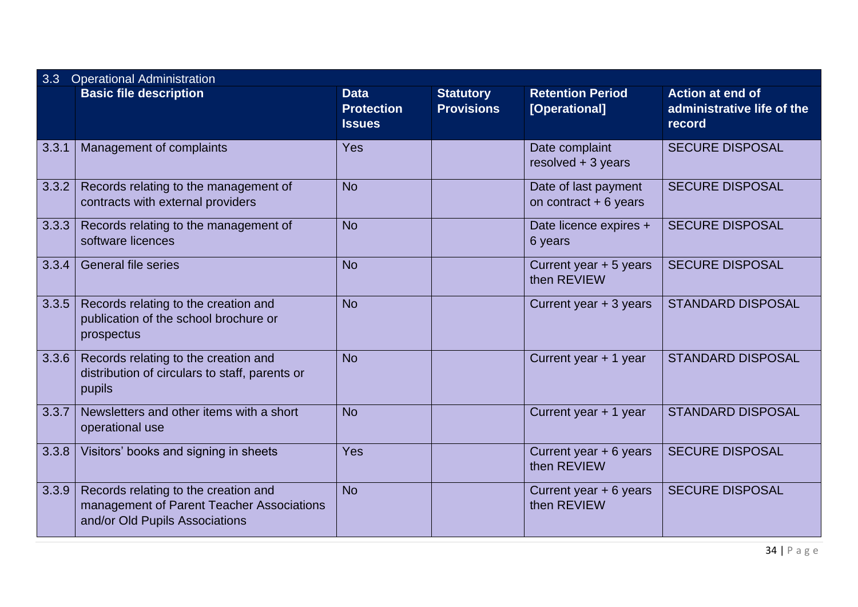| 3.3   | <b>Operational Administration</b>                                                                                   |                                                   |                                       |                                                |                                                                 |  |  |
|-------|---------------------------------------------------------------------------------------------------------------------|---------------------------------------------------|---------------------------------------|------------------------------------------------|-----------------------------------------------------------------|--|--|
|       | <b>Basic file description</b>                                                                                       | <b>Data</b><br><b>Protection</b><br><b>Issues</b> | <b>Statutory</b><br><b>Provisions</b> | <b>Retention Period</b><br>[Operational]       | <b>Action at end of</b><br>administrative life of the<br>record |  |  |
| 3.3.1 | Management of complaints                                                                                            | Yes                                               |                                       | Date complaint<br>resolved + 3 years           | <b>SECURE DISPOSAL</b>                                          |  |  |
| 3.3.2 | Records relating to the management of<br>contracts with external providers                                          | <b>No</b>                                         |                                       | Date of last payment<br>on contract $+6$ years | <b>SECURE DISPOSAL</b>                                          |  |  |
| 3.3.3 | Records relating to the management of<br>software licences                                                          | <b>No</b>                                         |                                       | Date licence expires +<br>6 years              | <b>SECURE DISPOSAL</b>                                          |  |  |
| 3.3.4 | <b>General file series</b>                                                                                          | <b>No</b>                                         |                                       | Current year + 5 years<br>then REVIEW          | <b>SECURE DISPOSAL</b>                                          |  |  |
| 3.3.5 | Records relating to the creation and<br>publication of the school brochure or<br>prospectus                         | <b>No</b>                                         |                                       | Current year + 3 years                         | <b>STANDARD DISPOSAL</b>                                        |  |  |
| 3.3.6 | Records relating to the creation and<br>distribution of circulars to staff, parents or<br>pupils                    | <b>No</b>                                         |                                       | Current year + 1 year                          | <b>STANDARD DISPOSAL</b>                                        |  |  |
| 3.3.7 | Newsletters and other items with a short<br>operational use                                                         | <b>No</b>                                         |                                       | Current year + 1 year                          | <b>STANDARD DISPOSAL</b>                                        |  |  |
| 3.3.8 | Visitors' books and signing in sheets                                                                               | Yes                                               |                                       | Current year + 6 years<br>then REVIEW          | <b>SECURE DISPOSAL</b>                                          |  |  |
| 3.3.9 | Records relating to the creation and<br>management of Parent Teacher Associations<br>and/or Old Pupils Associations | <b>No</b>                                         |                                       | Current year + 6 years<br>then REVIEW          | <b>SECURE DISPOSAL</b>                                          |  |  |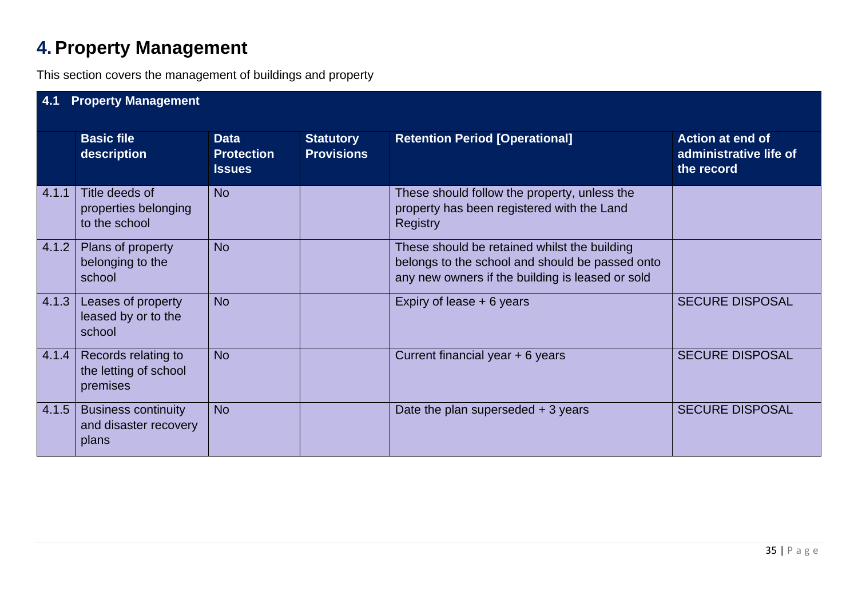# **4. Property Management**

This section covers the management of buildings and property

| 4.1   | <b>Property Management</b>                                   |                                                   |                                       |                                                                                                                                                     |                                                                 |  |  |  |  |
|-------|--------------------------------------------------------------|---------------------------------------------------|---------------------------------------|-----------------------------------------------------------------------------------------------------------------------------------------------------|-----------------------------------------------------------------|--|--|--|--|
|       | <b>Basic file</b><br>description                             | <b>Data</b><br><b>Protection</b><br><b>Issues</b> | <b>Statutory</b><br><b>Provisions</b> | <b>Retention Period [Operational]</b>                                                                                                               | <b>Action at end of</b><br>administrative life of<br>the record |  |  |  |  |
| 4.1.1 | Title deeds of<br>properties belonging<br>to the school      | <b>No</b>                                         |                                       | These should follow the property, unless the<br>property has been registered with the Land<br><b>Registry</b>                                       |                                                                 |  |  |  |  |
| 4.1.2 | Plans of property<br>belonging to the<br>school              | <b>No</b>                                         |                                       | These should be retained whilst the building<br>belongs to the school and should be passed onto<br>any new owners if the building is leased or sold |                                                                 |  |  |  |  |
| 4.1.3 | Leases of property<br>leased by or to the<br>school          | <b>No</b>                                         |                                       | Expiry of lease + 6 years                                                                                                                           | <b>SECURE DISPOSAL</b>                                          |  |  |  |  |
| 4.1.4 | Records relating to<br>the letting of school<br>premises     | <b>No</b>                                         |                                       | Current financial year + 6 years                                                                                                                    | <b>SECURE DISPOSAL</b>                                          |  |  |  |  |
| 4.1.5 | <b>Business continuity</b><br>and disaster recovery<br>plans | <b>No</b>                                         |                                       | Date the plan superseded $+3$ years                                                                                                                 | <b>SECURE DISPOSAL</b>                                          |  |  |  |  |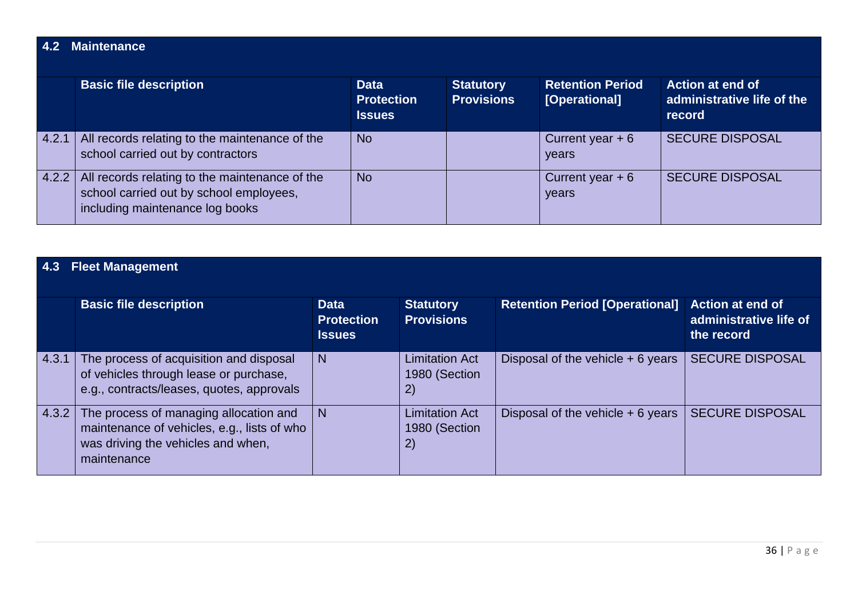### **4.2 Maintenance**

|       | <b>Basic file description</b>                                                                                                | <b>Data</b><br><b>Protection</b><br><b>Issues</b> | <b>Statutory</b><br><b>Provisions</b> | <b>Retention Period</b><br>[Operational] | <b>Action at end of</b><br>administrative life of the<br>record |
|-------|------------------------------------------------------------------------------------------------------------------------------|---------------------------------------------------|---------------------------------------|------------------------------------------|-----------------------------------------------------------------|
| 4.2.1 | All records relating to the maintenance of the<br>school carried out by contractors                                          | <b>No</b>                                         |                                       | Current year $+6$<br>years               | <b>SECURE DISPOSAL</b>                                          |
| 4.2.2 | All records relating to the maintenance of the<br>school carried out by school employees,<br>including maintenance log books | <b>No</b>                                         |                                       | Current year $+6$<br>years               | <b>SECURE DISPOSAL</b>                                          |

### **4.3 Fleet Management**

|       | <b>Basic file description</b>                                                                                                              | <b>Data</b><br><b>Protection</b><br><b>Issues</b> | <b>Statutory</b><br><b>Provisions</b>                  | <b>Retention Period [Operational]</b> | <b>Action at end of</b><br>administrative life of<br>the record |  |  |  |
|-------|--------------------------------------------------------------------------------------------------------------------------------------------|---------------------------------------------------|--------------------------------------------------------|---------------------------------------|-----------------------------------------------------------------|--|--|--|
| 4.3.1 | The process of acquisition and disposal<br>of vehicles through lease or purchase,<br>e.g., contracts/leases, quotes, approvals             | N                                                 | <b>Limitation Act</b><br>1980 (Section<br>2)           | Disposal of the vehicle $+6$ years    | <b>SECURE DISPOSAL</b>                                          |  |  |  |
| 4.3.2 | The process of managing allocation and<br>maintenance of vehicles, e.g., lists of who<br>was driving the vehicles and when,<br>maintenance | $\mathbf N$                                       | <b>Limitation Act</b><br>1980 (Section<br>$\mathbf{2}$ | Disposal of the vehicle $+6$ years    | <b>SECURE DISPOSAL</b>                                          |  |  |  |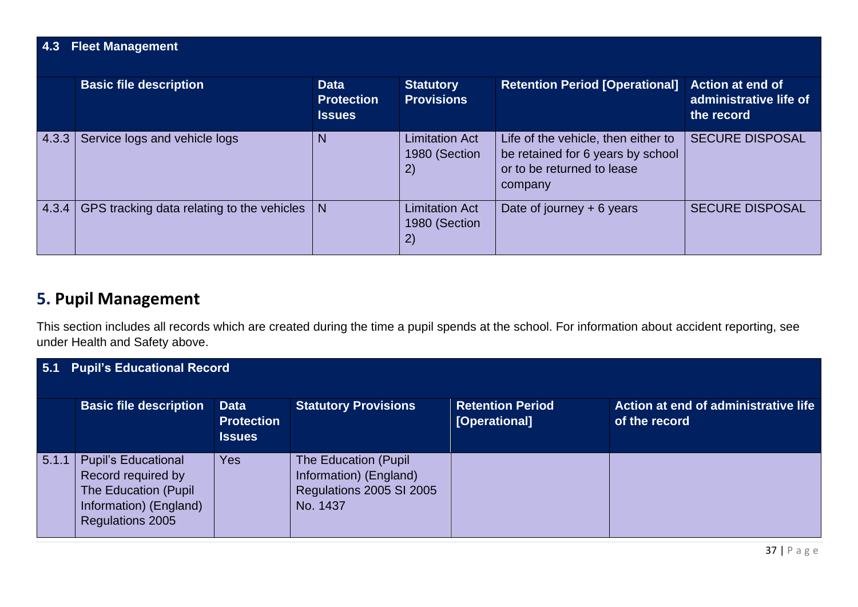### **4.3 Fleet Management**

|       | <b>Basic file description</b>              | <b>Data</b><br><b>Protection</b><br><b>Issues</b> | <b>Statutory</b><br><b>Provisions</b>        | <b>Retention Period [Operational]</b>                                                                             | <b>Action at end of</b><br>administrative life of<br>the record |
|-------|--------------------------------------------|---------------------------------------------------|----------------------------------------------|-------------------------------------------------------------------------------------------------------------------|-----------------------------------------------------------------|
| 4.3.3 | Service logs and vehicle logs              | N                                                 | <b>Limitation Act</b><br>1980 (Section<br>2) | Life of the vehicle, then either to<br>be retained for 6 years by school<br>or to be returned to lease<br>company | <b>SECURE DISPOSAL</b>                                          |
| 4.3.4 | GPS tracking data relating to the vehicles | N                                                 | <b>Limitation Act</b><br>1980 (Section<br>2) | Date of journey $+ 6$ years                                                                                       | <b>SECURE DISPOSAL</b>                                          |

# **5. Pupil Management**

This section includes all records which are created during the time a pupil spends at the school. For information about accident reporting, see under Health and Safety above.

| 5.1   | <b>Pupil's Educational Record</b>                                                                                      |                                                   |                                                                                         |                                          |                                                       |  |  |  |  |  |
|-------|------------------------------------------------------------------------------------------------------------------------|---------------------------------------------------|-----------------------------------------------------------------------------------------|------------------------------------------|-------------------------------------------------------|--|--|--|--|--|
|       | <b>Basic file description</b>                                                                                          | <b>Data</b><br><b>Protection</b><br><b>Issues</b> | <b>Statutory Provisions</b>                                                             | <b>Retention Period</b><br>[Operational] | Action at end of administrative life<br>of the record |  |  |  |  |  |
| 5.1.1 | <b>Pupil's Educational</b><br>Record required by<br>The Education (Pupil<br>Information) (England)<br>Regulations 2005 | Yes                                               | The Education (Pupil)<br>Information) (England)<br>Regulations 2005 SI 2005<br>No. 1437 |                                          |                                                       |  |  |  |  |  |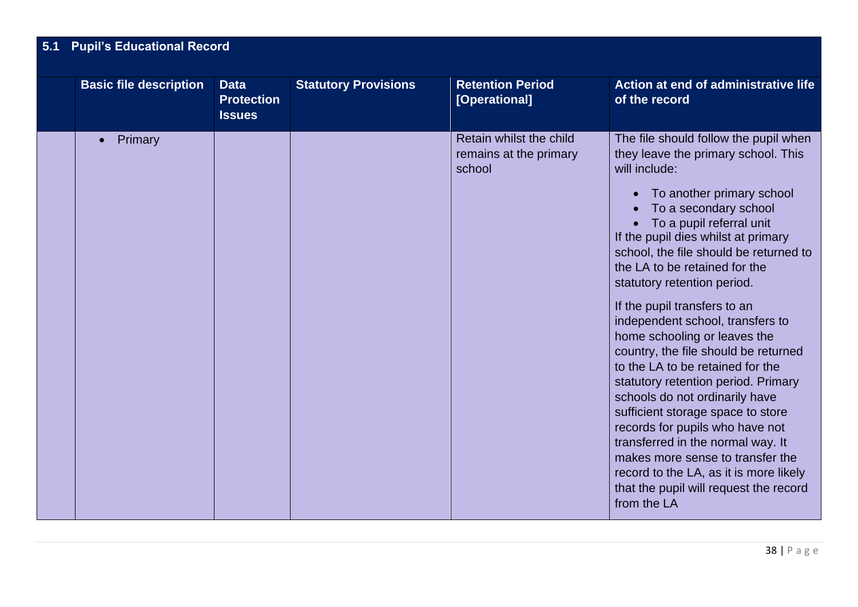## **5.1 Pupil's Educational Record**

| <b>Basic file description</b> | <b>Data</b><br><b>Protection</b><br><b>Issues</b> | <b>Statutory Provisions</b> | <b>Retention Period</b><br>[Operational]                    | Action at end of administrative life<br>of the record                                                                                                                                                                                                                                                                                                                                                                                                                                                                                                                                                                                                                                                                                                                                                                                                      |
|-------------------------------|---------------------------------------------------|-----------------------------|-------------------------------------------------------------|------------------------------------------------------------------------------------------------------------------------------------------------------------------------------------------------------------------------------------------------------------------------------------------------------------------------------------------------------------------------------------------------------------------------------------------------------------------------------------------------------------------------------------------------------------------------------------------------------------------------------------------------------------------------------------------------------------------------------------------------------------------------------------------------------------------------------------------------------------|
| Primary                       |                                                   |                             | Retain whilst the child<br>remains at the primary<br>school | The file should follow the pupil when<br>they leave the primary school. This<br>will include:<br>To another primary school<br>$\bullet$<br>To a secondary school<br>To a pupil referral unit<br>If the pupil dies whilst at primary<br>school, the file should be returned to<br>the LA to be retained for the<br>statutory retention period.<br>If the pupil transfers to an<br>independent school, transfers to<br>home schooling or leaves the<br>country, the file should be returned<br>to the LA to be retained for the<br>statutory retention period. Primary<br>schools do not ordinarily have<br>sufficient storage space to store<br>records for pupils who have not<br>transferred in the normal way. It<br>makes more sense to transfer the<br>record to the LA, as it is more likely<br>that the pupil will request the record<br>from the LA |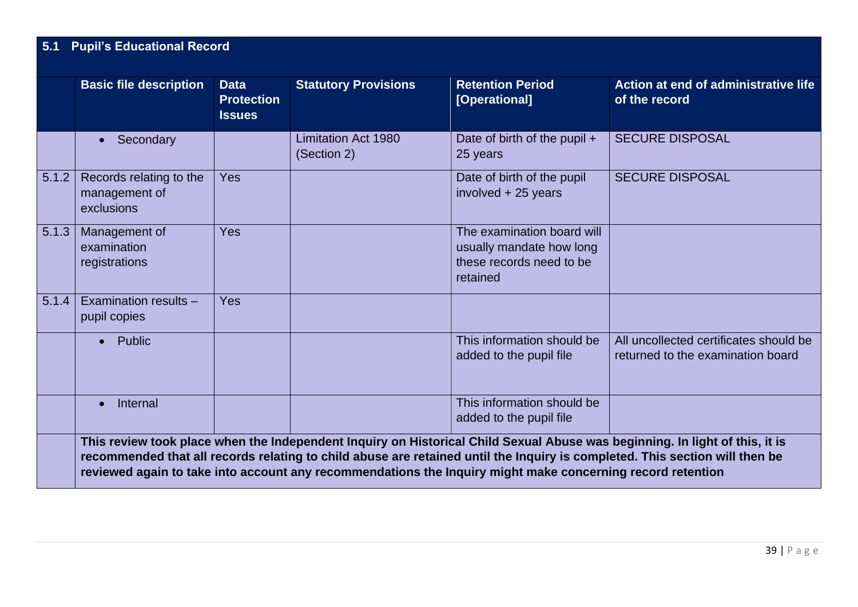|       | <b>Basic file description</b>                          | <b>Data</b><br><b>Protection</b><br><b>Issues</b> | <b>Statutory Provisions</b>               | <b>Retention Period</b><br>[Operational]                                                       | Action at end of administrative life<br>of the record                       |
|-------|--------------------------------------------------------|---------------------------------------------------|-------------------------------------------|------------------------------------------------------------------------------------------------|-----------------------------------------------------------------------------|
|       | Secondary                                              |                                                   | <b>Limitation Act 1980</b><br>(Section 2) | Date of birth of the pupil +<br>25 years                                                       | <b>SECURE DISPOSAL</b>                                                      |
| 5.1.2 | Records relating to the<br>management of<br>exclusions | <b>Yes</b>                                        |                                           | Date of birth of the pupil<br>involved + 25 years                                              | <b>SECURE DISPOSAL</b>                                                      |
| 5.1.3 | Management of<br>examination<br>registrations          | Yes                                               |                                           | The examination board will<br>usually mandate how long<br>these records need to be<br>retained |                                                                             |
| 5.1.4 | Examination results -<br>pupil copies                  | Yes                                               |                                           |                                                                                                |                                                                             |
|       | Public<br>$\bullet$                                    |                                                   |                                           | This information should be<br>added to the pupil file                                          | All uncollected certificates should be<br>returned to the examination board |
|       | Internal                                               |                                                   |                                           | This information should be<br>added to the pupil file                                          |                                                                             |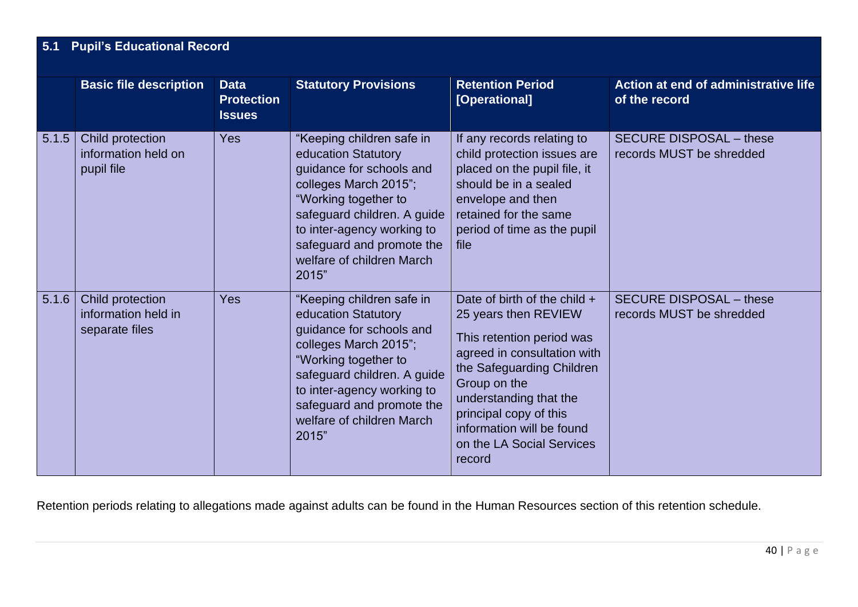### **5.1 Pupil's Educational Record**

|       | <b>Basic file description</b>                             | <b>Data</b><br><b>Protection</b><br><b>Issues</b> | <b>Statutory Provisions</b>                                                                                                                                                                                                                                   | <b>Retention Period</b><br>[Operational]                                                                                                                                                                                                                                              | Action at end of administrative life<br>of the record      |
|-------|-----------------------------------------------------------|---------------------------------------------------|---------------------------------------------------------------------------------------------------------------------------------------------------------------------------------------------------------------------------------------------------------------|---------------------------------------------------------------------------------------------------------------------------------------------------------------------------------------------------------------------------------------------------------------------------------------|------------------------------------------------------------|
| 5.1.5 | Child protection<br>information held on<br>pupil file     | <b>Yes</b>                                        | "Keeping children safe in<br>education Statutory<br>guidance for schools and<br>colleges March 2015";<br>"Working together to<br>safeguard children. A guide<br>to inter-agency working to<br>safeguard and promote the<br>welfare of children March<br>2015" | If any records relating to<br>child protection issues are<br>placed on the pupil file, it<br>should be in a sealed<br>envelope and then<br>retained for the same<br>period of time as the pupil<br>file                                                                               | <b>SECURE DISPOSAL - these</b><br>records MUST be shredded |
| 5.1.6 | Child protection<br>information held in<br>separate files | <b>Yes</b>                                        | "Keeping children safe in<br>education Statutory<br>quidance for schools and<br>colleges March 2015";<br>"Working together to<br>safeguard children. A guide<br>to inter-agency working to<br>safeguard and promote the<br>welfare of children March<br>2015" | Date of birth of the child +<br>25 years then REVIEW<br>This retention period was<br>agreed in consultation with<br>the Safeguarding Children<br>Group on the<br>understanding that the<br>principal copy of this<br>information will be found<br>on the LA Social Services<br>record | <b>SECURE DISPOSAL - these</b><br>records MUST be shredded |

Retention periods relating to allegations made against adults can be found in the Human Resources section of this retention schedule.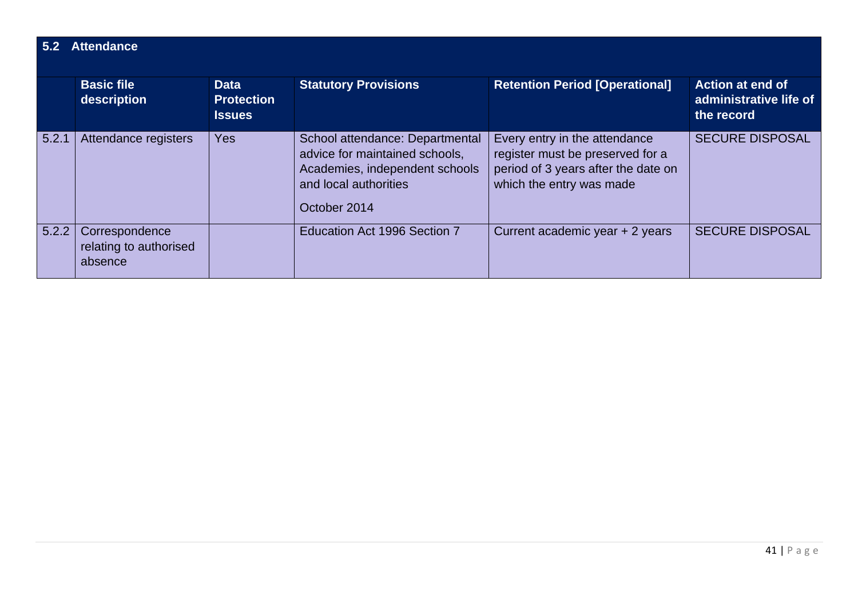### **5.2 Attendance**

|       | <b>Basic file</b><br>description                    | <b>Data</b><br><b>Protection</b><br><b>Issues</b> | <b>Statutory Provisions</b>                                                                                                                  | <b>Retention Period [Operational]</b>                                                                                                | <b>Action at end of</b><br>administrative life of<br>the record |  |  |  |  |
|-------|-----------------------------------------------------|---------------------------------------------------|----------------------------------------------------------------------------------------------------------------------------------------------|--------------------------------------------------------------------------------------------------------------------------------------|-----------------------------------------------------------------|--|--|--|--|
| 5.2.1 | Attendance registers                                | <b>Yes</b>                                        | School attendance: Departmental<br>advice for maintained schools,<br>Academies, independent schools<br>and local authorities<br>October 2014 | Every entry in the attendance<br>register must be preserved for a<br>period of 3 years after the date on<br>which the entry was made | <b>SECURE DISPOSAL</b>                                          |  |  |  |  |
| 5.2.2 | Correspondence<br>relating to authorised<br>absence |                                                   | Education Act 1996 Section 7                                                                                                                 | Current academic year + 2 years                                                                                                      | <b>SECURE DISPOSAL</b>                                          |  |  |  |  |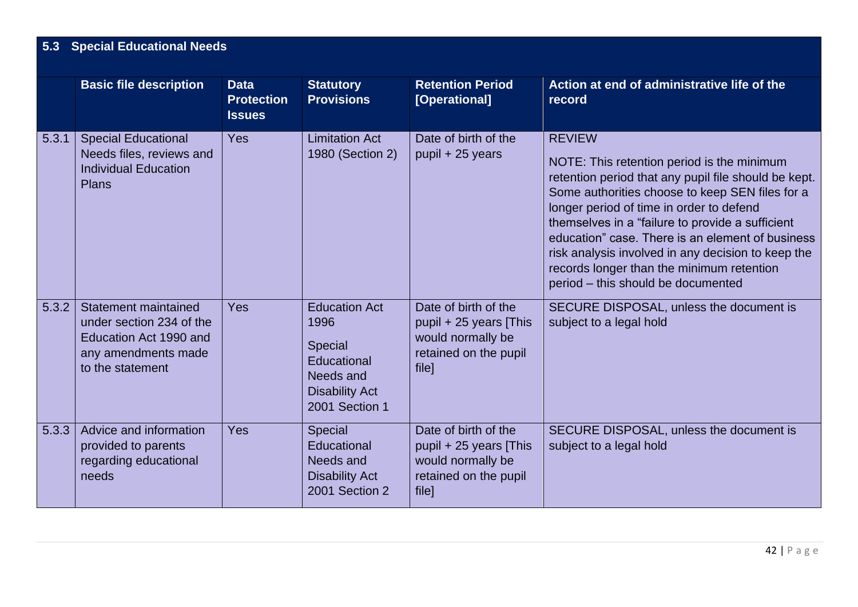## **5.3 Special Educational Needs**

|       | <b>Basic file description</b>                                                                                         | <b>Data</b><br><b>Protection</b><br><b>Issues</b> | <b>Statutory</b><br><b>Provisions</b>                                                                          | <b>Retention Period</b><br>[Operational]                                                              | Action at end of administrative life of the<br>record                                                                                                                                                                                                                                                                                                                                                                                                               |
|-------|-----------------------------------------------------------------------------------------------------------------------|---------------------------------------------------|----------------------------------------------------------------------------------------------------------------|-------------------------------------------------------------------------------------------------------|---------------------------------------------------------------------------------------------------------------------------------------------------------------------------------------------------------------------------------------------------------------------------------------------------------------------------------------------------------------------------------------------------------------------------------------------------------------------|
| 5.3.1 | <b>Special Educational</b><br>Needs files, reviews and<br><b>Individual Education</b><br><b>Plans</b>                 | <b>Yes</b>                                        | <b>Limitation Act</b><br>1980 (Section 2)                                                                      | Date of birth of the<br>pupil + 25 years                                                              | <b>REVIEW</b><br>NOTE: This retention period is the minimum<br>retention period that any pupil file should be kept.<br>Some authorities choose to keep SEN files for a<br>longer period of time in order to defend<br>themselves in a "failure to provide a sufficient<br>education" case. There is an element of business<br>risk analysis involved in any decision to keep the<br>records longer than the minimum retention<br>period - this should be documented |
| 5.3.2 | Statement maintained<br>under section 234 of the<br>Education Act 1990 and<br>any amendments made<br>to the statement | <b>Yes</b>                                        | <b>Education Act</b><br>1996<br>Special<br>Educational<br>Needs and<br><b>Disability Act</b><br>2001 Section 1 | Date of birth of the<br>pupil + 25 years [This<br>would normally be<br>retained on the pupil<br>file] | SECURE DISPOSAL, unless the document is<br>subject to a legal hold                                                                                                                                                                                                                                                                                                                                                                                                  |
| 5.3.3 | Advice and information<br>provided to parents<br>regarding educational<br>needs                                       | <b>Yes</b>                                        | Special<br>Educational<br>Needs and<br><b>Disability Act</b><br>2001 Section 2                                 | Date of birth of the<br>pupil + 25 years [This<br>would normally be<br>retained on the pupil<br>file] | SECURE DISPOSAL, unless the document is<br>subject to a legal hold                                                                                                                                                                                                                                                                                                                                                                                                  |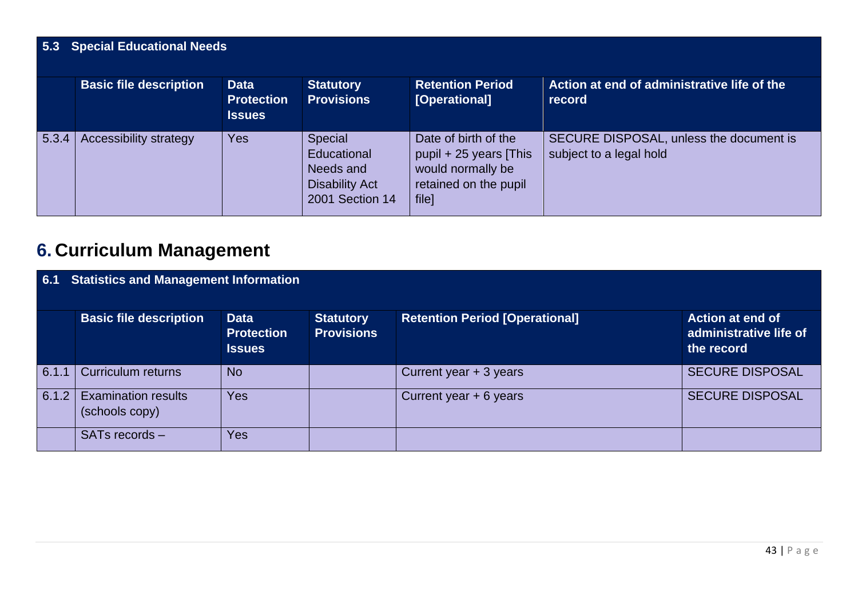## **5.3 Special Educational Needs**

|       | <b>Basic file description</b> | <b>Data</b><br><b>Protection</b><br><b>Issues</b> | <b>Statutory</b><br><b>Provisions</b>                                           | <b>Retention Period</b><br>[Operational]                                                              | Action at end of administrative life of the<br>record              |
|-------|-------------------------------|---------------------------------------------------|---------------------------------------------------------------------------------|-------------------------------------------------------------------------------------------------------|--------------------------------------------------------------------|
| 5.3.4 | Accessibility strategy        | <b>Yes</b>                                        | Special<br>Educational<br>Needs and<br><b>Disability Act</b><br>2001 Section 14 | Date of birth of the<br>pupil + 25 years [This<br>would normally be<br>retained on the pupil<br>file] | SECURE DISPOSAL, unless the document is<br>subject to a legal hold |

# **6. Curriculum Management**

| 6.1   | <b>Statistics and Management Information</b> |                                                   |                                       |                                       |                                                                 |  |  |  |  |
|-------|----------------------------------------------|---------------------------------------------------|---------------------------------------|---------------------------------------|-----------------------------------------------------------------|--|--|--|--|
|       | <b>Basic file description</b>                | <b>Data</b><br><b>Protection</b><br><b>Issues</b> | <b>Statutory</b><br><b>Provisions</b> | <b>Retention Period [Operational]</b> | <b>Action at end of</b><br>administrative life of<br>the record |  |  |  |  |
| 6.1.1 | Curriculum returns                           | <b>No</b>                                         |                                       | Current year + 3 years                | <b>SECURE DISPOSAL</b>                                          |  |  |  |  |
| 6.1.2 | <b>Examination results</b><br>(schools copy) | <b>Yes</b>                                        |                                       | Current year + 6 years                | <b>SECURE DISPOSAL</b>                                          |  |  |  |  |
|       | SATs records -                               | Yes                                               |                                       |                                       |                                                                 |  |  |  |  |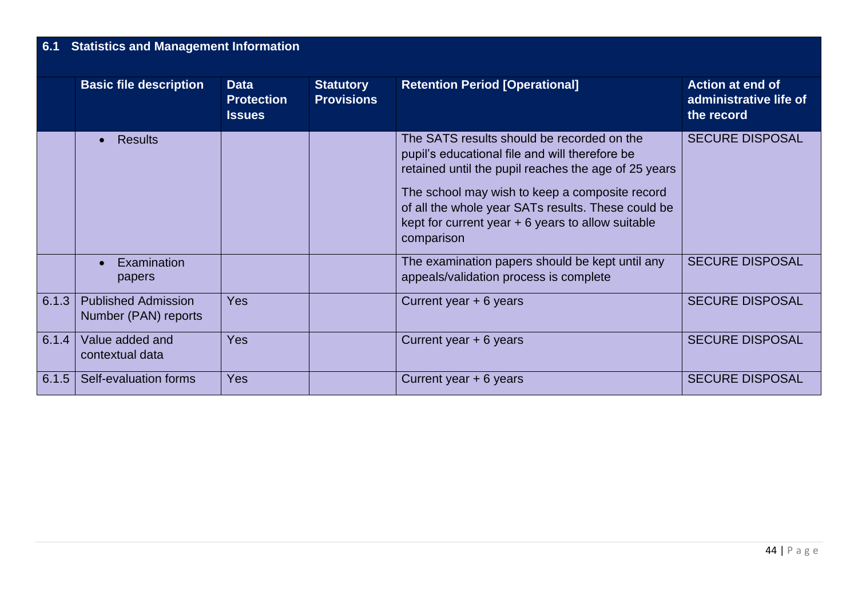# **6.1 Statistics and Management Information**

|       | <b>Basic file description</b>                      | <b>Data</b><br><b>Protection</b> | <b>Statutory</b><br><b>Provisions</b> | <b>Retention Period [Operational]</b>                                                                                                                                                                                                                                                                                            | <b>Action at end of</b><br>administrative life of |
|-------|----------------------------------------------------|----------------------------------|---------------------------------------|----------------------------------------------------------------------------------------------------------------------------------------------------------------------------------------------------------------------------------------------------------------------------------------------------------------------------------|---------------------------------------------------|
|       |                                                    | <b>Issues</b>                    |                                       |                                                                                                                                                                                                                                                                                                                                  | the record                                        |
|       | <b>Results</b>                                     |                                  |                                       | The SATS results should be recorded on the<br>pupil's educational file and will therefore be<br>retained until the pupil reaches the age of 25 years<br>The school may wish to keep a composite record<br>of all the whole year SATs results. These could be<br>kept for current year $+6$ years to allow suitable<br>comparison | <b>SECURE DISPOSAL</b>                            |
|       | <b>Examination</b><br>papers                       |                                  |                                       | The examination papers should be kept until any<br>appeals/validation process is complete                                                                                                                                                                                                                                        | <b>SECURE DISPOSAL</b>                            |
| 6.1.3 | <b>Published Admission</b><br>Number (PAN) reports | <b>Yes</b>                       |                                       | Current year $+ 6$ years                                                                                                                                                                                                                                                                                                         | <b>SECURE DISPOSAL</b>                            |
| 6.1.4 | Value added and<br>contextual data                 | Yes                              |                                       | Current year $+ 6$ years                                                                                                                                                                                                                                                                                                         | <b>SECURE DISPOSAL</b>                            |
| 6.1.5 | Self-evaluation forms                              | <b>Yes</b>                       |                                       | Current year $+ 6$ years                                                                                                                                                                                                                                                                                                         | <b>SECURE DISPOSAL</b>                            |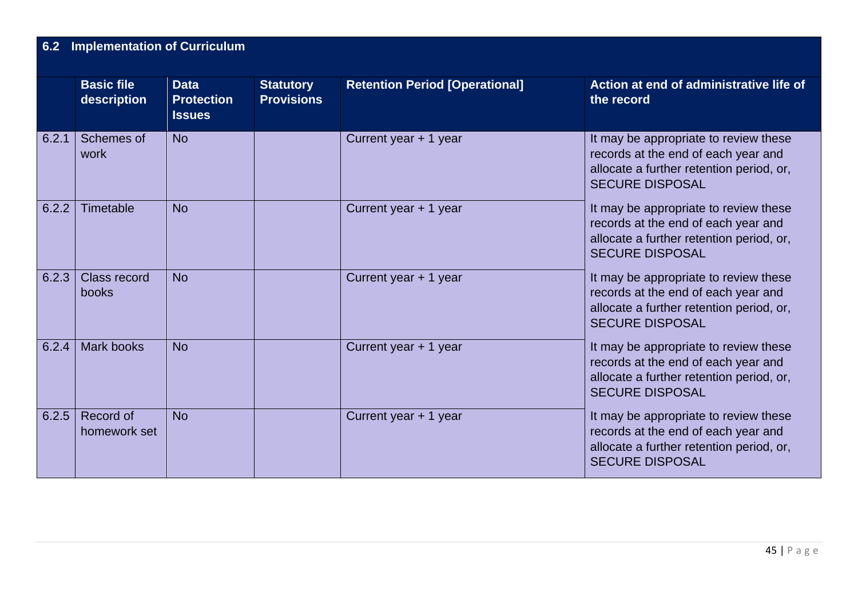# **6.2 Implementation of Curriculum**

|       | <b>Basic file</b><br>description | <b>Data</b><br><b>Protection</b><br><b>Issues</b> | <b>Statutory</b><br><b>Provisions</b> | <b>Retention Period [Operational]</b> | Action at end of administrative life of<br>the record                                                                                              |
|-------|----------------------------------|---------------------------------------------------|---------------------------------------|---------------------------------------|----------------------------------------------------------------------------------------------------------------------------------------------------|
| 6.2.1 | Schemes of<br>work               | <b>No</b>                                         |                                       | Current year + 1 year                 | It may be appropriate to review these<br>records at the end of each year and<br>allocate a further retention period, or,<br><b>SECURE DISPOSAL</b> |
| 6.2.2 | Timetable                        | <b>No</b>                                         |                                       | Current year + 1 year                 | It may be appropriate to review these<br>records at the end of each year and<br>allocate a further retention period, or,<br><b>SECURE DISPOSAL</b> |
| 6.2.3 | Class record<br>books            | <b>No</b>                                         |                                       | Current year + 1 year                 | It may be appropriate to review these<br>records at the end of each year and<br>allocate a further retention period, or,<br><b>SECURE DISPOSAL</b> |
| 6.2.4 | Mark books                       | <b>No</b>                                         |                                       | Current year + 1 year                 | It may be appropriate to review these<br>records at the end of each year and<br>allocate a further retention period, or,<br><b>SECURE DISPOSAL</b> |
| 6.2.5 | Record of<br>homework set        | <b>No</b>                                         |                                       | Current year + 1 year                 | It may be appropriate to review these<br>records at the end of each year and<br>allocate a further retention period, or,<br><b>SECURE DISPOSAL</b> |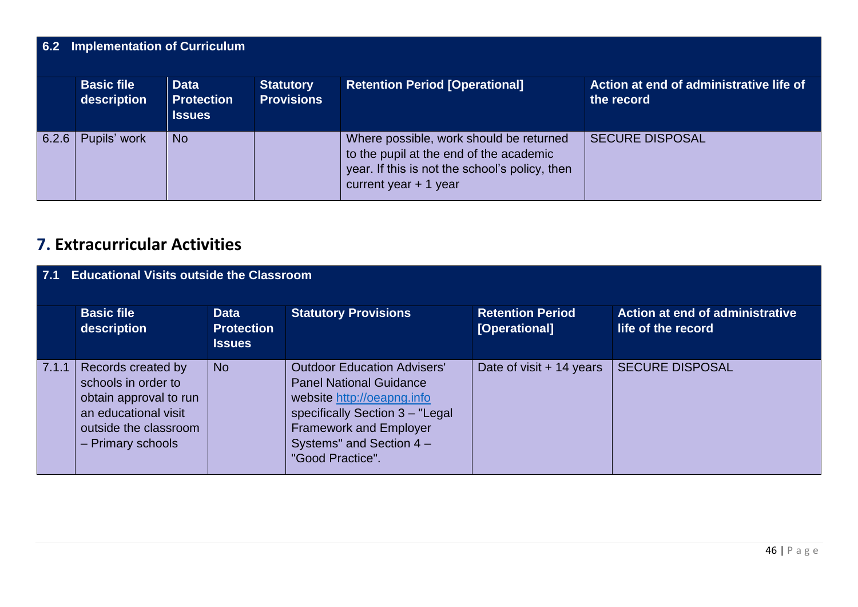| 6.2   | Implementation of Curriculum     |                                                   |                                       |                                                                                                                                                                |                                                       |  |  |  |  |
|-------|----------------------------------|---------------------------------------------------|---------------------------------------|----------------------------------------------------------------------------------------------------------------------------------------------------------------|-------------------------------------------------------|--|--|--|--|
|       | <b>Basic file</b><br>description | <b>Data</b><br><b>Protection</b><br><b>Issues</b> | <b>Statutory</b><br><b>Provisions</b> | <b>Retention Period [Operational]</b>                                                                                                                          | Action at end of administrative life of<br>the record |  |  |  |  |
| 6.2.6 | Pupils' work                     | <b>No</b>                                         |                                       | Where possible, work should be returned<br>to the pupil at the end of the academic<br>year. If this is not the school's policy, then<br>current year $+1$ year | <b>SECURE DISPOSAL</b>                                |  |  |  |  |

## **7. Extracurricular Activities**

| 7.1   | <b>Educational Visits outside the Classroom</b>                                                                                           |                                                   |                                                                                                                                                                                                                        |                                          |                                                       |  |  |
|-------|-------------------------------------------------------------------------------------------------------------------------------------------|---------------------------------------------------|------------------------------------------------------------------------------------------------------------------------------------------------------------------------------------------------------------------------|------------------------------------------|-------------------------------------------------------|--|--|
|       | <b>Basic file</b><br>description                                                                                                          | <b>Data</b><br><b>Protection</b><br><b>Issues</b> | <b>Statutory Provisions</b>                                                                                                                                                                                            | <b>Retention Period</b><br>[Operational] | Action at end of administrative<br>life of the record |  |  |
| 7.1.1 | Records created by<br>schools in order to<br>obtain approval to run<br>an educational visit<br>outside the classroom<br>- Primary schools | <b>No</b>                                         | <b>Outdoor Education Advisers'</b><br><b>Panel National Guidance</b><br>website http://oeapng.info<br>specifically Section 3 - "Legal<br><b>Framework and Employer</b><br>Systems" and Section 4 -<br>"Good Practice". | Date of visit $+$ 14 years               | <b>SECURE DISPOSAL</b>                                |  |  |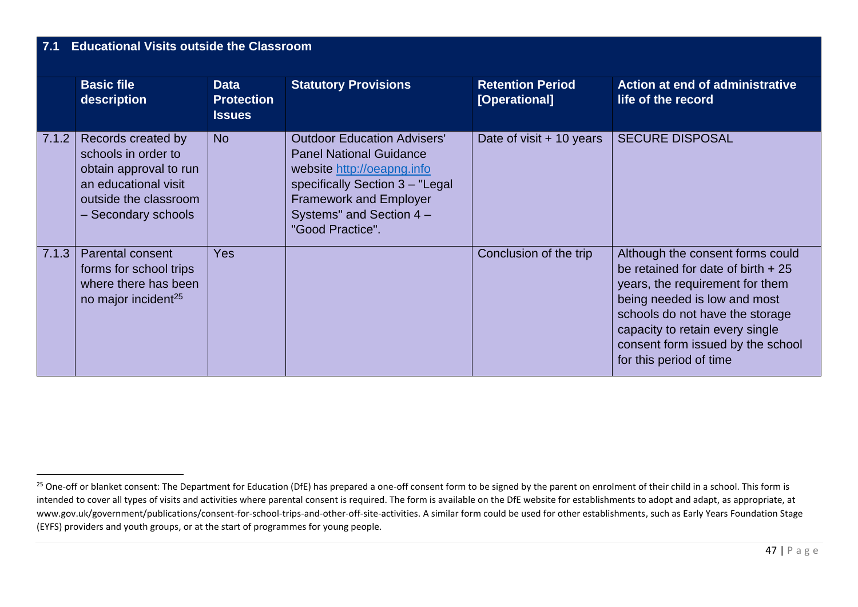#### **7.1 Educational Visits outside the Classroom Basic file description Data Protection Issues Statutory Provisions Retention Period [Operational] Action at end of administrative life of the record** 7.1.2 | Records created by schools in order to obtain approval to run an educational visit outside the classroom – Secondary schools No Outdoor Education Advisers' Panel National Guidance website [http://oeapng.info](http://oeapng.info/) specifically Section 3 – "Legal Framework and Employer Systems" and Section 4 – "Good Practice". Date of visit  $+10$  years SECURE DISPOSAL 7.1.3 Parental consent forms for school trips where there has been no major incident<sup>25</sup> Yes and the consent of the trip Although the consent forms could be retained for date of birth + 25 years, the requirement for them being needed is low and most schools do not have the storage capacity to retain every single consent form issued by the school for this period of time

<sup>&</sup>lt;sup>25</sup> One-off or blanket consent: The Department for Education (DfE) has prepared a one-off consent form to be signed by the parent on enrolment of their child in a school. This form is intended to cover all types of visits and activities where parental consent is required. The form is available on the DfE website for establishments to adopt and adapt, as appropriate, at www.gov.uk/government/publications/consent-for-school-trips-and-other-off-site-activities. A similar form could be used for other establishments, such as Early Years Foundation Stage (EYFS) providers and youth groups, or at the start of programmes for young people.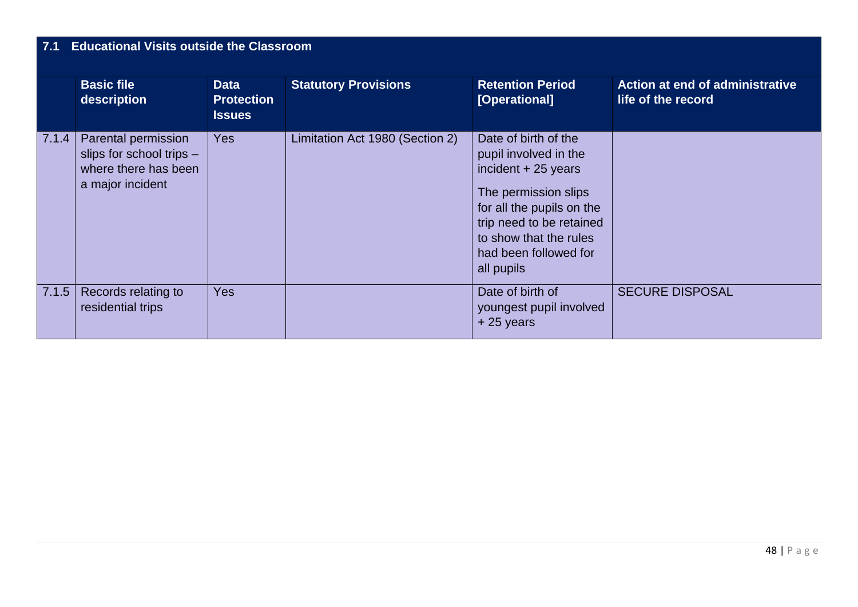### **7.1 Educational Visits outside the Classroom**

|       | <b>Basic file</b><br>description                                                            | <b>Data</b><br><b>Protection</b><br><b>Issues</b> | <b>Statutory Provisions</b>     | <b>Retention Period</b><br>[Operational]                                                                                                                                                                                | <b>Action at end of administrative</b><br>life of the record |
|-------|---------------------------------------------------------------------------------------------|---------------------------------------------------|---------------------------------|-------------------------------------------------------------------------------------------------------------------------------------------------------------------------------------------------------------------------|--------------------------------------------------------------|
| 7.1.4 | Parental permission<br>slips for school trips -<br>where there has been<br>a major incident | <b>Yes</b>                                        | Limitation Act 1980 (Section 2) | Date of birth of the<br>pupil involved in the<br>incident $+25$ years<br>The permission slips<br>for all the pupils on the<br>trip need to be retained<br>to show that the rules<br>had been followed for<br>all pupils |                                                              |
| 7.1.5 | Records relating to<br>residential trips                                                    | <b>Yes</b>                                        |                                 | Date of birth of<br>youngest pupil involved<br>$+25$ years                                                                                                                                                              | <b>SECURE DISPOSAL</b>                                       |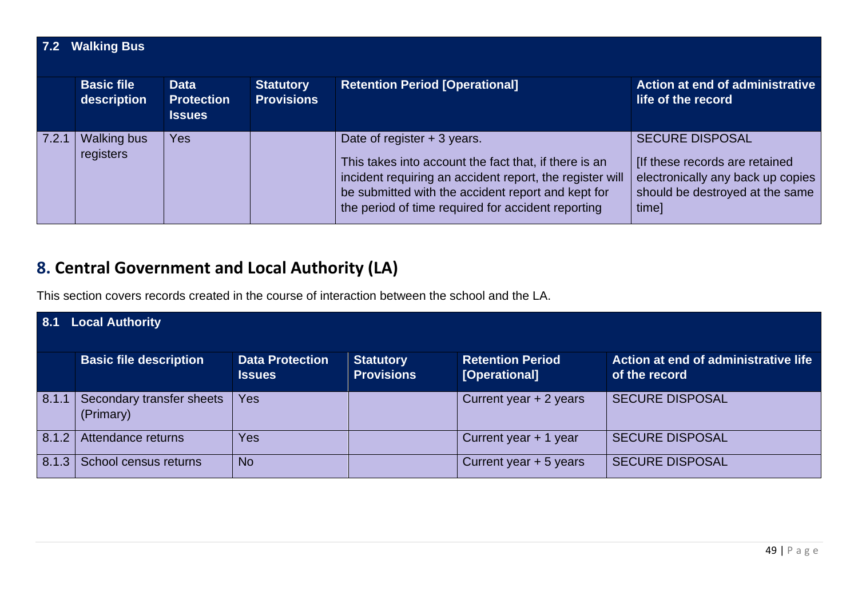| 7.2   | <b>Walking Bus</b>               |                                                   |                                       |                                                                                                                                                                                                                                                               |                                                                                                                                           |  |  |  |
|-------|----------------------------------|---------------------------------------------------|---------------------------------------|---------------------------------------------------------------------------------------------------------------------------------------------------------------------------------------------------------------------------------------------------------------|-------------------------------------------------------------------------------------------------------------------------------------------|--|--|--|
|       | <b>Basic file</b><br>description | <b>Data</b><br><b>Protection</b><br><b>Issues</b> | <b>Statutory</b><br><b>Provisions</b> | <b>Retention Period [Operational]</b>                                                                                                                                                                                                                         | Action at end of administrative<br>life of the record                                                                                     |  |  |  |
| 7.2.1 | <b>Walking bus</b><br>registers  | <b>Yes</b>                                        |                                       | Date of register $+3$ years.<br>This takes into account the fact that, if there is an<br>incident requiring an accident report, the register will<br>be submitted with the accident report and kept for<br>the period of time required for accident reporting | <b>SECURE DISPOSAL</b><br>[If these records are retained<br>electronically any back up copies<br>should be destroyed at the same<br>time] |  |  |  |

# **8. Central Government and Local Authority (LA)**

This section covers records created in the course of interaction between the school and the LA.

| 8.1   | <b>Local Authority</b>                 |                                         |                                       |                                          |                                                       |  |  |
|-------|----------------------------------------|-----------------------------------------|---------------------------------------|------------------------------------------|-------------------------------------------------------|--|--|
|       | <b>Basic file description</b>          | <b>Data Protection</b><br><b>Issues</b> | <b>Statutory</b><br><b>Provisions</b> | <b>Retention Period</b><br>[Operational] | Action at end of administrative life<br>of the record |  |  |
| 8.1.1 | Secondary transfer sheets<br>(Primary) | Yes                                     |                                       | Current year + 2 years                   | <b>SECURE DISPOSAL</b>                                |  |  |
| 8.1.2 | Attendance returns                     | Yes                                     |                                       | Current year + 1 year                    | <b>SECURE DISPOSAL</b>                                |  |  |
| 8.1.3 | School census returns                  | <b>No</b>                               |                                       | Current year + 5 years                   | <b>SECURE DISPOSAL</b>                                |  |  |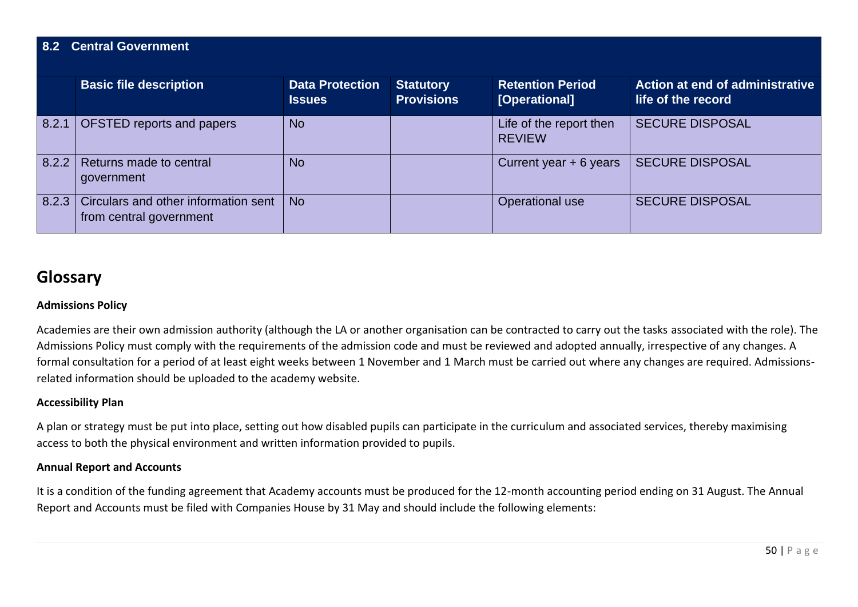### **8.2 Central Government**

|       | <b>Basic file description</b>                                   | <b>Data Protection</b><br><b>Issues</b> | <b>Statutory</b><br><b>Provisions</b> | <b>Retention Period</b><br>[Operational] | Action at end of administrative<br>life of the record |
|-------|-----------------------------------------------------------------|-----------------------------------------|---------------------------------------|------------------------------------------|-------------------------------------------------------|
| 8.2.1 | OFSTED reports and papers                                       | <b>No</b>                               |                                       | Life of the report then<br><b>REVIEW</b> | <b>SECURE DISPOSAL</b>                                |
| 8.2.2 | Returns made to central<br>government                           | <b>No</b>                               |                                       | Current year $+ 6$ years                 | <b>SECURE DISPOSAL</b>                                |
| 8.2.3 | Circulars and other information sent<br>from central government | <b>No</b>                               |                                       | Operational use                          | <b>SECURE DISPOSAL</b>                                |

### **Glossary**

#### **Admissions Policy**

Academies are their own admission authority (although the LA or another organisation can be contracted to carry out the tasks associated with the role). The Admissions Policy must comply with the requirements of the admission code and must be reviewed and adopted annually, irrespective of any changes. A formal consultation for a period of at least eight weeks between 1 November and 1 March must be carried out where any changes are required. Admissionsrelated information should be uploaded to the academy website.

#### **Accessibility Plan**

A plan or strategy must be put into place, setting out how disabled pupils can participate in the curriculum and associated services, thereby maximising access to both the physical environment and written information provided to pupils.

#### **Annual Report and Accounts**

It is a condition of the funding agreement that Academy accounts must be produced for the 12-month accounting period ending on 31 August. The Annual Report and Accounts must be filed with Companies House by 31 May and should include the following elements: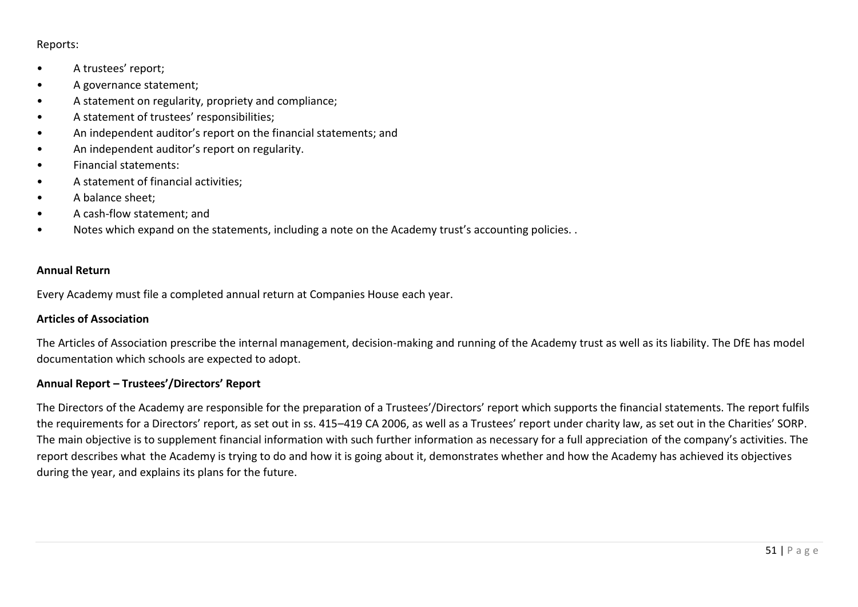#### Reports:

- A trustees' report;
- A governance statement;
- A statement on regularity, propriety and compliance;
- A statement of trustees' responsibilities;
- An independent auditor's report on the financial statements; and
- An independent auditor's report on regularity.
- Financial statements:
- A statement of financial activities;
- A balance sheet;
- A cash-flow statement; and
- Notes which expand on the statements, including a note on the Academy trust's accounting policies. .

#### **Annual Return**

Every Academy must file a completed annual return at Companies House each year.

#### **Articles of Association**

The Articles of Association prescribe the internal management, decision-making and running of the Academy trust as well as its liability. The DfE has model documentation which schools are expected to adopt.

#### **Annual Report – Trustees'/Directors' Report**

The Directors of the Academy are responsible for the preparation of a Trustees'/Directors' report which supports the financial statements. The report fulfils the requirements for a Directors' report, as set out in ss. 415–419 CA 2006, as well as a Trustees' report under charity law, as set out in the Charities' SORP. The main objective is to supplement financial information with such further information as necessary for a full appreciation of the company's activities. The report describes what the Academy is trying to do and how it is going about it, demonstrates whether and how the Academy has achieved its objectives during the year, and explains its plans for the future.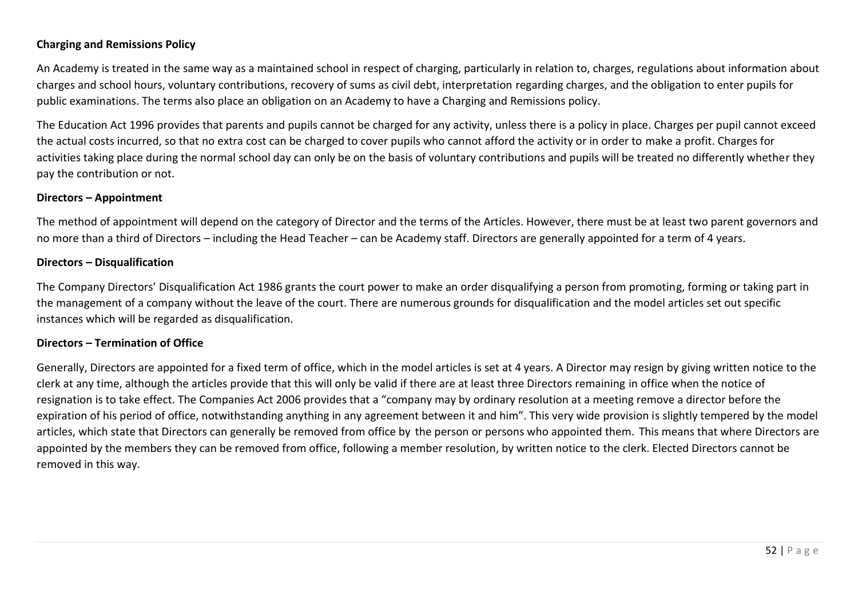#### **Charging and Remissions Policy**

An Academy is treated in the same way as a maintained school in respect of charging, particularly in relation to, charges, regulations about information about charges and school hours, voluntary contributions, recovery of sums as civil debt, interpretation regarding charges, and the obligation to enter pupils for public examinations. The terms also place an obligation on an Academy to have a Charging and Remissions policy.

The Education Act 1996 provides that parents and pupils cannot be charged for any activity, unless there is a policy in place. Charges per pupil cannot exceed the actual costs incurred, so that no extra cost can be charged to cover pupils who cannot afford the activity or in order to make a profit. Charges for activities taking place during the normal school day can only be on the basis of voluntary contributions and pupils will be treated no differently whether they pay the contribution or not.

#### **Directors – Appointment**

The method of appointment will depend on the category of Director and the terms of the Articles. However, there must be at least two parent governors and no more than a third of Directors – including the Head Teacher – can be Academy staff. Directors are generally appointed for a term of 4 years.

#### **Directors – Disqualification**

The Company Directors' Disqualification Act 1986 grants the court power to make an order disqualifying a person from promoting, forming or taking part in the management of a company without the leave of the court. There are numerous grounds for disqualification and the model articles set out specific instances which will be regarded as disqualification.

#### **Directors – Termination of Office**

Generally, Directors are appointed for a fixed term of office, which in the model articles is set at 4 years. A Director may resign by giving written notice to the clerk at any time, although the articles provide that this will only be valid if there are at least three Directors remaining in office when the notice of resignation is to take effect. The Companies Act 2006 provides that a "company may by ordinary resolution at a meeting remove a director before the expiration of his period of office, notwithstanding anything in any agreement between it and him". This very wide provision is slightly tempered by the model articles, which state that Directors can generally be removed from office by the person or persons who appointed them. This means that where Directors are appointed by the members they can be removed from office, following a member resolution, by written notice to the clerk. Elected Directors cannot be removed in this way.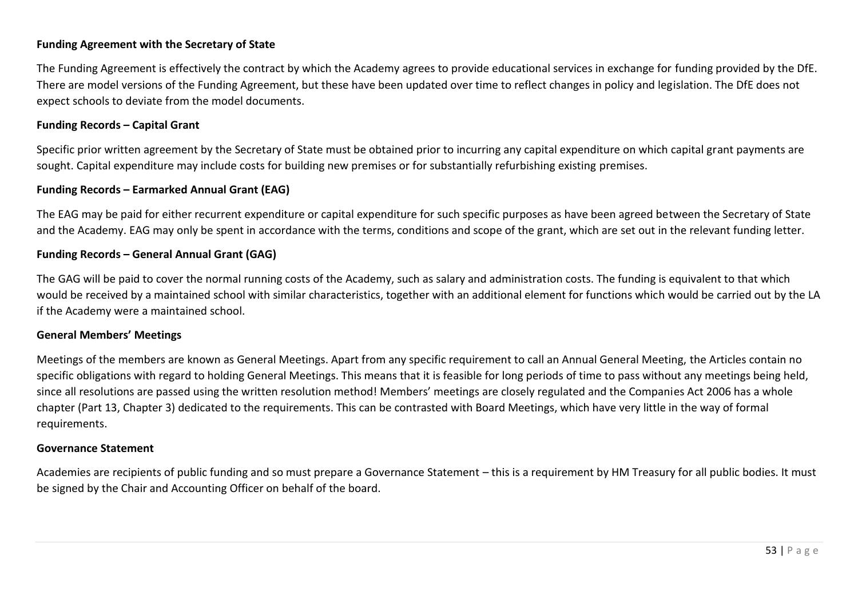#### **Funding Agreement with the Secretary of State**

The Funding Agreement is effectively the contract by which the Academy agrees to provide educational services in exchange for funding provided by the DfE. There are model versions of the Funding Agreement, but these have been updated over time to reflect changes in policy and legislation. The DfE does not expect schools to deviate from the model documents.

#### **Funding Records – Capital Grant**

Specific prior written agreement by the Secretary of State must be obtained prior to incurring any capital expenditure on which capital grant payments are sought. Capital expenditure may include costs for building new premises or for substantially refurbishing existing premises.

#### **Funding Records – Earmarked Annual Grant (EAG)**

The EAG may be paid for either recurrent expenditure or capital expenditure for such specific purposes as have been agreed between the Secretary of State and the Academy. EAG may only be spent in accordance with the terms, conditions and scope of the grant, which are set out in the relevant funding letter.

#### **Funding Records – General Annual Grant (GAG)**

The GAG will be paid to cover the normal running costs of the Academy, such as salary and administration costs. The funding is equivalent to that which would be received by a maintained school with similar characteristics, together with an additional element for functions which would be carried out by the LA if the Academy were a maintained school.

#### **General Members' Meetings**

Meetings of the members are known as General Meetings. Apart from any specific requirement to call an Annual General Meeting, the Articles contain no specific obligations with regard to holding General Meetings. This means that it is feasible for long periods of time to pass without any meetings being held, since all resolutions are passed using the written resolution method! Members' meetings are closely regulated and the Companies Act 2006 has a whole chapter (Part 13, Chapter 3) dedicated to the requirements. This can be contrasted with Board Meetings, which have very little in the way of formal requirements.

#### **Governance Statement**

Academies are recipients of public funding and so must prepare a Governance Statement – this is a requirement by HM Treasury for all public bodies. It must be signed by the Chair and Accounting Officer on behalf of the board.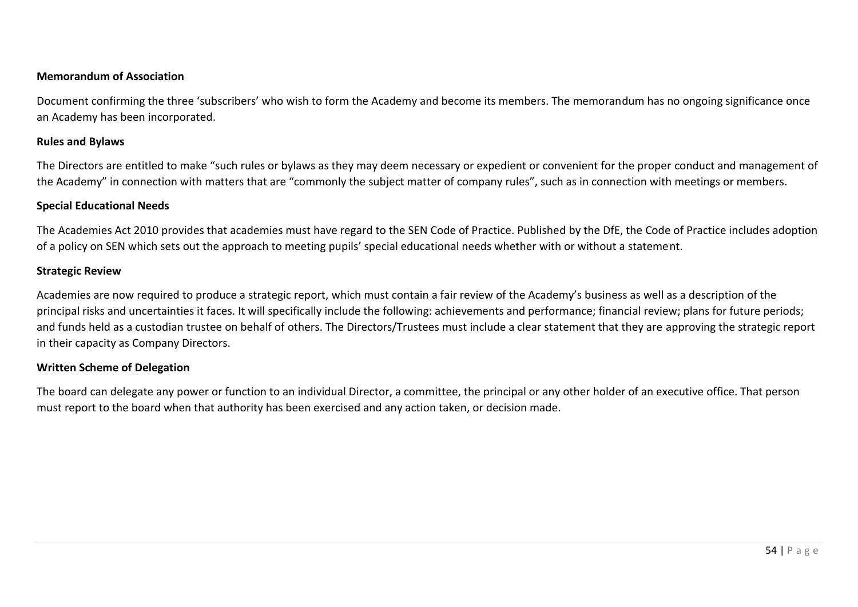#### **Memorandum of Association**

Document confirming the three 'subscribers' who wish to form the Academy and become its members. The memorandum has no ongoing significance once an Academy has been incorporated.

#### **Rules and Bylaws**

The Directors are entitled to make "such rules or bylaws as they may deem necessary or expedient or convenient for the proper conduct and management of the Academy" in connection with matters that are "commonly the subject matter of company rules", such as in connection with meetings or members.

#### **Special Educational Needs**

The Academies Act 2010 provides that academies must have regard to the SEN Code of Practice. Published by the DfE, the Code of Practice includes adoption of a policy on SEN which sets out the approach to meeting pupils' special educational needs whether with or without a statement.

#### **Strategic Review**

Academies are now required to produce a strategic report, which must contain a fair review of the Academy's business as well as a description of the principal risks and uncertainties it faces. It will specifically include the following: achievements and performance; financial review; plans for future periods; and funds held as a custodian trustee on behalf of others. The Directors/Trustees must include a clear statement that they are approving the strategic report in their capacity as Company Directors.

#### **Written Scheme of Delegation**

The board can delegate any power or function to an individual Director, a committee, the principal or any other holder of an executive office. That person must report to the board when that authority has been exercised and any action taken, or decision made.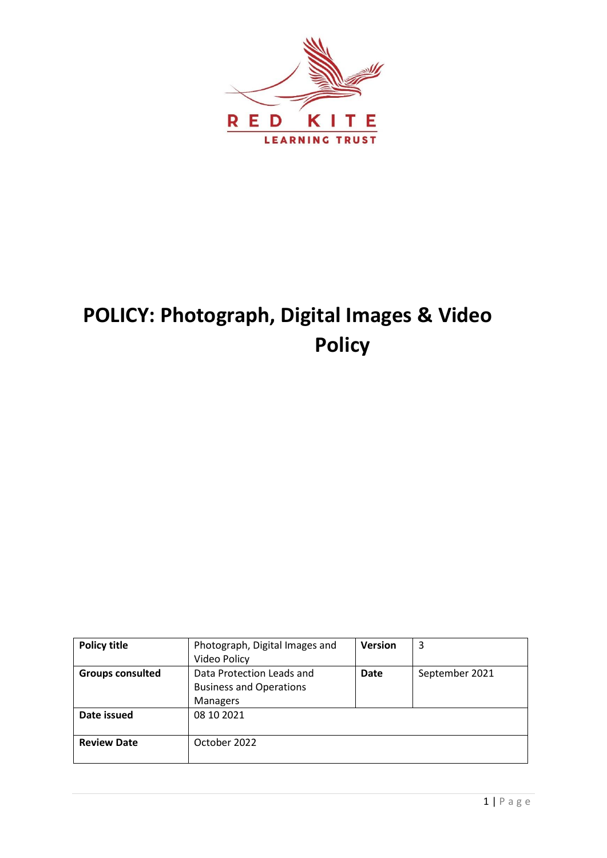

# **POLICY: Photograph, Digital Images & Video Policy**

| <b>Policy title</b>     | Photograph, Digital Images and<br>Video Policy                          | <b>Version</b> | 3              |
|-------------------------|-------------------------------------------------------------------------|----------------|----------------|
| <b>Groups consulted</b> | Data Protection Leads and<br><b>Business and Operations</b><br>Managers | <b>Date</b>    | September 2021 |
| Date issued             | 08 10 2021                                                              |                |                |
| <b>Review Date</b>      | October 2022                                                            |                |                |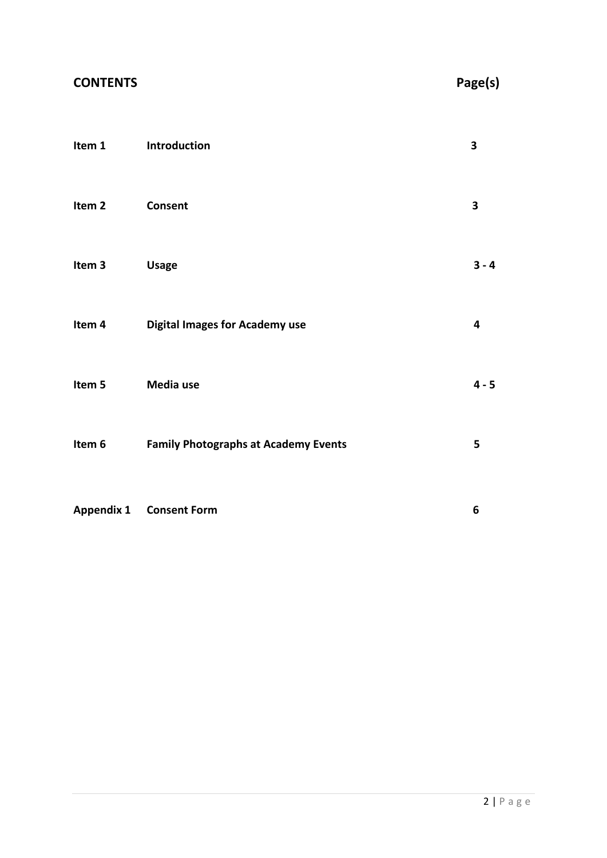| <b>CONTENTS</b>   |                                             | Page(s) |
|-------------------|---------------------------------------------|---------|
| Item 1            | Introduction                                | 3       |
| Item <sub>2</sub> | Consent                                     | 3       |
| Item <sub>3</sub> | <b>Usage</b>                                | $3 - 4$ |
| Item 4            | <b>Digital Images for Academy use</b>       | 4       |
| Item 5            | Media use                                   | $4 - 5$ |
| Item 6            | <b>Family Photographs at Academy Events</b> | 5       |
| <b>Appendix 1</b> | <b>Consent Form</b>                         | 6       |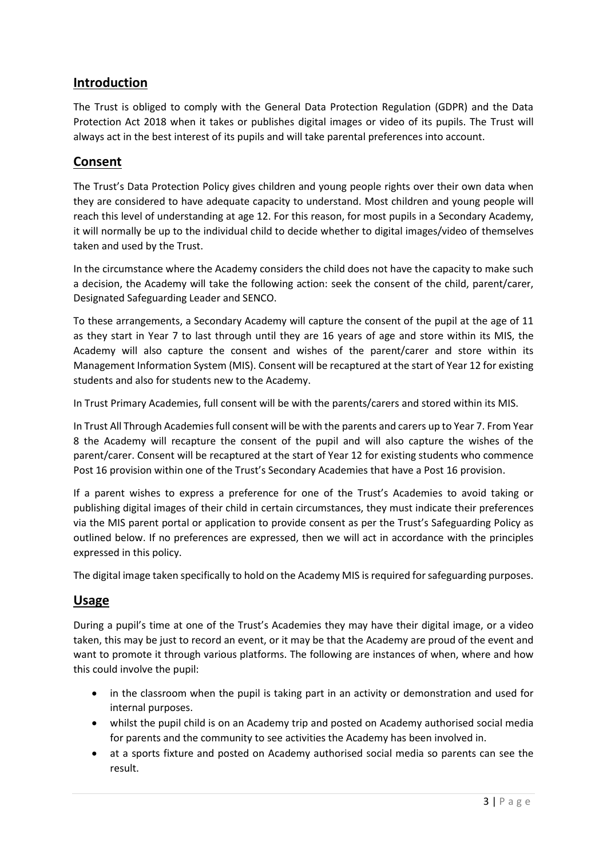### **Introduction**

The Trust is obliged to comply with the General Data Protection Regulation (GDPR) and the Data Protection Act 2018 when it takes or publishes digital images or video of its pupils. The Trust will always act in the best interest of its pupils and will take parental preferences into account.

### **Consent**

The Trust's Data Protection Policy gives children and young people rights over their own data when they are considered to have adequate capacity to understand. Most children and young people will reach this level of understanding at age 12. For this reason, for most pupils in a Secondary Academy, it will normally be up to the individual child to decide whether to digital images/video of themselves taken and used by the Trust.

In the circumstance where the Academy considers the child does not have the capacity to make such a decision, the Academy will take the following action: seek the consent of the child, parent/carer, Designated Safeguarding Leader and SENCO.

To these arrangements, a Secondary Academy will capture the consent of the pupil at the age of 11 as they start in Year 7 to last through until they are 16 years of age and store within its MIS, the Academy will also capture the consent and wishes of the parent/carer and store within its Management Information System (MIS). Consent will be recaptured at the start of Year 12 for existing students and also for students new to the Academy.

In Trust Primary Academies, full consent will be with the parents/carers and stored within its MIS.

In Trust All Through Academies full consent will be with the parents and carers up to Year 7. From Year 8 the Academy will recapture the consent of the pupil and will also capture the wishes of the parent/carer. Consent will be recaptured at the start of Year 12 for existing students who commence Post 16 provision within one of the Trust's Secondary Academies that have a Post 16 provision.

If a parent wishes to express a preference for one of the Trust's Academies to avoid taking or publishing digital images of their child in certain circumstances, they must indicate their preferences via the MIS parent portal or application to provide consent as per the Trust's Safeguarding Policy as outlined below. If no preferences are expressed, then we will act in accordance with the principles expressed in this policy.

The digital image taken specifically to hold on the Academy MIS is required for safeguarding purposes.

### **Usage**

During a pupil's time at one of the Trust's Academies they may have their digital image, or a video taken, this may be just to record an event, or it may be that the Academy are proud of the event and want to promote it through various platforms. The following are instances of when, where and how this could involve the pupil:

- in the classroom when the pupil is taking part in an activity or demonstration and used for internal purposes.
- whilst the pupil child is on an Academy trip and posted on Academy authorised social media for parents and the community to see activities the Academy has been involved in.
- at a sports fixture and posted on Academy authorised social media so parents can see the result.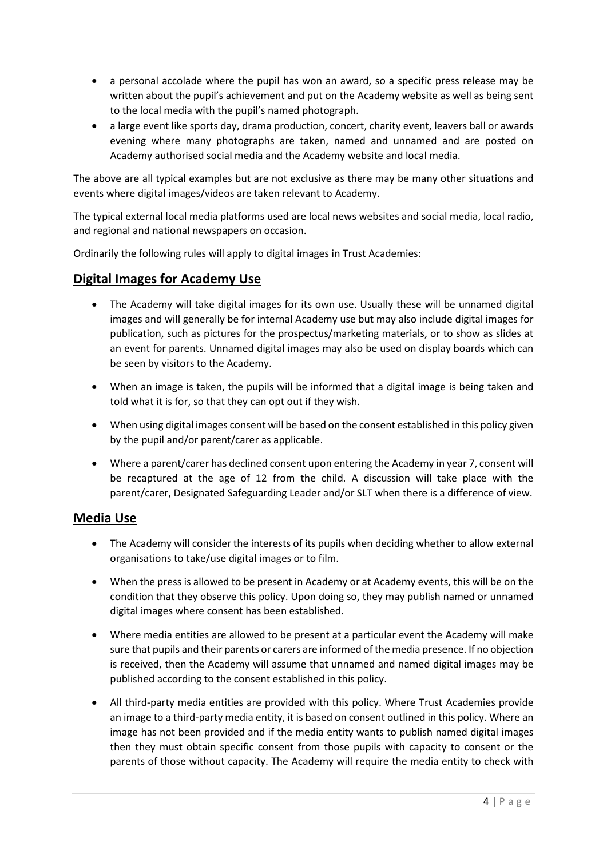- a personal accolade where the pupil has won an award, so a specific press release may be written about the pupil's achievement and put on the Academy website as well as being sent to the local media with the pupil's named photograph.
- a large event like sports day, drama production, concert, charity event, leavers ball or awards evening where many photographs are taken, named and unnamed and are posted on Academy authorised social media and the Academy website and local media.

The above are all typical examples but are not exclusive as there may be many other situations and events where digital images/videos are taken relevant to Academy.

The typical external local media platforms used are local news websites and social media, local radio, and regional and national newspapers on occasion.

Ordinarily the following rules will apply to digital images in Trust Academies:

### **Digital Images for Academy Use**

- The Academy will take digital images for its own use. Usually these will be unnamed digital images and will generally be for internal Academy use but may also include digital images for publication, such as pictures for the prospectus/marketing materials, or to show as slides at an event for parents. Unnamed digital images may also be used on display boards which can be seen by visitors to the Academy.
- When an image is taken, the pupils will be informed that a digital image is being taken and told what it is for, so that they can opt out if they wish.
- When using digital images consent will be based on the consent established in this policy given by the pupil and/or parent/carer as applicable.
- Where a parent/carer has declined consent upon entering the Academy in year 7, consent will be recaptured at the age of 12 from the child. A discussion will take place with the parent/carer, Designated Safeguarding Leader and/or SLT when there is a difference of view.

### **Media Use**

- The Academy will consider the interests of its pupils when deciding whether to allow external organisations to take/use digital images or to film.
- When the press is allowed to be present in Academy or at Academy events, this will be on the condition that they observe this policy. Upon doing so, they may publish named or unnamed digital images where consent has been established.
- Where media entities are allowed to be present at a particular event the Academy will make sure that pupils and their parents or carers are informed of the media presence. If no objection is received, then the Academy will assume that unnamed and named digital images may be published according to the consent established in this policy.
- All third-party media entities are provided with this policy. Where Trust Academies provide an image to a third-party media entity, it is based on consent outlined in this policy. Where an image has not been provided and if the media entity wants to publish named digital images then they must obtain specific consent from those pupils with capacity to consent or the parents of those without capacity. The Academy will require the media entity to check with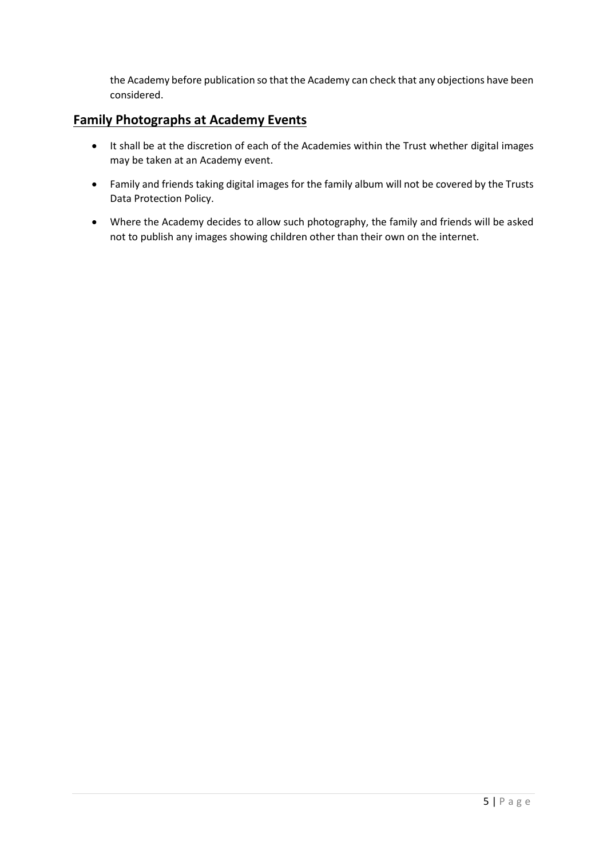the Academy before publication so that the Academy can check that any objections have been considered.

### **Family Photographs at Academy Events**

- It shall be at the discretion of each of the Academies within the Trust whether digital images may be taken at an Academy event.
- Family and friends taking digital images for the family album will not be covered by the Trusts Data Protection Policy.
- Where the Academy decides to allow such photography, the family and friends will be asked not to publish any images showing children other than their own on the internet.